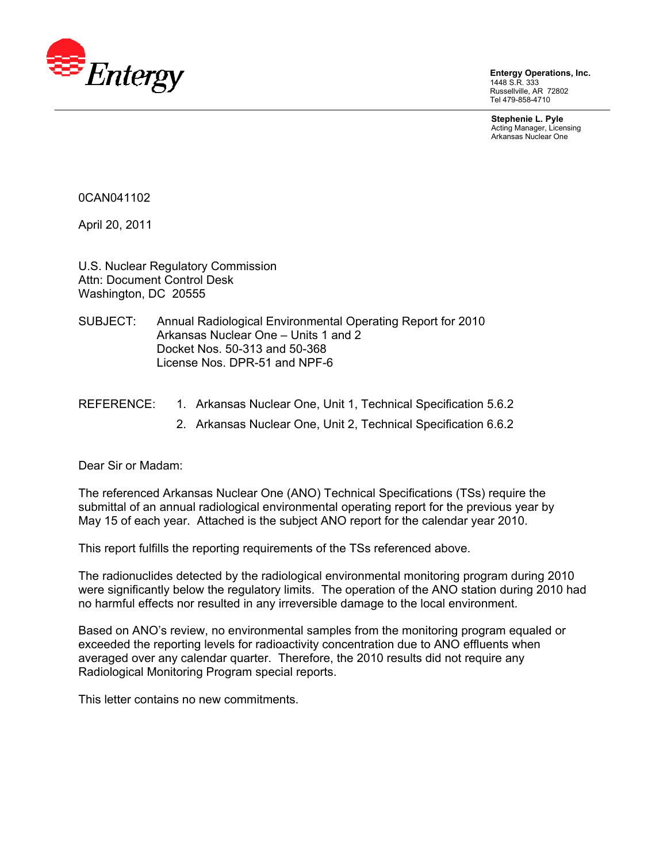

**Entergy Operations, Inc.**  1448 S.R. 333 Russellville, AR 72802 Tel 479-858-4710

**Stephenie L. Pyle**  Acting Manager, Licensing Arkansas Nuclear One

0CAN041102

April 20, 2011

U.S. Nuclear Regulatory Commission Attn: Document Control Desk Washington, DC 20555

- SUBJECT: Annual Radiological Environmental Operating Report for 2010 Arkansas Nuclear One – Units 1 and 2 Docket Nos. 50-313 and 50-368 License Nos. DPR-51 and NPF-6
- REFERENCE: 1. Arkansas Nuclear One, Unit 1, Technical Specification 5.6.2
	- 2. Arkansas Nuclear One, Unit 2, Technical Specification 6.6.2

Dear Sir or Madam:

The referenced Arkansas Nuclear One (ANO) Technical Specifications (TSs) require the submittal of an annual radiological environmental operating report for the previous year by May 15 of each year. Attached is the subject ANO report for the calendar year 2010.

This report fulfills the reporting requirements of the TSs referenced above.

The radionuclides detected by the radiological environmental monitoring program during 2010 were significantly below the regulatory limits. The operation of the ANO station during 2010 had no harmful effects nor resulted in any irreversible damage to the local environment.

Based on ANO's review, no environmental samples from the monitoring program equaled or exceeded the reporting levels for radioactivity concentration due to ANO effluents when averaged over any calendar quarter. Therefore, the 2010 results did not require any Radiological Monitoring Program special reports.

This letter contains no new commitments.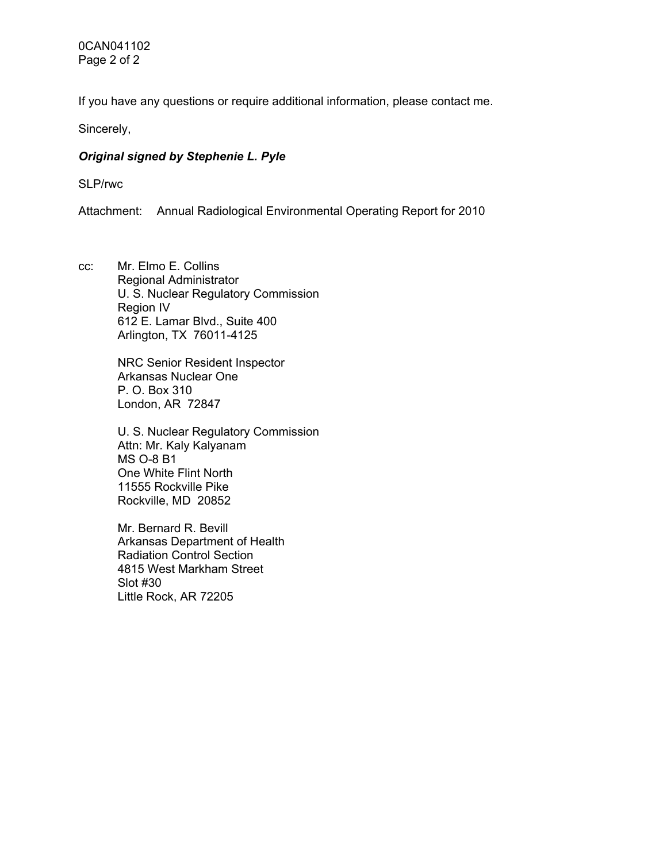0CAN041102 Page 2 of 2

If you have any questions or require additional information, please contact me.

Sincerely,

#### *Original signed by Stephenie L. Pyle*

SLP/rwc

Attachment: Annual Radiological Environmental Operating Report for 2010

cc: Mr. Elmo E. Collins Regional Administrator U. S. Nuclear Regulatory Commission Region IV 612 E. Lamar Blvd., Suite 400 Arlington, TX 76011-4125

> NRC Senior Resident Inspector Arkansas Nuclear One P. O. Box 310 London, AR 72847

U. S. Nuclear Regulatory Commission Attn: Mr. Kaly Kalyanam MS O-8 B1 One White Flint North 11555 Rockville Pike Rockville, MD 20852

Mr. Bernard R. Bevill Arkansas Department of Health Radiation Control Section 4815 West Markham Street Slot #30 Little Rock, AR 72205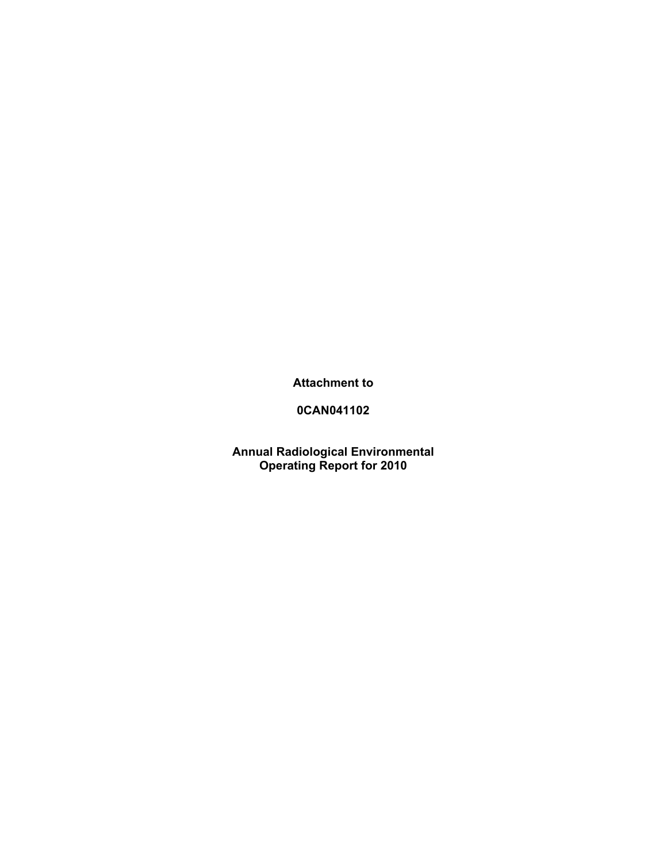**Attachment to** 

**0CAN041102** 

**Annual Radiological Environmental Operating Report for 2010**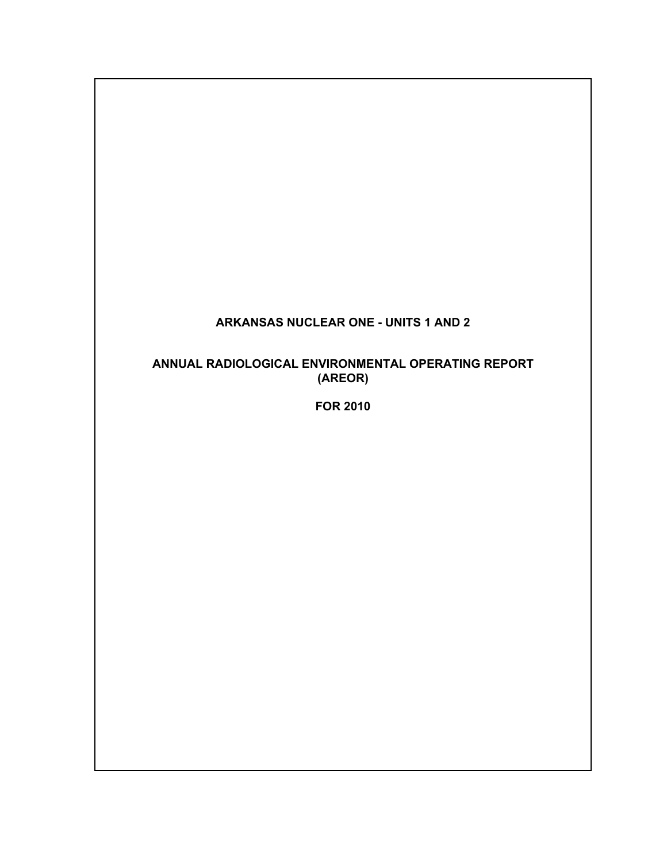# **ARKANSAS NUCLEAR ONE - UNITS 1 AND 2**

# **ANNUAL RADIOLOGICAL ENVIRONMENTAL OPERATING REPORT (AREOR)**

**FOR 2010**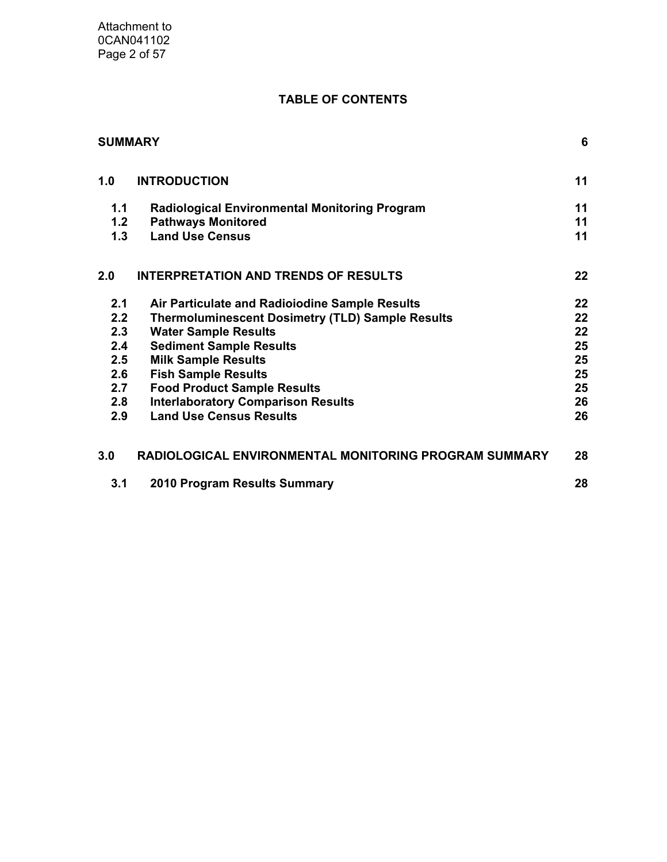# **TABLE OF CONTENTS**

| <b>SUMMARY</b> |                                                         | 6  |
|----------------|---------------------------------------------------------|----|
| 1.0            | <b>INTRODUCTION</b>                                     | 11 |
| 1.1            | <b>Radiological Environmental Monitoring Program</b>    | 11 |
| 1.2            | <b>Pathways Monitored</b>                               | 11 |
| 1.3            | <b>Land Use Census</b>                                  | 11 |
| 2.0            | <b>INTERPRETATION AND TRENDS OF RESULTS</b>             | 22 |
| 2.1            | Air Particulate and Radioiodine Sample Results          | 22 |
| 2.2            | <b>Thermoluminescent Dosimetry (TLD) Sample Results</b> | 22 |
| 2.3            | <b>Water Sample Results</b>                             | 22 |
| 2.4            | <b>Sediment Sample Results</b>                          | 25 |
| 2.5            | <b>Milk Sample Results</b>                              | 25 |
| 2.6            | <b>Fish Sample Results</b>                              | 25 |
| 2.7            | <b>Food Product Sample Results</b>                      | 25 |
| 2.8            | <b>Interlaboratory Comparison Results</b>               | 26 |
| 2.9            | <b>Land Use Census Results</b>                          | 26 |
| 3.0            | RADIOLOGICAL ENVIRONMENTAL MONITORING PROGRAM SUMMARY   | 28 |
| 3.1            | 2010 Program Results Summary                            | 28 |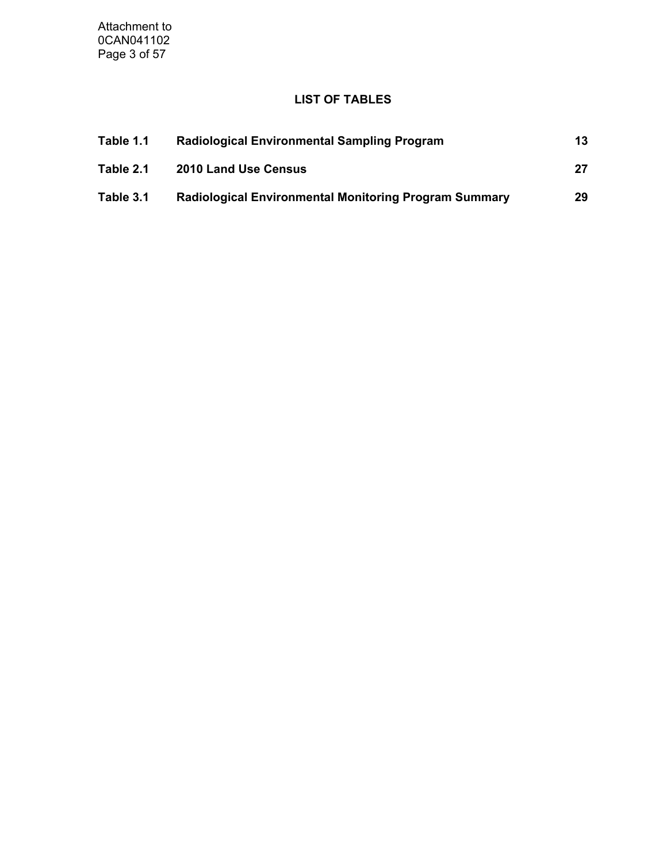Attachment to 0CAN041102 Page 3 of 57

# **LIST OF TABLES**

| Table 1.1 | <b>Radiological Environmental Sampling Program</b>           | 13 |
|-----------|--------------------------------------------------------------|----|
| Table 2.1 | <b>2010 Land Use Census</b>                                  |    |
| Table 3.1 | <b>Radiological Environmental Monitoring Program Summary</b> | 29 |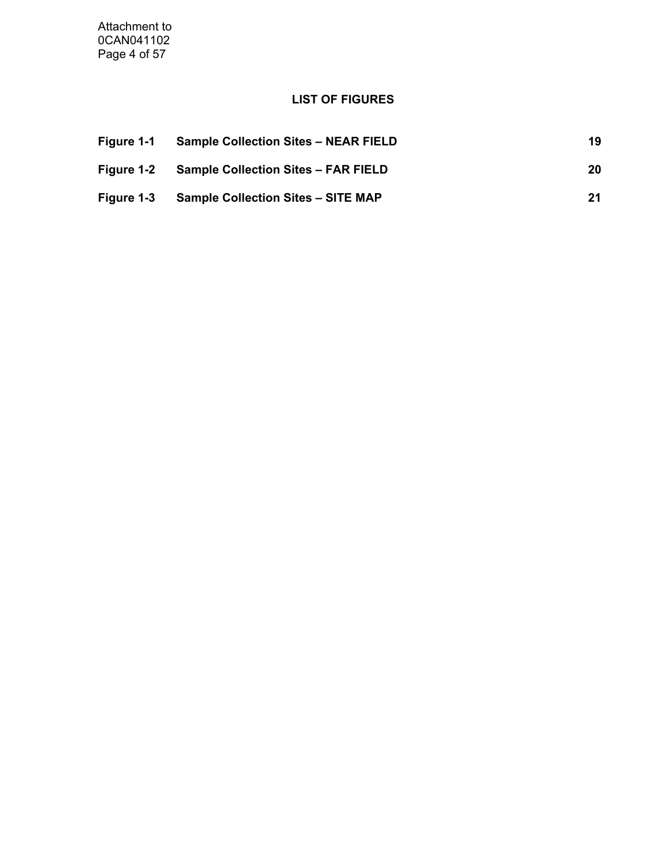Attachment to 0CAN041102 Page 4 of 57

# **LIST OF FIGURES**

| Figure 1-1 | <b>Sample Collection Sites - NEAR FIELD</b> | 19 |
|------------|---------------------------------------------|----|
| Figure 1-2 | <b>Sample Collection Sites - FAR FIELD</b>  | 20 |
| Figure 1-3 | <b>Sample Collection Sites - SITE MAP</b>   | 21 |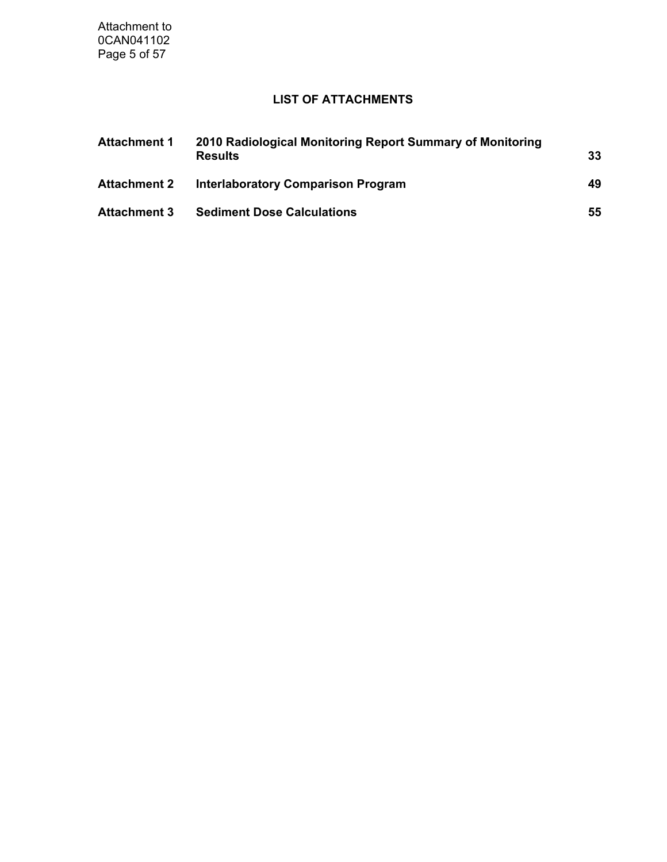Attachment to 0CAN041102 Page 5 of 57

# **LIST OF ATTACHMENTS**

| <b>Attachment 1</b> | 2010 Radiological Monitoring Report Summary of Monitoring<br><b>Results</b> | 33 |
|---------------------|-----------------------------------------------------------------------------|----|
| <b>Attachment 2</b> | <b>Interlaboratory Comparison Program</b>                                   | 49 |
| <b>Attachment 3</b> | <b>Sediment Dose Calculations</b>                                           | 55 |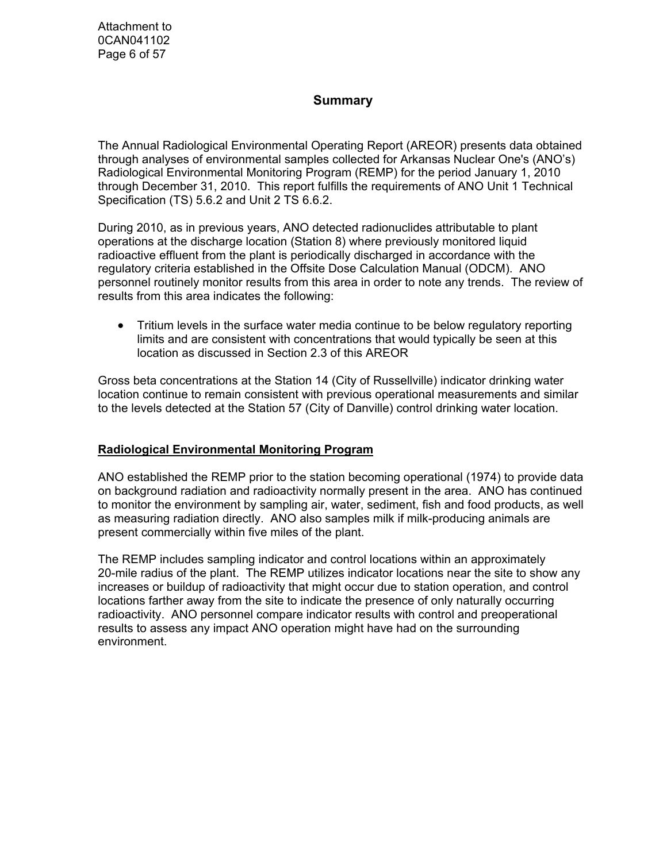Attachment to 0CAN041102 Page 6 of 57

### **Summary**

The Annual Radiological Environmental Operating Report (AREOR) presents data obtained through analyses of environmental samples collected for Arkansas Nuclear One's (ANO's) Radiological Environmental Monitoring Program (REMP) for the period January 1, 2010 through December 31, 2010. This report fulfills the requirements of ANO Unit 1 Technical Specification (TS) 5.6.2 and Unit 2 TS 6.6.2.

During 2010, as in previous years, ANO detected radionuclides attributable to plant operations at the discharge location (Station 8) where previously monitored liquid radioactive effluent from the plant is periodically discharged in accordance with the regulatory criteria established in the Offsite Dose Calculation Manual (ODCM). ANO personnel routinely monitor results from this area in order to note any trends. The review of results from this area indicates the following:

• Tritium levels in the surface water media continue to be below regulatory reporting limits and are consistent with concentrations that would typically be seen at this location as discussed in Section 2.3 of this AREOR

Gross beta concentrations at the Station 14 (City of Russellville) indicator drinking water location continue to remain consistent with previous operational measurements and similar to the levels detected at the Station 57 (City of Danville) control drinking water location.

#### **Radiological Environmental Monitoring Program**

ANO established the REMP prior to the station becoming operational (1974) to provide data on background radiation and radioactivity normally present in the area. ANO has continued to monitor the environment by sampling air, water, sediment, fish and food products, as well as measuring radiation directly. ANO also samples milk if milk-producing animals are present commercially within five miles of the plant.

The REMP includes sampling indicator and control locations within an approximately 20-mile radius of the plant. The REMP utilizes indicator locations near the site to show any increases or buildup of radioactivity that might occur due to station operation, and control locations farther away from the site to indicate the presence of only naturally occurring radioactivity. ANO personnel compare indicator results with control and preoperational results to assess any impact ANO operation might have had on the surrounding environment.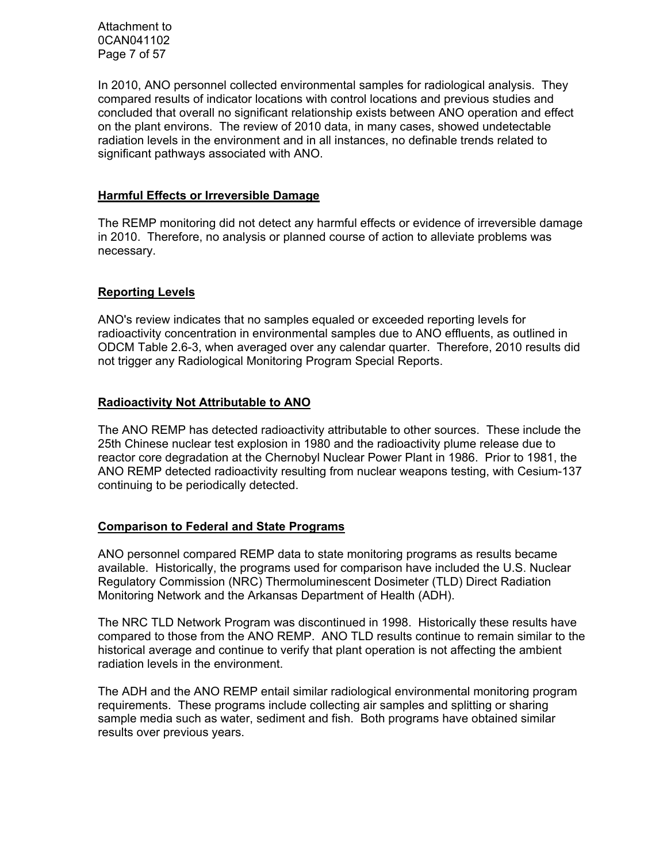Attachment to 0CAN041102 Page 7 of 57

In 2010, ANO personnel collected environmental samples for radiological analysis. They compared results of indicator locations with control locations and previous studies and concluded that overall no significant relationship exists between ANO operation and effect on the plant environs. The review of 2010 data, in many cases, showed undetectable radiation levels in the environment and in all instances, no definable trends related to significant pathways associated with ANO.

#### **Harmful Effects or Irreversible Damage**

The REMP monitoring did not detect any harmful effects or evidence of irreversible damage in 2010. Therefore, no analysis or planned course of action to alleviate problems was necessary.

#### **Reporting Levels**

ANO's review indicates that no samples equaled or exceeded reporting levels for radioactivity concentration in environmental samples due to ANO effluents, as outlined in ODCM Table 2.6-3, when averaged over any calendar quarter. Therefore, 2010 results did not trigger any Radiological Monitoring Program Special Reports.

#### **Radioactivity Not Attributable to ANO**

The ANO REMP has detected radioactivity attributable to other sources. These include the 25th Chinese nuclear test explosion in 1980 and the radioactivity plume release due to reactor core degradation at the Chernobyl Nuclear Power Plant in 1986. Prior to 1981, the ANO REMP detected radioactivity resulting from nuclear weapons testing, with Cesium-137 continuing to be periodically detected.

#### **Comparison to Federal and State Programs**

ANO personnel compared REMP data to state monitoring programs as results became available. Historically, the programs used for comparison have included the U.S. Nuclear Regulatory Commission (NRC) Thermoluminescent Dosimeter (TLD) Direct Radiation Monitoring Network and the Arkansas Department of Health (ADH).

The NRC TLD Network Program was discontinued in 1998. Historically these results have compared to those from the ANO REMP. ANO TLD results continue to remain similar to the historical average and continue to verify that plant operation is not affecting the ambient radiation levels in the environment.

The ADH and the ANO REMP entail similar radiological environmental monitoring program requirements. These programs include collecting air samples and splitting or sharing sample media such as water, sediment and fish. Both programs have obtained similar results over previous years.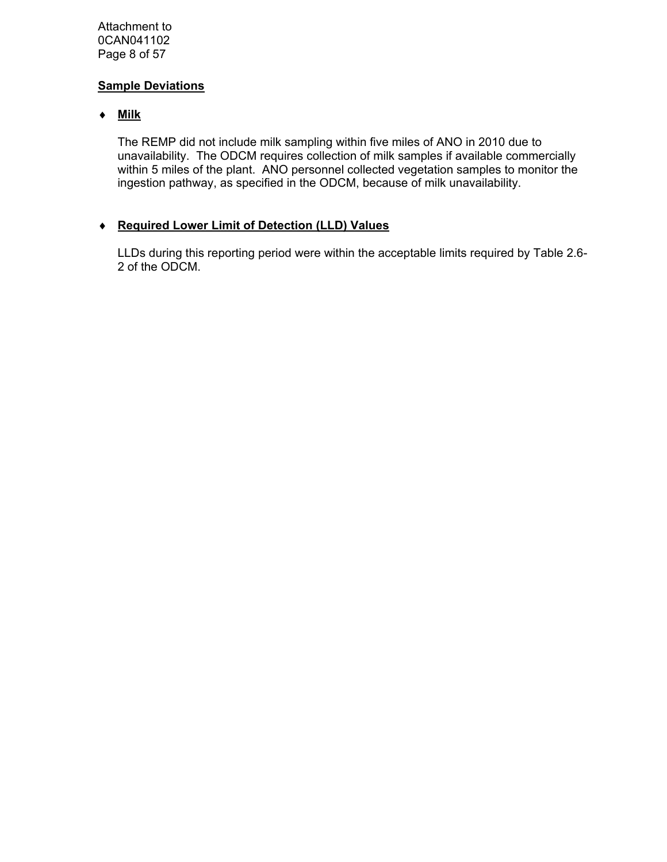Attachment to 0CAN041102 Page 8 of 57

### **Sample Deviations**

## ♦ **Milk**

The REMP did not include milk sampling within five miles of ANO in 2010 due to unavailability. The ODCM requires collection of milk samples if available commercially within 5 miles of the plant. ANO personnel collected vegetation samples to monitor the ingestion pathway, as specified in the ODCM, because of milk unavailability.

### ♦ **Required Lower Limit of Detection (LLD) Values**

LLDs during this reporting period were within the acceptable limits required by Table 2.6- 2 of the ODCM.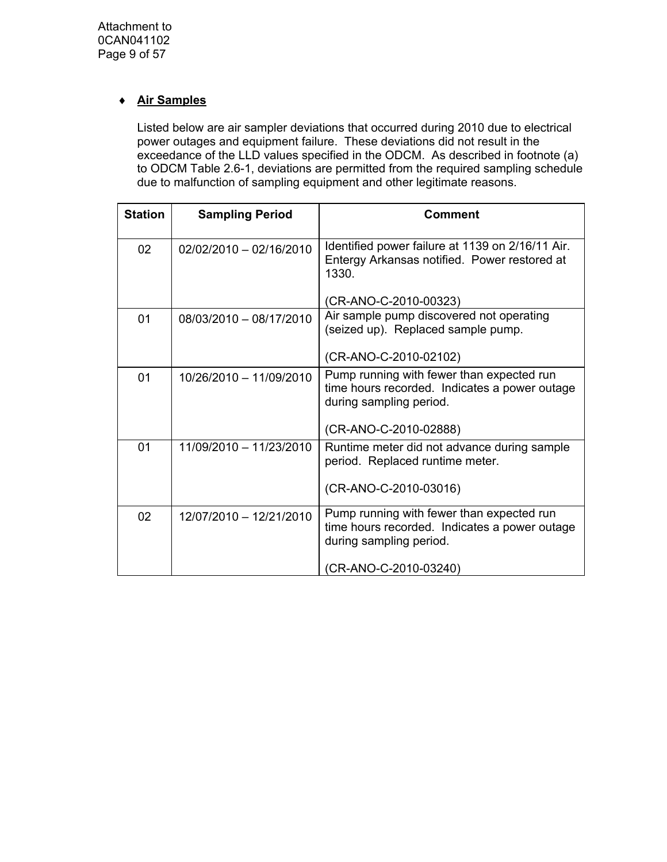# ♦ **Air Samples**

Listed below are air sampler deviations that occurred during 2010 due to electrical power outages and equipment failure. These deviations did not result in the exceedance of the LLD values specified in the ODCM. As described in footnote (a) to ODCM Table 2.6-1, deviations are permitted from the required sampling schedule due to malfunction of sampling equipment and other legitimate reasons.

| <b>Station</b> | <b>Sampling Period</b>  | <b>Comment</b>                                                                                                        |
|----------------|-------------------------|-----------------------------------------------------------------------------------------------------------------------|
| 02             | 02/02/2010 - 02/16/2010 | Identified power failure at 1139 on 2/16/11 Air.<br>Entergy Arkansas notified. Power restored at<br>1330.             |
|                |                         | (CR-ANO-C-2010-00323)                                                                                                 |
| 01             | 08/03/2010 - 08/17/2010 | Air sample pump discovered not operating<br>(seized up). Replaced sample pump.                                        |
|                |                         | (CR-ANO-C-2010-02102)                                                                                                 |
| 01             | 10/26/2010 - 11/09/2010 | Pump running with fewer than expected run<br>time hours recorded. Indicates a power outage<br>during sampling period. |
|                |                         | (CR-ANO-C-2010-02888)                                                                                                 |
| 01             | 11/09/2010 - 11/23/2010 | Runtime meter did not advance during sample<br>period. Replaced runtime meter.                                        |
|                |                         | (CR-ANO-C-2010-03016)                                                                                                 |
| 02             | 12/07/2010 - 12/21/2010 | Pump running with fewer than expected run<br>time hours recorded. Indicates a power outage<br>during sampling period. |
|                |                         | (CR-ANO-C-2010-03240)                                                                                                 |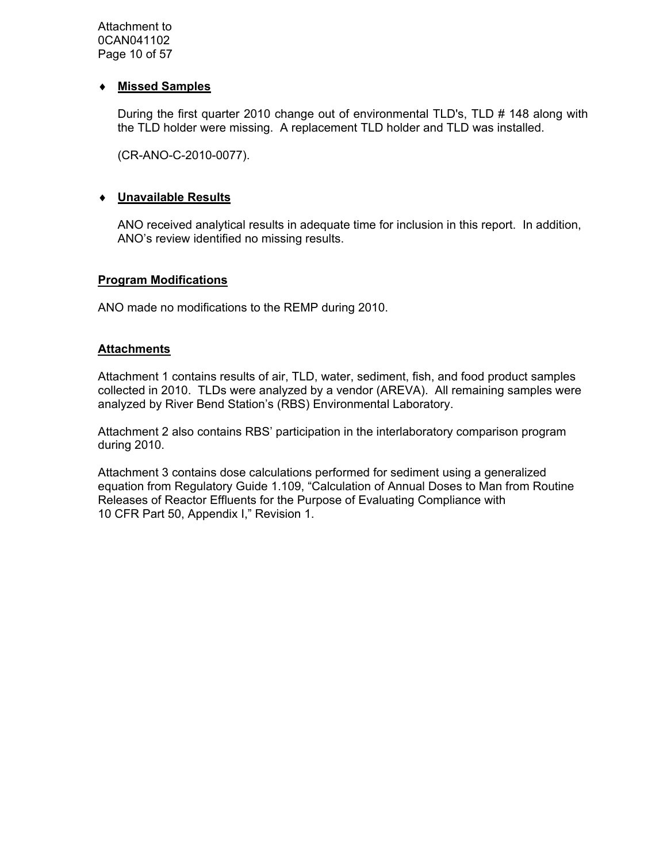Attachment to 0CAN041102 Page 10 of 57

#### ♦ **Missed Samples**

During the first quarter 2010 change out of environmental TLD's, TLD # 148 along with the TLD holder were missing. A replacement TLD holder and TLD was installed.

(CR-ANO-C-2010-0077).

#### ♦ **Unavailable Results**

ANO received analytical results in adequate time for inclusion in this report. In addition, ANO's review identified no missing results.

#### **Program Modifications**

ANO made no modifications to the REMP during 2010.

#### **Attachments**

Attachment 1 contains results of air, TLD, water, sediment, fish, and food product samples collected in 2010. TLDs were analyzed by a vendor (AREVA). All remaining samples were analyzed by River Bend Station's (RBS) Environmental Laboratory.

Attachment 2 also contains RBS' participation in the interlaboratory comparison program during 2010.

Attachment 3 contains dose calculations performed for sediment using a generalized equation from Regulatory Guide 1.109, "Calculation of Annual Doses to Man from Routine Releases of Reactor Effluents for the Purpose of Evaluating Compliance with 10 CFR Part 50, Appendix I," Revision 1.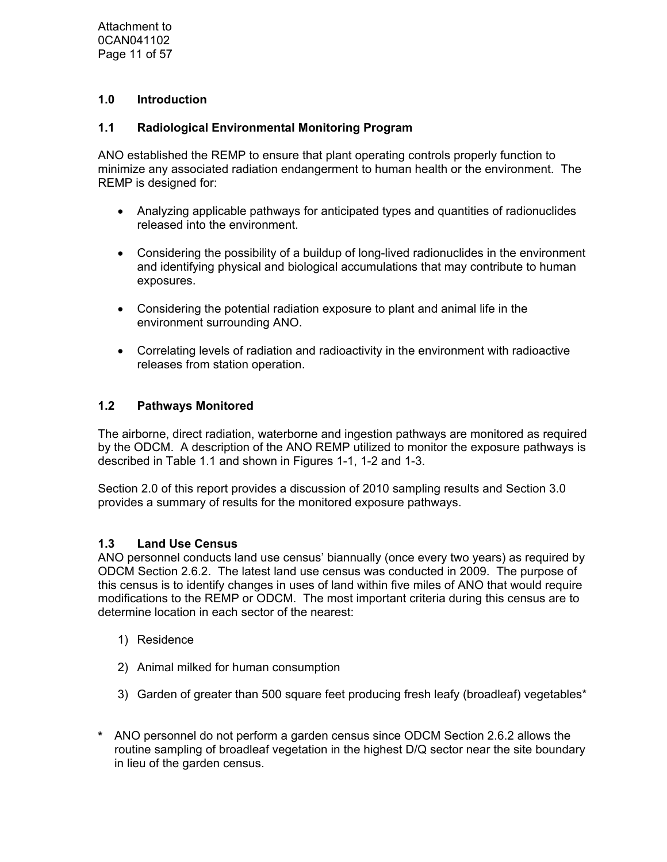Attachment to 0CAN041102 Page 11 of 57

### **1.0 Introduction**

### **1.1 Radiological Environmental Monitoring Program**

ANO established the REMP to ensure that plant operating controls properly function to minimize any associated radiation endangerment to human health or the environment. The REMP is designed for:

- Analyzing applicable pathways for anticipated types and quantities of radionuclides released into the environment.
- Considering the possibility of a buildup of long-lived radionuclides in the environment and identifying physical and biological accumulations that may contribute to human exposures.
- Considering the potential radiation exposure to plant and animal life in the environment surrounding ANO.
- Correlating levels of radiation and radioactivity in the environment with radioactive releases from station operation.

### **1.2 Pathways Monitored**

The airborne, direct radiation, waterborne and ingestion pathways are monitored as required by the ODCM. A description of the ANO REMP utilized to monitor the exposure pathways is described in Table 1.1 and shown in Figures 1-1, 1-2 and 1-3.

Section 2.0 of this report provides a discussion of 2010 sampling results and Section 3.0 provides a summary of results for the monitored exposure pathways.

### **1.3 Land Use Census**

ANO personnel conducts land use census' biannually (once every two years) as required by ODCM Section 2.6.2. The latest land use census was conducted in 2009. The purpose of this census is to identify changes in uses of land within five miles of ANO that would require modifications to the REMP or ODCM. The most important criteria during this census are to determine location in each sector of the nearest:

- 1) Residence
- 2) Animal milked for human consumption
- 3) Garden of greater than 500 square feet producing fresh leafy (broadleaf) vegetables\*
- **\*** ANO personnel do not perform a garden census since ODCM Section 2.6.2 allows the routine sampling of broadleaf vegetation in the highest D/Q sector near the site boundary in lieu of the garden census.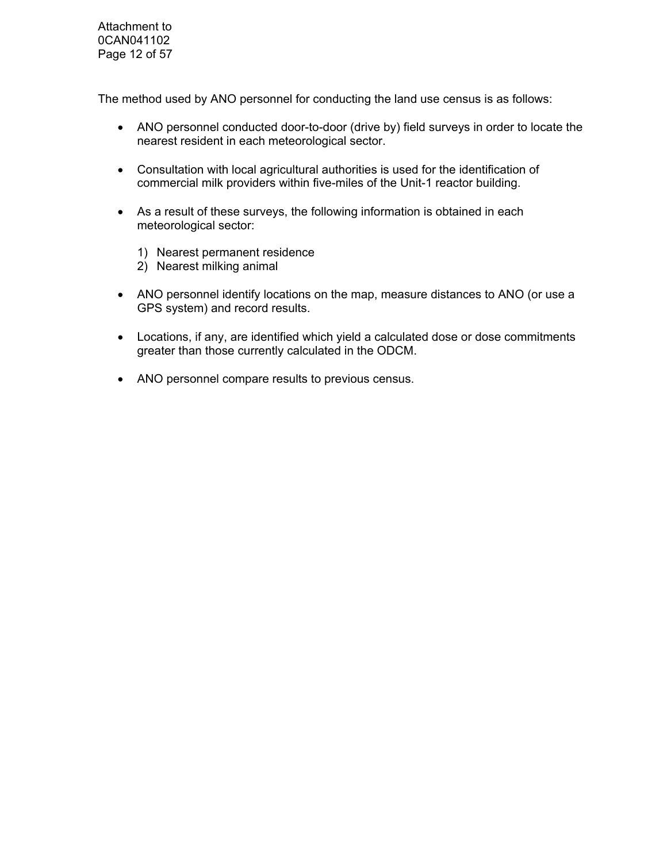Attachment to 0CAN041102 Page 12 of 57

The method used by ANO personnel for conducting the land use census is as follows:

- ANO personnel conducted door-to-door (drive by) field surveys in order to locate the nearest resident in each meteorological sector.
- Consultation with local agricultural authorities is used for the identification of commercial milk providers within five-miles of the Unit-1 reactor building.
- As a result of these surveys, the following information is obtained in each meteorological sector:
	- 1) Nearest permanent residence
	- 2) Nearest milking animal
- ANO personnel identify locations on the map, measure distances to ANO (or use a GPS system) and record results.
- Locations, if any, are identified which yield a calculated dose or dose commitments greater than those currently calculated in the ODCM.
- ANO personnel compare results to previous census.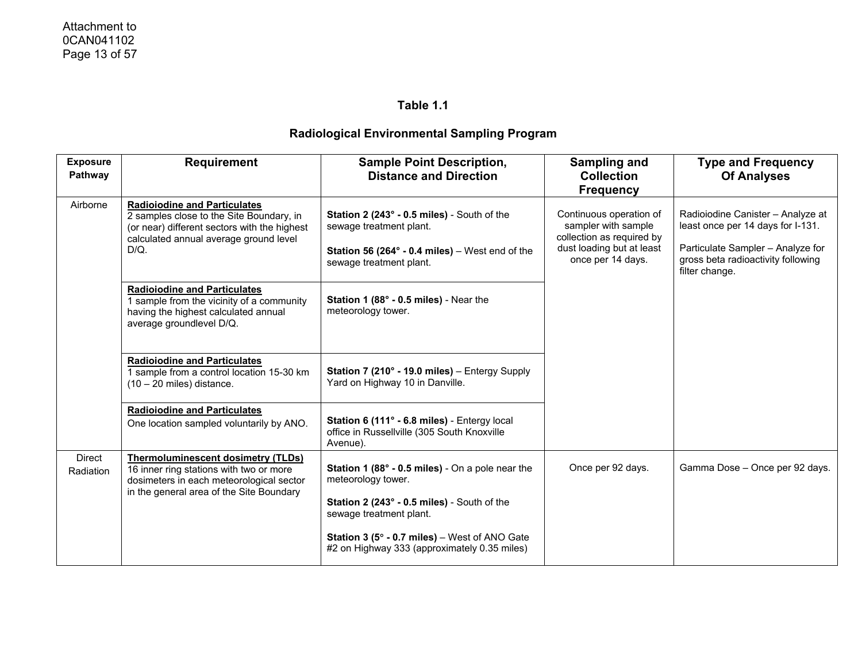| <b>Exposure</b><br>Pathway | <b>Requirement</b>                                                                                                                                                                   | <b>Sample Point Description,</b><br><b>Distance and Direction</b>                                                                                                                                                                                 | <b>Sampling and</b><br><b>Collection</b><br><b>Frequency</b>                                                                  | <b>Type and Frequency</b><br><b>Of Analyses</b>                                                                                                                     |
|----------------------------|--------------------------------------------------------------------------------------------------------------------------------------------------------------------------------------|---------------------------------------------------------------------------------------------------------------------------------------------------------------------------------------------------------------------------------------------------|-------------------------------------------------------------------------------------------------------------------------------|---------------------------------------------------------------------------------------------------------------------------------------------------------------------|
| Airborne                   | <b>Radioiodine and Particulates</b><br>2 samples close to the Site Boundary, in<br>(or near) different sectors with the highest<br>calculated annual average ground level<br>$D/Q$ . | Station 2 (243° - 0.5 miles) - South of the<br>sewage treatment plant.<br>Station 56 (264 $\degree$ - 0.4 miles) – West end of the<br>sewage treatment plant.                                                                                     | Continuous operation of<br>sampler with sample<br>collection as required by<br>dust loading but at least<br>once per 14 days. | Radioiodine Canister - Analyze at<br>least once per 14 days for I-131.<br>Particulate Sampler - Analyze for<br>gross beta radioactivity following<br>filter change. |
|                            | <b>Radiolodine and Particulates</b><br>1 sample from the vicinity of a community<br>having the highest calculated annual<br>average groundlevel D/Q.                                 | Station 1 (88° - 0.5 miles) - Near the<br>meteorology tower.                                                                                                                                                                                      |                                                                                                                               |                                                                                                                                                                     |
|                            | <b>Radioiodine and Particulates</b><br>1 sample from a control location 15-30 km<br>$(10 - 20$ miles) distance.                                                                      | Station 7 (210° - 19.0 miles) - Entergy Supply<br>Yard on Highway 10 in Danville.                                                                                                                                                                 |                                                                                                                               |                                                                                                                                                                     |
|                            | <b>Radioiodine and Particulates</b><br>One location sampled voluntarily by ANO.                                                                                                      | Station 6 (111° - 6.8 miles) - Entergy local<br>office in Russellville (305 South Knoxville<br>Avenue).                                                                                                                                           |                                                                                                                               |                                                                                                                                                                     |
| <b>Direct</b><br>Radiation | <b>Thermoluminescent dosimetry (TLDs)</b><br>16 inner ring stations with two or more<br>dosimeters in each meteorological sector<br>in the general area of the Site Boundary         | Station 1 (88° - 0.5 miles) - On a pole near the<br>meteorology tower.<br>Station 2 (243° - 0.5 miles) - South of the<br>sewage treatment plant.<br>Station 3 (5° - 0.7 miles) - West of ANO Gate<br>#2 on Highway 333 (approximately 0.35 miles) | Once per 92 days.                                                                                                             | Gamma Dose - Once per 92 days.                                                                                                                                      |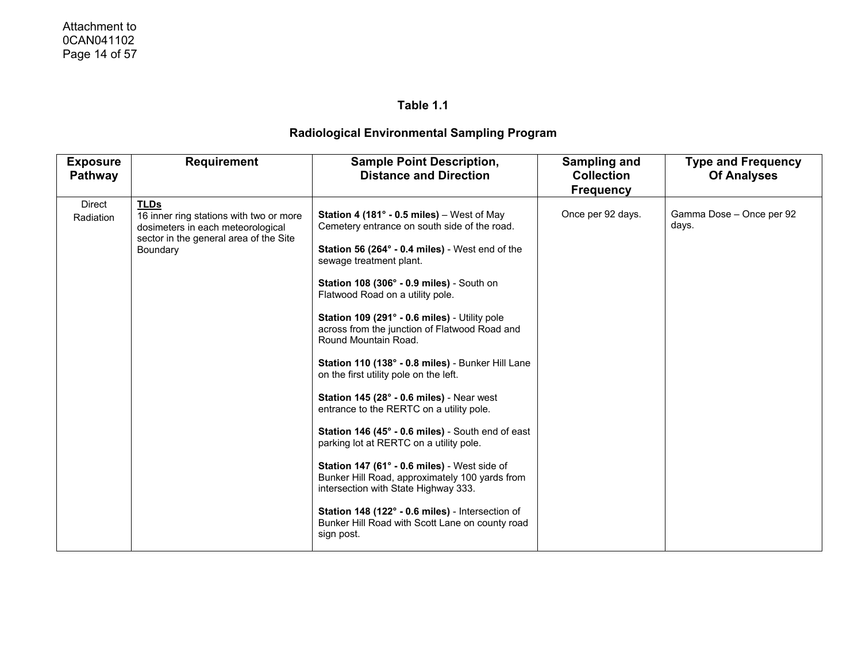| <b>Frequency</b>                                                                                                                                                                                                                                                                                                                                                                                                                                                                                                                                                                                                                                                                                                                                                                                                                                                                                                                                                                                                                                                                                                                                               | <b>Of Analyses</b>       |
|----------------------------------------------------------------------------------------------------------------------------------------------------------------------------------------------------------------------------------------------------------------------------------------------------------------------------------------------------------------------------------------------------------------------------------------------------------------------------------------------------------------------------------------------------------------------------------------------------------------------------------------------------------------------------------------------------------------------------------------------------------------------------------------------------------------------------------------------------------------------------------------------------------------------------------------------------------------------------------------------------------------------------------------------------------------------------------------------------------------------------------------------------------------|--------------------------|
| Direct<br><b>TLDs</b><br>Once per 92 days.<br>Station 4 (181 $^{\circ}$ - 0.5 miles) – West of May<br>16 inner ring stations with two or more<br>Radiation<br>days.<br>Cemetery entrance on south side of the road.<br>dosimeters in each meteorological<br>sector in the general area of the Site<br>Station 56 (264° - 0.4 miles) - West end of the<br>Boundary<br>sewage treatment plant.<br>Station 108 (306° - 0.9 miles) - South on<br>Flatwood Road on a utility pole.<br>Station 109 (291° - 0.6 miles) - Utility pole<br>across from the junction of Flatwood Road and<br>Round Mountain Road.<br>Station 110 (138° - 0.8 miles) - Bunker Hill Lane<br>on the first utility pole on the left.<br>Station 145 (28° - 0.6 miles) - Near west<br>entrance to the RERTC on a utility pole.<br>Station 146 (45° - 0.6 miles) - South end of east<br>parking lot at RERTC on a utility pole.<br>Station 147 (61° - 0.6 miles) - West side of<br>Bunker Hill Road, approximately 100 yards from<br>intersection with State Highway 333.<br>Station 148 (122° - 0.6 miles) - Intersection of<br>Bunker Hill Road with Scott Lane on county road<br>sign post. | Gamma Dose - Once per 92 |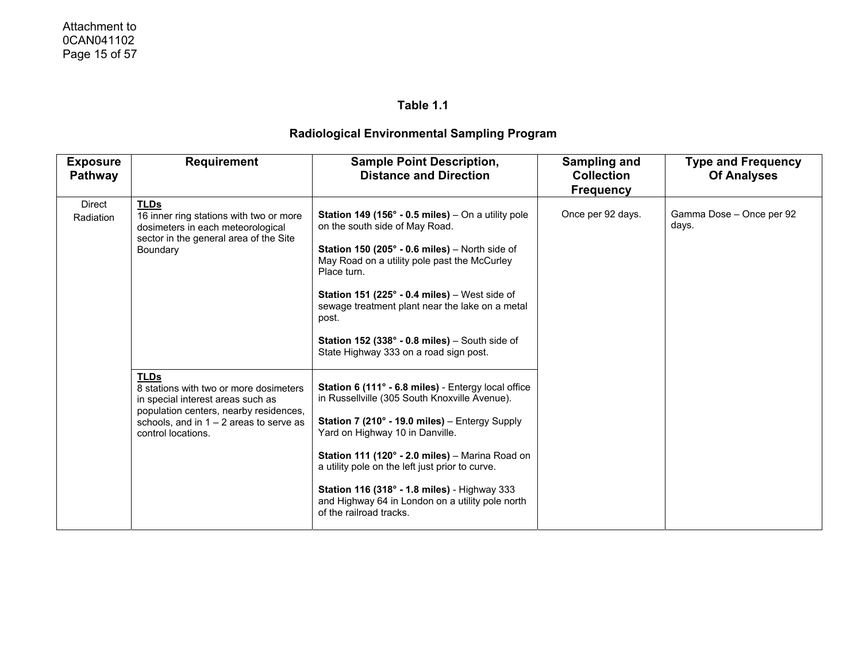| <b>Exposure</b><br><b>Pathway</b> | <b>Requirement</b>                                                                                                                                                                                      | <b>Sample Point Description,</b><br><b>Distance and Direction</b>                                                                                                                                                                                                                                                                                                                                                                                                                     | Sampling and<br><b>Collection</b><br><b>Frequency</b> | <b>Type and Frequency</b><br><b>Of Analyses</b> |
|-----------------------------------|---------------------------------------------------------------------------------------------------------------------------------------------------------------------------------------------------------|---------------------------------------------------------------------------------------------------------------------------------------------------------------------------------------------------------------------------------------------------------------------------------------------------------------------------------------------------------------------------------------------------------------------------------------------------------------------------------------|-------------------------------------------------------|-------------------------------------------------|
| <b>Direct</b><br>Radiation        | <b>TLDs</b><br>16 inner ring stations with two or more<br>dosimeters in each meteorological<br>sector in the general area of the Site<br>Boundary                                                       | <b>Station 149 (156° - 0.5 miles)</b> – On a utility pole<br>on the south side of May Road.<br><b>Station 150 (205<math>^{\circ}</math> - 0.6 miles)</b> – North side of<br>May Road on a utility pole past the McCurley<br>Place turn.<br><b>Station 151 (225<math>^{\circ}</math> - 0.4 miles)</b> – West side of<br>sewage treatment plant near the lake on a metal<br>post.<br>Station 152 (338 $^{\circ}$ - 0.8 miles) - South side of<br>State Highway 333 on a road sign post. | Once per 92 days.                                     | Gamma Dose - Once per 92<br>days.               |
|                                   | <b>TLDs</b><br>8 stations with two or more dosimeters<br>in special interest areas such as<br>population centers, nearby residences,<br>schools, and in $1 - 2$ areas to serve as<br>control locations. | Station 6 (111° - 6.8 miles) - Entergy local office<br>in Russellville (305 South Knoxville Avenue).<br>Station 7 (210° - 19.0 miles) - Entergy Supply<br>Yard on Highway 10 in Danville.<br>Station 111 (120° - 2.0 miles) - Marina Road on<br>a utility pole on the left just prior to curve.<br>Station 116 (318° - 1.8 miles) - Highway 333<br>and Highway 64 in London on a utility pole north<br>of the railroad tracks.                                                        |                                                       |                                                 |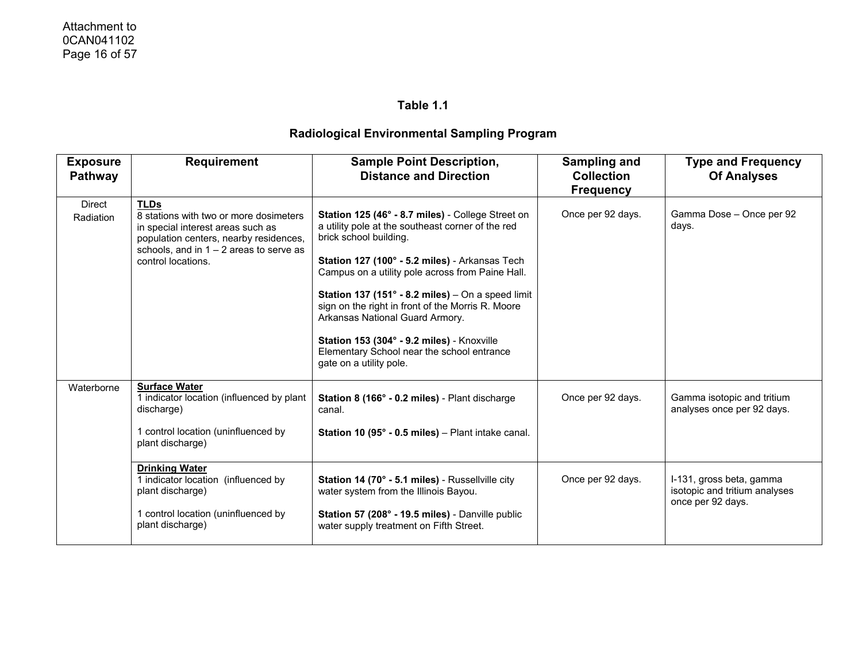| <b>Exposure</b><br><b>Pathway</b> | <b>Requirement</b>                                                                                                                                                                                      | <b>Sample Point Description,</b><br><b>Distance and Direction</b>                                                                                                                                                                                                                                                                                                                                                                                                                                                   | Sampling and<br><b>Collection</b><br><b>Frequency</b> | <b>Type and Frequency</b><br><b>Of Analyses</b>                                |
|-----------------------------------|---------------------------------------------------------------------------------------------------------------------------------------------------------------------------------------------------------|---------------------------------------------------------------------------------------------------------------------------------------------------------------------------------------------------------------------------------------------------------------------------------------------------------------------------------------------------------------------------------------------------------------------------------------------------------------------------------------------------------------------|-------------------------------------------------------|--------------------------------------------------------------------------------|
| <b>Direct</b><br>Radiation        | <b>TLDs</b><br>8 stations with two or more dosimeters<br>in special interest areas such as<br>population centers, nearby residences,<br>schools, and in $1 - 2$ areas to serve as<br>control locations. | Station 125 (46° - 8.7 miles) - College Street on<br>a utility pole at the southeast corner of the red<br>brick school building.<br>Station 127 (100° - 5.2 miles) - Arkansas Tech<br>Campus on a utility pole across from Paine Hall.<br>Station 137 (151 $\degree$ - 8.2 miles) – On a speed limit<br>sign on the right in front of the Morris R. Moore<br>Arkansas National Guard Armory.<br>Station 153 (304° - 9.2 miles) - Knoxville<br>Elementary School near the school entrance<br>gate on a utility pole. | Once per 92 days.                                     | Gamma Dose - Once per 92<br>days.                                              |
| Waterborne                        | <b>Surface Water</b><br>1 indicator location (influenced by plant<br>discharge)<br>1 control location (uninfluenced by<br>plant discharge)                                                              | Station 8 (166° - 0.2 miles) - Plant discharge<br>canal.<br><b>Station 10 (95° - 0.5 miles)</b> – Plant intake canal.                                                                                                                                                                                                                                                                                                                                                                                               | Once per 92 days.                                     | Gamma isotopic and tritium<br>analyses once per 92 days.                       |
|                                   | <b>Drinking Water</b><br>1 indicator location (influenced by<br>plant discharge)<br>1 control location (uninfluenced by<br>plant discharge)                                                             | Station 14 (70° - 5.1 miles) - Russellville city<br>water system from the Illinois Bayou.<br>Station 57 (208° - 19.5 miles) - Danville public<br>water supply treatment on Fifth Street.                                                                                                                                                                                                                                                                                                                            | Once per 92 days.                                     | I-131, gross beta, gamma<br>isotopic and tritium analyses<br>once per 92 days. |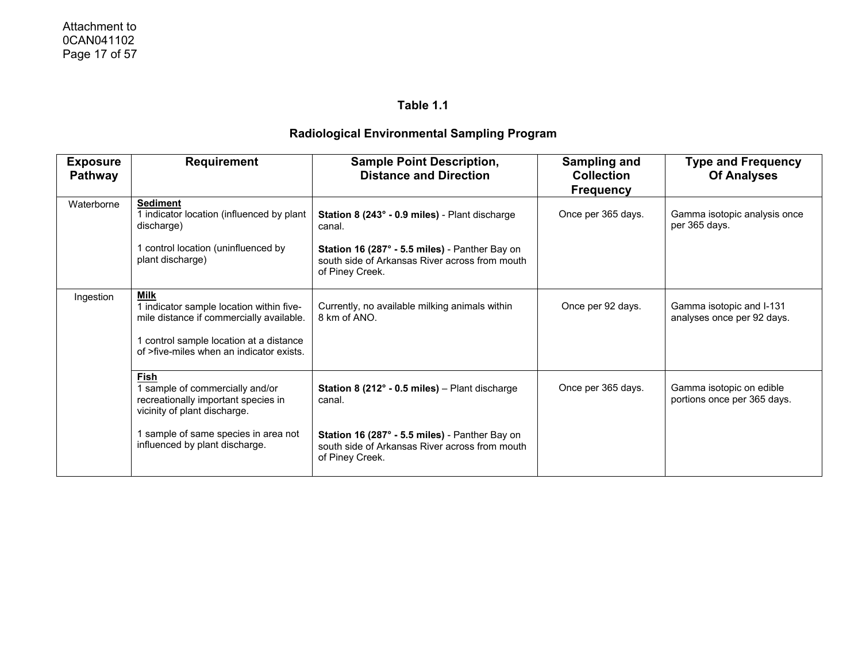| <b>Exposure</b><br><b>Pathway</b> | <b>Requirement</b>                                                                                                                                                                          | <b>Sample Point Description,</b><br><b>Distance and Direction</b>                                                                                                                                          | Sampling and<br><b>Collection</b><br><b>Frequency</b> | <b>Type and Frequency</b><br><b>Of Analyses</b>         |
|-----------------------------------|---------------------------------------------------------------------------------------------------------------------------------------------------------------------------------------------|------------------------------------------------------------------------------------------------------------------------------------------------------------------------------------------------------------|-------------------------------------------------------|---------------------------------------------------------|
| Waterborne                        | <b>Sediment</b><br>I indicator location (influenced by plant<br>discharge)<br>control location (uninfluenced by<br>plant discharge)                                                         | Station 8 (243° - 0.9 miles) - Plant discharge<br>canal.<br>Station 16 (287° - 5.5 miles) - Panther Bay on<br>south side of Arkansas River across from mouth<br>of Piney Creek.                            | Once per 365 days.                                    | Gamma isotopic analysis once<br>per 365 days.           |
| Ingestion                         | <b>Milk</b><br>1 indicator sample location within five-<br>mile distance if commercially available.<br>control sample location at a distance<br>of >five-miles when an indicator exists.    | Currently, no available milking animals within<br>8 km of ANO.                                                                                                                                             | Once per 92 days.                                     | Gamma isotopic and I-131<br>analyses once per 92 days.  |
|                                   | <b>Fish</b><br>sample of commercially and/or<br>recreationally important species in<br>vicinity of plant discharge.<br>sample of same species in area not<br>influenced by plant discharge. | <b>Station 8 (212<math>^{\circ}</math> - 0.5 miles)</b> – Plant discharge<br>canal.<br>Station 16 (287° - 5.5 miles) - Panther Bay on<br>south side of Arkansas River across from mouth<br>of Piney Creek. | Once per 365 days.                                    | Gamma isotopic on edible<br>portions once per 365 days. |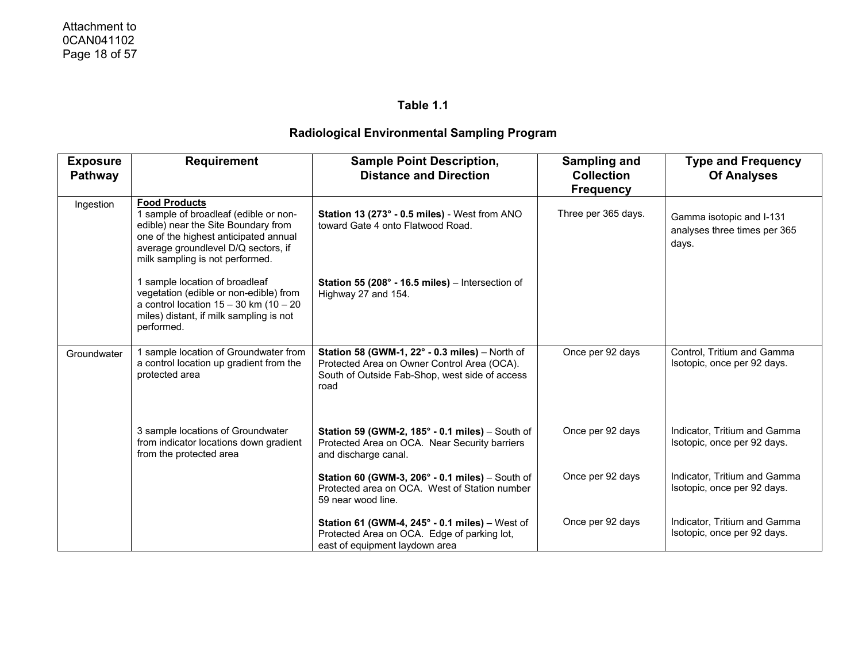| <b>Exposure</b><br><b>Pathway</b> | <b>Requirement</b>                                                                                                                                                                                                      | <b>Sample Point Description,</b><br><b>Distance and Direction</b>                                                                                       | Sampling and<br><b>Collection</b><br><b>Frequency</b> | <b>Type and Frequency</b><br><b>Of Analyses</b>                   |
|-----------------------------------|-------------------------------------------------------------------------------------------------------------------------------------------------------------------------------------------------------------------------|---------------------------------------------------------------------------------------------------------------------------------------------------------|-------------------------------------------------------|-------------------------------------------------------------------|
| Ingestion                         | <b>Food Products</b><br>1 sample of broadleaf (edible or non-<br>edible) near the Site Boundary from<br>one of the highest anticipated annual<br>average groundlevel D/Q sectors, if<br>milk sampling is not performed. | Station 13 (273° - 0.5 miles) - West from ANO<br>toward Gate 4 onto Flatwood Road.                                                                      | Three per 365 days.                                   | Gamma isotopic and I-131<br>analyses three times per 365<br>days. |
|                                   | 1 sample location of broadleaf<br>vegetation (edible or non-edible) from<br>a control location $15 - 30$ km (10 - 20<br>miles) distant, if milk sampling is not<br>performed.                                           | Station 55 (208° - 16.5 miles) - Intersection of<br>Highway 27 and 154.                                                                                 |                                                       |                                                                   |
| Groundwater                       | 1 sample location of Groundwater from<br>a control location up gradient from the<br>protected area                                                                                                                      | Station 58 (GWM-1, 22° - 0.3 miles) - North of<br>Protected Area on Owner Control Area (OCA).<br>South of Outside Fab-Shop, west side of access<br>road | Once per 92 days                                      | Control, Tritium and Gamma<br>Isotopic, once per 92 days.         |
|                                   | 3 sample locations of Groundwater<br>from indicator locations down gradient<br>from the protected area                                                                                                                  | Station 59 (GWM-2, $185^\circ$ - 0.1 miles) – South of<br>Protected Area on OCA. Near Security barriers<br>and discharge canal.                         | Once per 92 days                                      | Indicator, Tritium and Gamma<br>Isotopic, once per 92 days.       |
|                                   |                                                                                                                                                                                                                         | Station 60 (GWM-3, $206^\circ$ - 0.1 miles) – South of<br>Protected area on OCA. West of Station number<br>59 near wood line.                           | Once per 92 days                                      | Indicator, Tritium and Gamma<br>Isotopic, once per 92 days.       |
|                                   |                                                                                                                                                                                                                         | Station 61 (GWM-4, 245° - 0.1 miles) - West of<br>Protected Area on OCA. Edge of parking lot,<br>east of equipment laydown area                         | Once per 92 days                                      | Indicator, Tritium and Gamma<br>Isotopic, once per 92 days.       |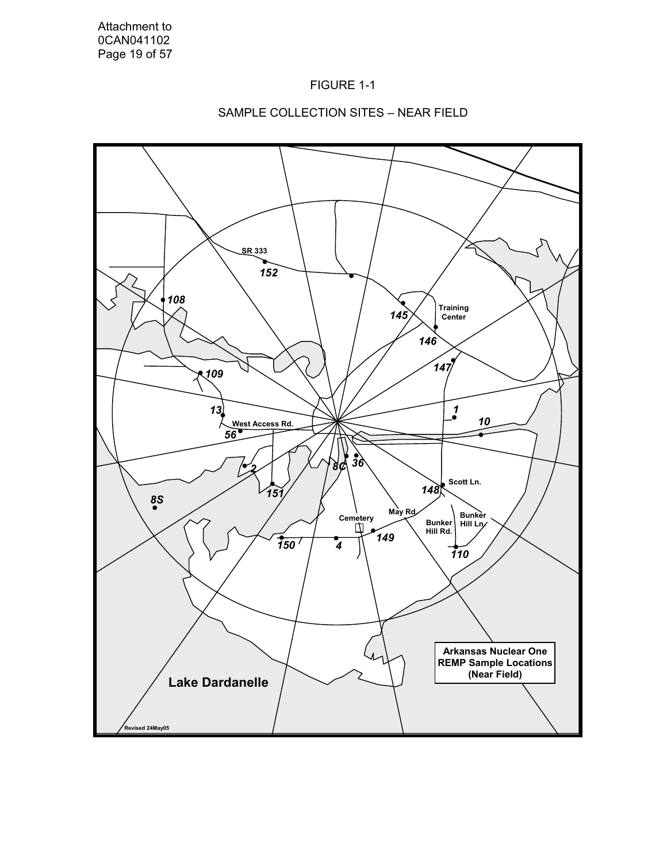



### SAMPLE COLLECTION SITES – NEAR FIELD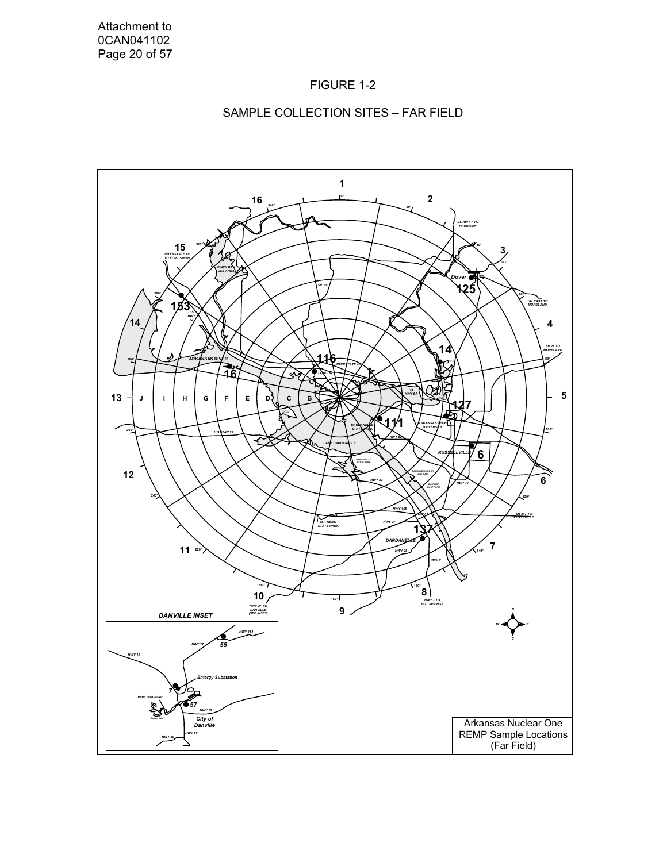![](_page_22_Figure_1.jpeg)

#### SAMPLE COLLECTION SITES – FAR FIELD

![](_page_22_Figure_3.jpeg)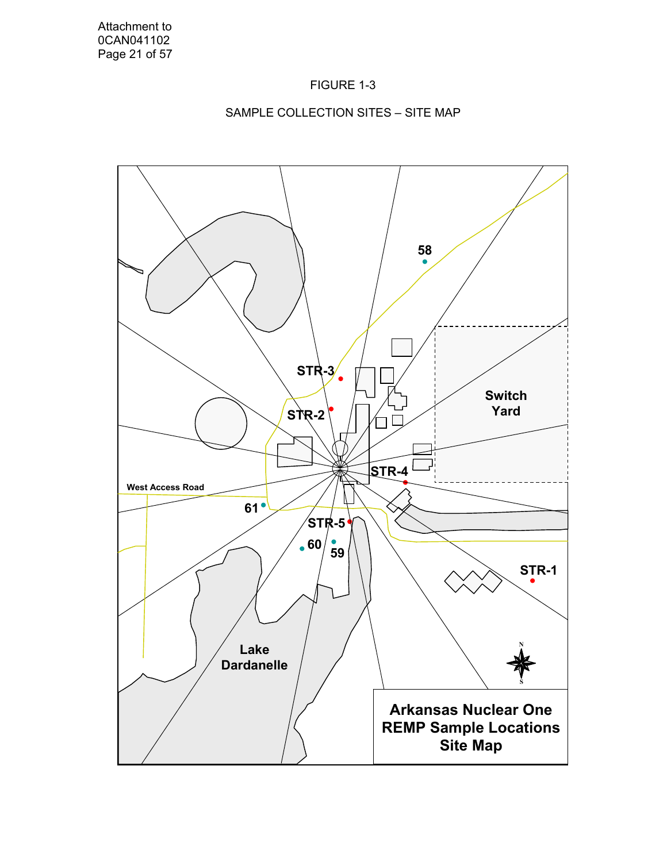![](_page_23_Figure_1.jpeg)

# SAMPLE COLLECTION SITES – SITE MAP

![](_page_23_Figure_3.jpeg)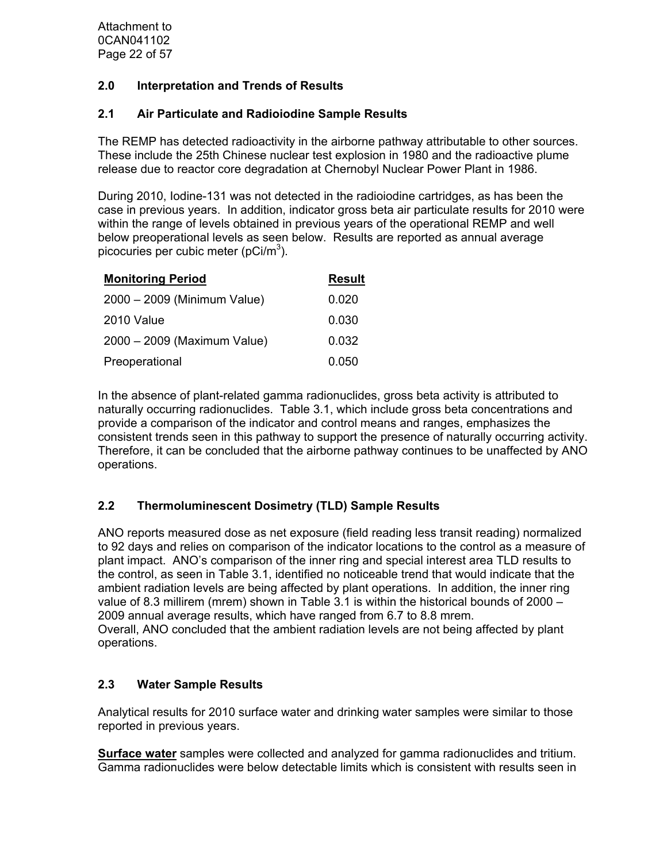### **2.0 Interpretation and Trends of Results**

### **2.1 Air Particulate and Radioiodine Sample Results**

The REMP has detected radioactivity in the airborne pathway attributable to other sources. These include the 25th Chinese nuclear test explosion in 1980 and the radioactive plume release due to reactor core degradation at Chernobyl Nuclear Power Plant in 1986.

During 2010, Iodine-131 was not detected in the radioiodine cartridges, as has been the case in previous years. In addition, indicator gross beta air particulate results for 2010 were within the range of levels obtained in previous years of the operational REMP and well below preoperational levels as seen below. Results are reported as annual average picocuries per cubic meter (pCi/m<sup>3</sup>).

| <b>Monitoring Period</b>    | <u>Result</u> |
|-----------------------------|---------------|
| 2000 - 2009 (Minimum Value) | 0.020         |
| 2010 Value                  | 0.030         |
| 2000 - 2009 (Maximum Value) | 0.032         |
| Preoperational              | 0.050         |

In the absence of plant-related gamma radionuclides, gross beta activity is attributed to naturally occurring radionuclides. Table 3.1, which include gross beta concentrations and provide a comparison of the indicator and control means and ranges, emphasizes the consistent trends seen in this pathway to support the presence of naturally occurring activity. Therefore, it can be concluded that the airborne pathway continues to be unaffected by ANO operations.

# **2.2 Thermoluminescent Dosimetry (TLD) Sample Results**

ANO reports measured dose as net exposure (field reading less transit reading) normalized to 92 days and relies on comparison of the indicator locations to the control as a measure of plant impact. ANO's comparison of the inner ring and special interest area TLD results to the control, as seen in Table 3.1, identified no noticeable trend that would indicate that the ambient radiation levels are being affected by plant operations. In addition, the inner ring value of 8.3 millirem (mrem) shown in Table 3.1 is within the historical bounds of 2000 – 2009 annual average results, which have ranged from 6.7 to 8.8 mrem. Overall, ANO concluded that the ambient radiation levels are not being affected by plant operations.

# **2.3 Water Sample Results**

Analytical results for 2010 surface water and drinking water samples were similar to those reported in previous years.

**Surface water** samples were collected and analyzed for gamma radionuclides and tritium. Gamma radionuclides were below detectable limits which is consistent with results seen in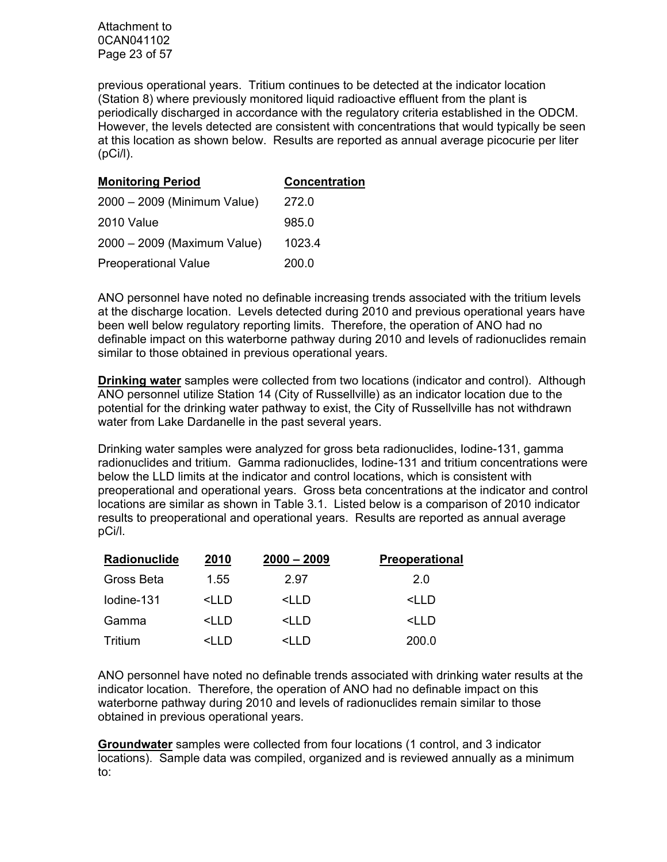Attachment to 0CAN041102 Page 23 of 57

previous operational years. Tritium continues to be detected at the indicator location (Station 8) where previously monitored liquid radioactive effluent from the plant is periodically discharged in accordance with the regulatory criteria established in the ODCM. However, the levels detected are consistent with concentrations that would typically be seen at this location as shown below. Results are reported as annual average picocurie per liter (pCi/l).

| <b>Monitoring Period</b>    | Concentration |
|-----------------------------|---------------|
| 2000 - 2009 (Minimum Value) | 272.0         |
| 2010 Value                  | 985.0         |
| 2000 - 2009 (Maximum Value) | 1023.4        |
| <b>Preoperational Value</b> | 200.0         |

ANO personnel have noted no definable increasing trends associated with the tritium levels at the discharge location. Levels detected during 2010 and previous operational years have been well below regulatory reporting limits. Therefore, the operation of ANO had no definable impact on this waterborne pathway during 2010 and levels of radionuclides remain similar to those obtained in previous operational years.

**Drinking water** samples were collected from two locations (indicator and control). Although ANO personnel utilize Station 14 (City of Russellville) as an indicator location due to the potential for the drinking water pathway to exist, the City of Russellville has not withdrawn water from Lake Dardanelle in the past several years.

Drinking water samples were analyzed for gross beta radionuclides, Iodine-131, gamma radionuclides and tritium. Gamma radionuclides, Iodine-131 and tritium concentrations were below the LLD limits at the indicator and control locations, which is consistent with preoperational and operational years. Gross beta concentrations at the indicator and control locations are similar as shown in Table 3.1. Listed below is a comparison of 2010 indicator results to preoperational and operational years. Results are reported as annual average pCi/l.

| Radionuclide | 2010                                                                        | $2000 - 2009$                                   | <b>Preoperational</b> |
|--------------|-----------------------------------------------------------------------------|-------------------------------------------------|-----------------------|
| Gross Beta   | 1.55                                                                        | 2.97                                            | 2.0                   |
| lodine-131   | $\leq$ l I D                                                                | $\leq$ l I D                                    | <lld< td=""></lld<>   |
| Gamma        | <lld< td=""><td><lld< td=""><td><lld< td=""></lld<></td></lld<></td></lld<> | <lld< td=""><td><lld< td=""></lld<></td></lld<> | <lld< td=""></lld<>   |
| Tritium      | $\triangleleft$ ID                                                          | <l 1="" d<="" td=""><td>200.0</td></l>          | 200.0                 |

ANO personnel have noted no definable trends associated with drinking water results at the indicator location. Therefore, the operation of ANO had no definable impact on this waterborne pathway during 2010 and levels of radionuclides remain similar to those obtained in previous operational years.

**Groundwater** samples were collected from four locations (1 control, and 3 indicator locations). Sample data was compiled, organized and is reviewed annually as a minimum to: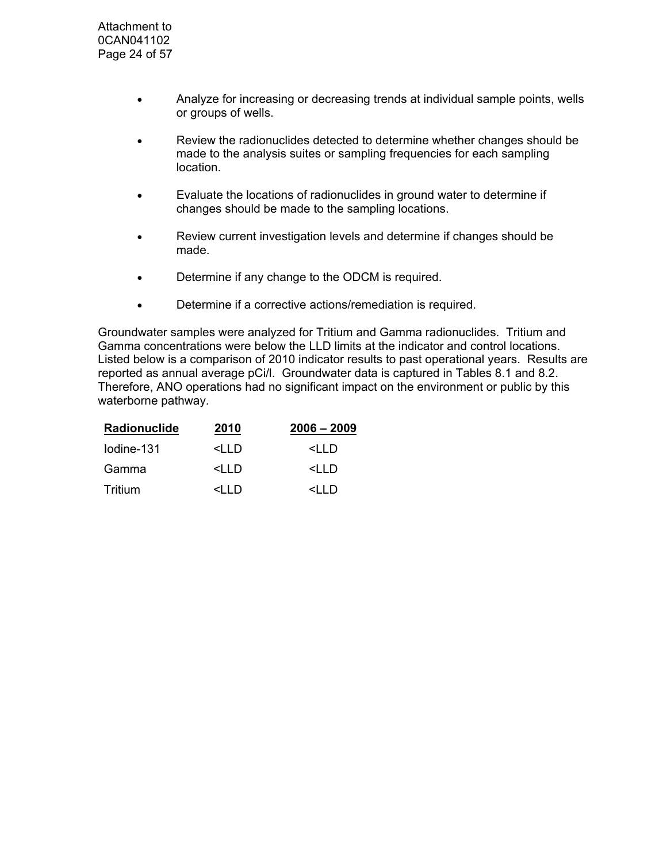- Analyze for increasing or decreasing trends at individual sample points, wells or groups of wells.
- Review the radionuclides detected to determine whether changes should be made to the analysis suites or sampling frequencies for each sampling location.
- Evaluate the locations of radionuclides in ground water to determine if changes should be made to the sampling locations.
- Review current investigation levels and determine if changes should be made.
- Determine if any change to the ODCM is required.
- Determine if a corrective actions/remediation is required.

Groundwater samples were analyzed for Tritium and Gamma radionuclides. Tritium and Gamma concentrations were below the LLD limits at the indicator and control locations. Listed below is a comparison of 2010 indicator results to past operational years. Results are reported as annual average pCi/l. Groundwater data is captured in Tables 8.1 and 8.2. Therefore, ANO operations had no significant impact on the environment or public by this waterborne pathway.

| Radionuclide | 2010                                                 | $2006 - 2009$            |
|--------------|------------------------------------------------------|--------------------------|
| lodine-131   | <iid< td=""><td><iid< td=""></iid<></td></iid<>      | <iid< td=""></iid<>      |
| Gamma        | <iid< td=""><td><i d<="" i="" td=""></i></td></iid<> | <i d<="" i="" td=""></i> |
| Tritium      |                                                      | <i d<="" i="" td=""></i> |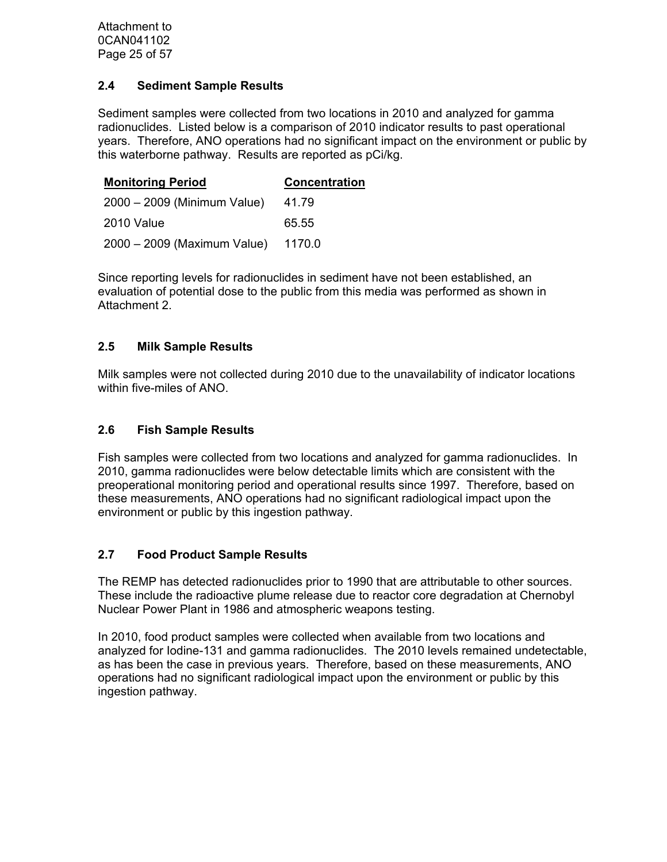Attachment to 0CAN041102 Page 25 of 57

#### **2.4 Sediment Sample Results**

Sediment samples were collected from two locations in 2010 and analyzed for gamma radionuclides. Listed below is a comparison of 2010 indicator results to past operational years. Therefore, ANO operations had no significant impact on the environment or public by this waterborne pathway. Results are reported as pCi/kg.

| <b>Monitoring Period</b>    | <b>Concentration</b> |
|-----------------------------|----------------------|
| 2000 - 2009 (Minimum Value) | 41.79                |
| 2010 Value                  | 65.55                |
| 2000 - 2009 (Maximum Value) | 1170.0               |

Since reporting levels for radionuclides in sediment have not been established, an evaluation of potential dose to the public from this media was performed as shown in Attachment 2.

### **2.5 Milk Sample Results**

Milk samples were not collected during 2010 due to the unavailability of indicator locations within five-miles of ANO.

### **2.6 Fish Sample Results**

Fish samples were collected from two locations and analyzed for gamma radionuclides. In 2010, gamma radionuclides were below detectable limits which are consistent with the preoperational monitoring period and operational results since 1997. Therefore, based on these measurements, ANO operations had no significant radiological impact upon the environment or public by this ingestion pathway.

### **2.7 Food Product Sample Results**

The REMP has detected radionuclides prior to 1990 that are attributable to other sources. These include the radioactive plume release due to reactor core degradation at Chernobyl Nuclear Power Plant in 1986 and atmospheric weapons testing.

In 2010, food product samples were collected when available from two locations and analyzed for Iodine-131 and gamma radionuclides. The 2010 levels remained undetectable, as has been the case in previous years. Therefore, based on these measurements, ANO operations had no significant radiological impact upon the environment or public by this ingestion pathway.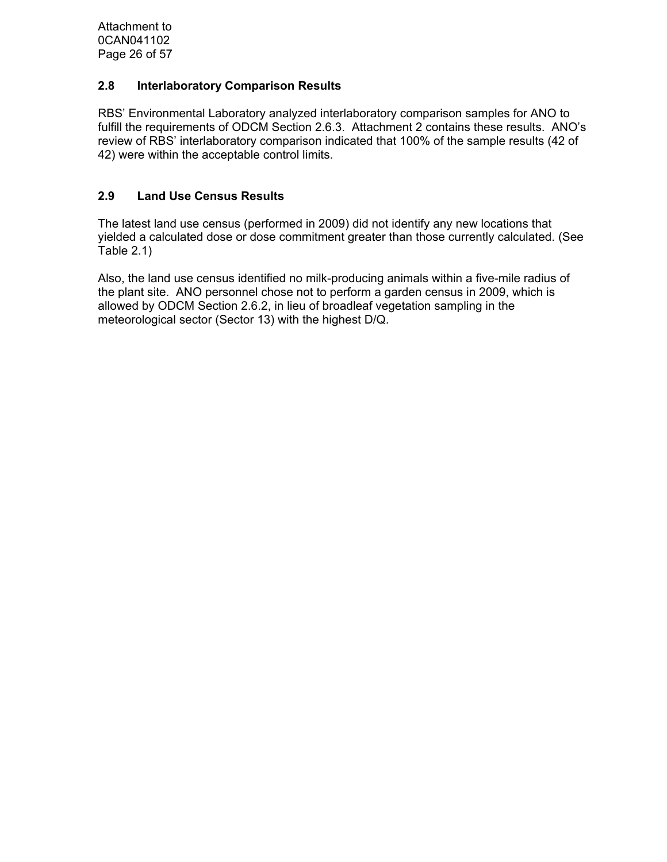Attachment to 0CAN041102 Page 26 of 57

### **2.8 Interlaboratory Comparison Results**

RBS' Environmental Laboratory analyzed interlaboratory comparison samples for ANO to fulfill the requirements of ODCM Section 2.6.3. Attachment 2 contains these results. ANO's review of RBS' interlaboratory comparison indicated that 100% of the sample results (42 of 42) were within the acceptable control limits.

#### **2.9 Land Use Census Results**

The latest land use census (performed in 2009) did not identify any new locations that yielded a calculated dose or dose commitment greater than those currently calculated. (See Table 2.1)

Also, the land use census identified no milk-producing animals within a five-mile radius of the plant site. ANO personnel chose not to perform a garden census in 2009, which is allowed by ODCM Section 2.6.2, in lieu of broadleaf vegetation sampling in the meteorological sector (Sector 13) with the highest D/Q.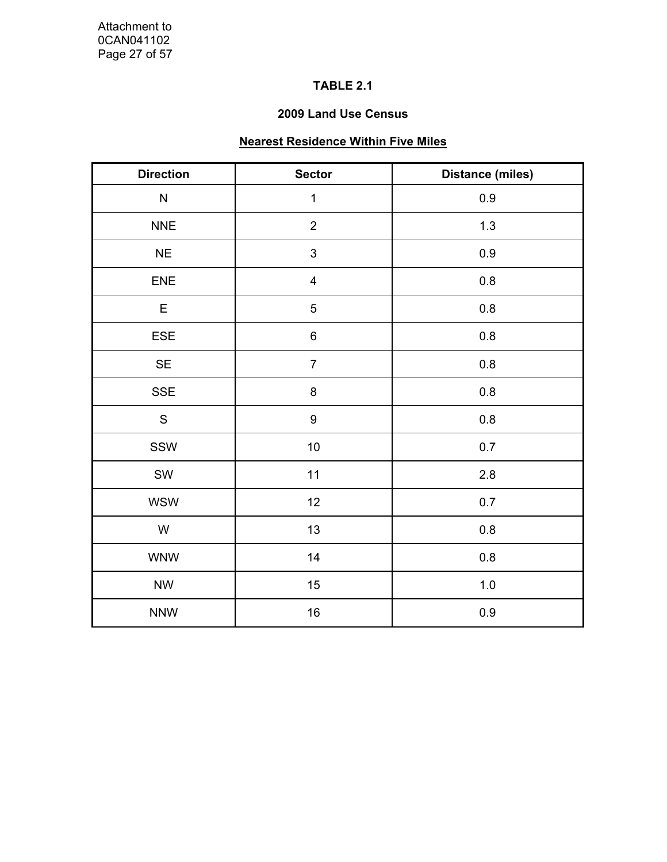### **TABLE 2.1**

### **2009 Land Use Census**

# **Nearest Residence Within Five Miles**

| <b>Direction</b> | <b>Sector</b>           | <b>Distance (miles)</b> |  |  |
|------------------|-------------------------|-------------------------|--|--|
| ${\sf N}$        | $\mathbf{1}$            | $0.9\,$                 |  |  |
| <b>NNE</b>       | $\overline{2}$          | 1.3                     |  |  |
| NE               | 3                       | 0.9                     |  |  |
| ENE              | $\overline{\mathbf{4}}$ | $0.8\,$                 |  |  |
| E                | 5                       | 0.8                     |  |  |
| ESE              | $\,6\,$                 | $0.8\,$                 |  |  |
| SE               | $\overline{7}$          | $0.8\,$                 |  |  |
| <b>SSE</b>       | 8                       | 0.8                     |  |  |
| $\mathsf S$      | 9                       | $0.8\,$                 |  |  |
| SSW              | $10\,$                  | $0.7\,$                 |  |  |
| SW               | 11                      | 2.8                     |  |  |
| <b>WSW</b>       | 12                      | $0.7\,$                 |  |  |
| ${\sf W}$        | 13                      | 0.8                     |  |  |
| <b>WNW</b>       | 14                      | 0.8                     |  |  |
| <b>NW</b>        | 15                      | $1.0$                   |  |  |
| <b>NNW</b>       | $16\,$                  | 0.9                     |  |  |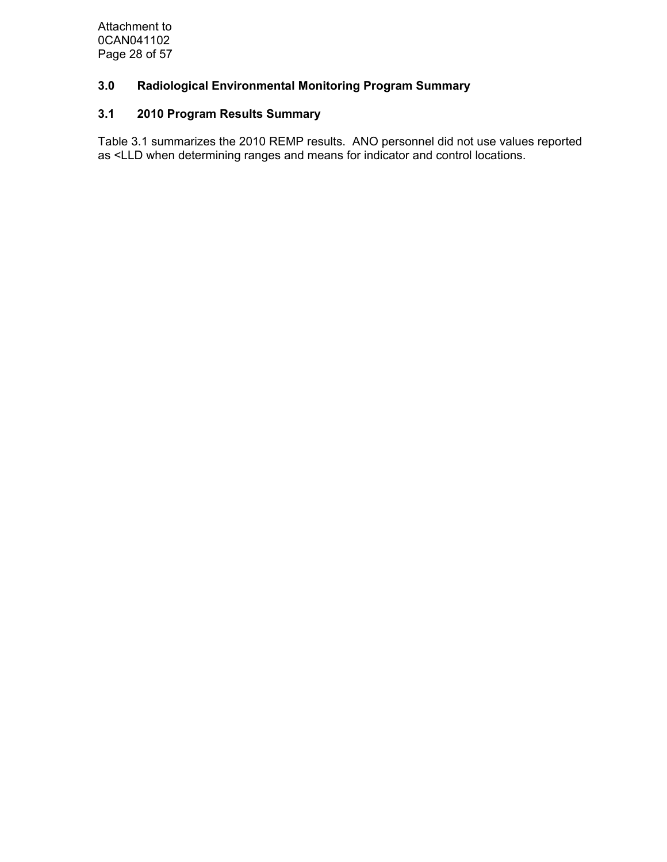Attachment to 0CAN041102 Page 28 of 57

# **3.0 Radiological Environmental Monitoring Program Summary**

# **3.1 2010 Program Results Summary**

Table 3.1 summarizes the 2010 REMP results. ANO personnel did not use values reported as <LLD when determining ranges and means for indicator and control locations.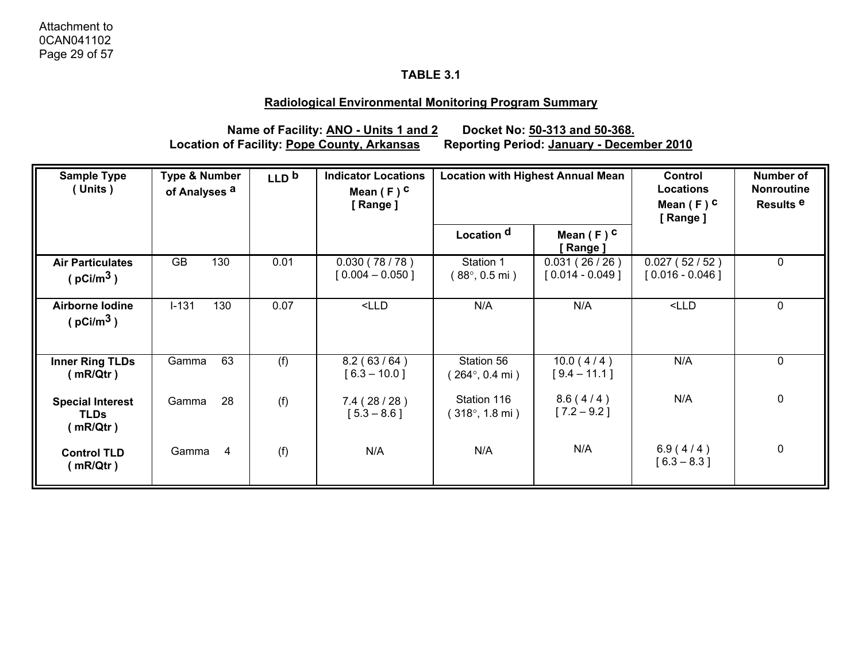### **Radiological Environmental Monitoring Program Summary**

**Location of Facility: Pope County, Arkansas** 

**Name of Facility: <u>ANO - Units 1 and 2</u> Docket No: 50-313 and 50-368.**<br>of Facility: <u>Pope County, Arkansas</u> Reporting Period: January - December 2010

| <b>Sample Type</b><br>(Units)                        | <b>Type &amp; Number</b><br>of Analyses <sup>a</sup> | LLD <sup>b</sup> | <b>Indicator Locations</b><br>Mean $(F)$ C<br>[Range] | <b>Location with Highest Annual Mean</b>       |                                   | Control<br><b>Locations</b><br>Mean $(F)$ C<br>[Range] | Number of<br><b>Nonroutine</b><br>Results <sup>e</sup> |
|------------------------------------------------------|------------------------------------------------------|------------------|-------------------------------------------------------|------------------------------------------------|-----------------------------------|--------------------------------------------------------|--------------------------------------------------------|
|                                                      |                                                      |                  |                                                       | Location <sup>d</sup>                          | Mean $(F)$ C<br>[ Range ]         |                                                        |                                                        |
| <b>Air Particulates</b><br>( $pc$ i/m <sup>3</sup> ) | GB<br>130                                            | 0.01             | 0.030(78/78)<br>$[0.004 - 0.050]$                     | Station 1<br>(88°, 0.5 mi)                     | 0.031(26/26)<br>$[0.014 - 0.049]$ | 0.027(52/52)<br>$[0.016 - 0.046]$                      | $\mathbf 0$                                            |
| Airborne Iodine<br>( $pCi/m3$ )                      | $I-131$<br>130                                       | 0.07             | $<$ LLD                                               | N/A                                            | N/A                               | $<$ LLD                                                | $\mathbf 0$                                            |
| <b>Inner Ring TLDs</b><br>(mR/Qtr)                   | 63<br>Gamma                                          | (f)              | 8.2(63/64)<br>$[6.3 - 10.0]$                          | Station 56<br>$264^{\circ}$ , 0.4 mi)          | 10.0(4/4)<br>$[9.4 - 11.1]$       | N/A                                                    | 0                                                      |
| <b>Special Interest</b><br><b>TLDs</b><br>(mR/Qtr)   | 28<br>Gamma                                          | (f)              | 7.4(28/28)<br>$[5.3 - 8.6]$                           | Station 116<br>$(318^{\circ}, 1.8 \text{ mi})$ | 8.6(4/4)<br>$[7.2 - 9.2]$         | N/A                                                    | $\boldsymbol{0}$                                       |
| <b>Control TLD</b><br>(mR/Qtr)                       | Gamma<br>$\overline{4}$                              | (f)              | N/A                                                   | N/A                                            | N/A                               | 6.9(4/4)<br>$[6.3 - 8.3]$                              | $\pmb{0}$                                              |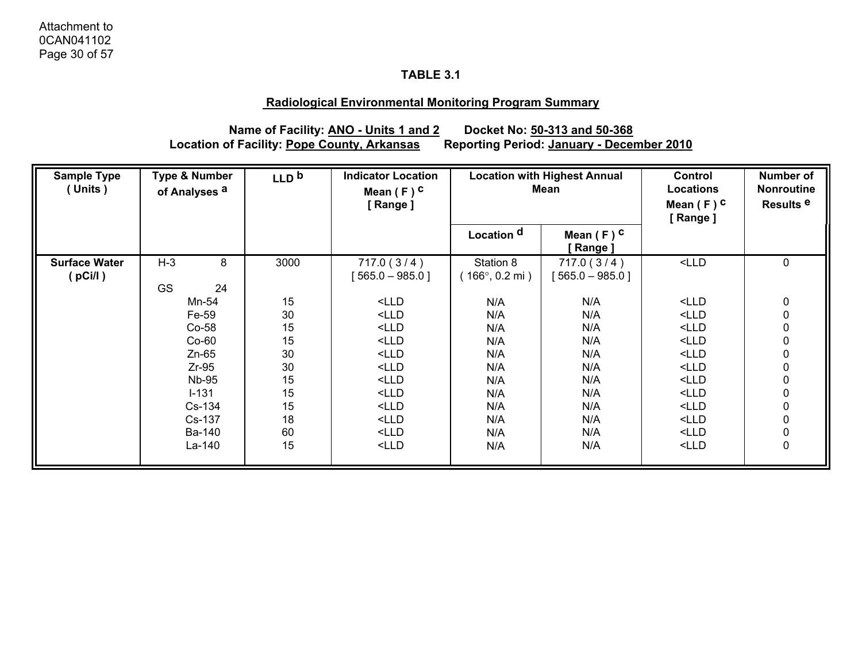### **Radiological Environmental Monitoring Program Summary**

**Location of Facility: Pope County, Arkansas** 

**Name of Facility: <u>ANO - Units 1 and 2</u> Docket No: 50-313 and 50-368**<br>of Facility: <u>Pope County, Arkansas</u> Reporting Period: <u>January - December 2010</u>

| <b>Sample Type</b><br>(Units)   | <b>Type &amp; Number</b><br>of Analyses <sup>a</sup>                                                                            | LLD <sub>b</sub>                                                     | <b>Indicator Location</b><br>Mean $(F)$ C<br>[Range]                                                                                                                                                                                                                                                                                                                                                                                                                                                                                                                                                                                                                                                                                                                                                                                                                                                                                                                                                                                                                                                                                                                                            | <b>Location with Highest Annual</b><br>Mean                                      |                                                                                  | <b>Control</b><br>Locations<br>Mean $(F)$ C<br>[Range]                                                                                                                                                                                                                                                                                                                                                                                                                                                                                                                                                                                                                   | Number of<br><b>Nonroutine</b><br>Results <sup>e</sup>                                                                                                   |
|---------------------------------|---------------------------------------------------------------------------------------------------------------------------------|----------------------------------------------------------------------|-------------------------------------------------------------------------------------------------------------------------------------------------------------------------------------------------------------------------------------------------------------------------------------------------------------------------------------------------------------------------------------------------------------------------------------------------------------------------------------------------------------------------------------------------------------------------------------------------------------------------------------------------------------------------------------------------------------------------------------------------------------------------------------------------------------------------------------------------------------------------------------------------------------------------------------------------------------------------------------------------------------------------------------------------------------------------------------------------------------------------------------------------------------------------------------------------|----------------------------------------------------------------------------------|----------------------------------------------------------------------------------|--------------------------------------------------------------------------------------------------------------------------------------------------------------------------------------------------------------------------------------------------------------------------------------------------------------------------------------------------------------------------------------------------------------------------------------------------------------------------------------------------------------------------------------------------------------------------------------------------------------------------------------------------------------------------|----------------------------------------------------------------------------------------------------------------------------------------------------------|
|                                 |                                                                                                                                 |                                                                      |                                                                                                                                                                                                                                                                                                                                                                                                                                                                                                                                                                                                                                                                                                                                                                                                                                                                                                                                                                                                                                                                                                                                                                                                 | Location <sup>d</sup>                                                            | Mean $(F)$ C<br>[ Range ]                                                        |                                                                                                                                                                                                                                                                                                                                                                                                                                                                                                                                                                                                                                                                          |                                                                                                                                                          |
| <b>Surface Water</b><br>(pCi/l) | $H-3$<br>8<br><b>GS</b><br>24                                                                                                   | 3000                                                                 | 717.0(3/4)<br>$[565.0 - 985.0]$                                                                                                                                                                                                                                                                                                                                                                                                                                                                                                                                                                                                                                                                                                                                                                                                                                                                                                                                                                                                                                                                                                                                                                 | Station 8<br>$166^{\circ}$ , 0.2 mi)                                             | 717.0(3/4)<br>$[565.0 - 985.0]$                                                  | $<$ LLD                                                                                                                                                                                                                                                                                                                                                                                                                                                                                                                                                                                                                                                                  | $\mathbf 0$                                                                                                                                              |
|                                 | Mn-54<br>Fe-59<br>$Co-58$<br>$Co-60$<br>$Zn-65$<br>$Zr-95$<br><b>Nb-95</b><br>$I - 131$<br>Cs-134<br>Cs-137<br>Ba-140<br>La-140 | 15<br>30<br>15<br>15<br>30<br>30<br>15<br>15<br>15<br>18<br>60<br>15 | $<$ LLD<br>$<$ LLD<br>$<$ LLD<br>$<$ LLD<br>$<$ LLD<br>$<$ LLD<br>$<$ LLD<br>$<$ LLD<br>$<$ LLD<br>$<$ LLD<br>$<$ LLD<br><lld< td=""><td>N/A<br/>N/A<br/>N/A<br/>N/A<br/>N/A<br/>N/A<br/>N/A<br/>N/A<br/>N/A<br/>N/A<br/>N/A<br/>N/A</td><td>N/A<br/>N/A<br/>N/A<br/>N/A<br/>N/A<br/>N/A<br/>N/A<br/>N/A<br/>N/A<br/>N/A<br/>N/A<br/>N/A</td><td><math>&lt;</math>LLD<br/><math>&lt;</math>LLD<br/><math>&lt;</math>LLD<br/><math>&lt;</math>LLD<br/><math>&lt;</math>LLD<br/><math>&lt;</math>LLD<br/><math>&lt;</math>LLD<br/><math>&lt;</math>LLD<br/><math>&lt;</math>LLD<br/><math>&lt;</math>LLD<br/><math>&lt;</math>LLD<br/><lld< td=""><td><math display="inline">\pmb{0}</math><br/><math display="inline">\pmb{0}</math><br/><math display="inline">\pmb{0}</math><br/><math display="inline">\pmb{0}</math><br/><math display="inline">\pmb{0}</math><br/><math display="inline">\pmb{0}</math><br/><math display="inline">\pmb{0}</math><br/><math display="inline">\pmb{0}</math><br/><math display="inline">\pmb{0}</math><br/><math display="inline">\pmb{0}</math><br/><math display="inline">\pmb{0}</math><br/><math display="inline">\pmb{0}</math></td></lld<></td></lld<> | N/A<br>N/A<br>N/A<br>N/A<br>N/A<br>N/A<br>N/A<br>N/A<br>N/A<br>N/A<br>N/A<br>N/A | N/A<br>N/A<br>N/A<br>N/A<br>N/A<br>N/A<br>N/A<br>N/A<br>N/A<br>N/A<br>N/A<br>N/A | $<$ LLD<br>$<$ LLD<br>$<$ LLD<br>$<$ LLD<br>$<$ LLD<br>$<$ LLD<br>$<$ LLD<br>$<$ LLD<br>$<$ LLD<br>$<$ LLD<br>$<$ LLD<br><lld< td=""><td><math display="inline">\pmb{0}</math><br/><math display="inline">\pmb{0}</math><br/><math display="inline">\pmb{0}</math><br/><math display="inline">\pmb{0}</math><br/><math display="inline">\pmb{0}</math><br/><math display="inline">\pmb{0}</math><br/><math display="inline">\pmb{0}</math><br/><math display="inline">\pmb{0}</math><br/><math display="inline">\pmb{0}</math><br/><math display="inline">\pmb{0}</math><br/><math display="inline">\pmb{0}</math><br/><math display="inline">\pmb{0}</math></td></lld<> | $\pmb{0}$<br>$\pmb{0}$<br>$\pmb{0}$<br>$\pmb{0}$<br>$\pmb{0}$<br>$\pmb{0}$<br>$\pmb{0}$<br>$\pmb{0}$<br>$\pmb{0}$<br>$\pmb{0}$<br>$\pmb{0}$<br>$\pmb{0}$ |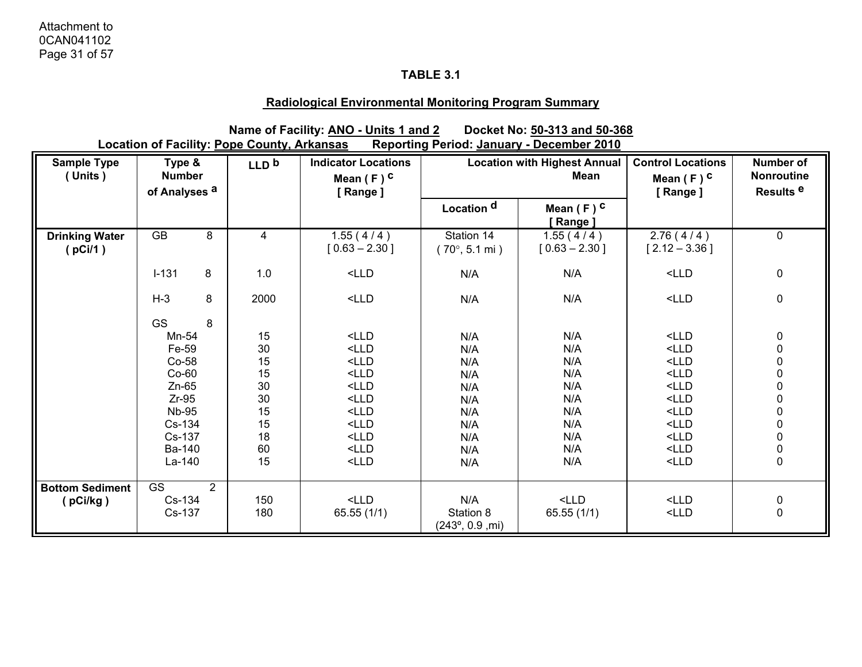### **Radiological Environmental Monitoring Program Summary**

**Name of Facility: ANO - Units 1 and 2** Docket No: 50-313 and 50-368<br>
<u>Dope County, Arkansas</u> Reporting Period: January - December 2010 **Location of Facility: Pope County, Arkansas** 

| <b>Sample Type</b><br>(Units)    | Type &<br><b>Number</b><br>of Analyses <sup>a</sup> |                | LLD <sub>b</sub> | <b>Indicator Locations</b><br>Mean $(F)$ C<br>[Range]                             | <b>Location with Highest Annual</b><br><b>Mean</b> |                              | <b>Control Locations</b><br>Mean $(F)$ C<br>[Range] | <b>Number of</b><br><b>Nonroutine</b><br>Results <sup>e</sup> |
|----------------------------------|-----------------------------------------------------|----------------|------------------|-----------------------------------------------------------------------------------|----------------------------------------------------|------------------------------|-----------------------------------------------------|---------------------------------------------------------------|
|                                  |                                                     |                |                  |                                                                                   | Location <sup>d</sup>                              | Mean $(F)$ C<br>[Range]      |                                                     |                                                               |
| <b>Drinking Water</b><br>(pCi/1) | GB                                                  | 8              | 4                | 1.55(4/4)<br>$[0.63 - 2.30]$                                                      | Station 14<br>$(70^{\circ}, 5.1 \text{ mi})$       | 1.55(4/4)<br>$[0.63 - 2.30]$ | 2.76(4/4)<br>$[2.12 - 3.36]$                        | $\mathbf 0$                                                   |
|                                  | $I-131$                                             | 8              | 1.0              | $<$ LLD                                                                           | N/A                                                | N/A                          | $<$ LLD                                             | 0                                                             |
|                                  | $H-3$                                               | 8              | 2000             | $<$ LLD                                                                           | N/A                                                | N/A                          | $<$ LLD                                             | 0                                                             |
|                                  | <b>GS</b>                                           | 8              |                  |                                                                                   |                                                    |                              |                                                     |                                                               |
|                                  | Mn-54                                               |                | 15               | $<$ LLD                                                                           | N/A                                                | N/A                          | $<$ LLD                                             |                                                               |
|                                  | Fe-59                                               |                | 30               | $<$ LLD                                                                           | N/A                                                | N/A                          | $<$ LLD                                             | $0$<br>$0$<br>$0$                                             |
|                                  | Co-58                                               |                | 15               | $<$ LLD                                                                           | N/A                                                | N/A                          | $<$ LLD                                             |                                                               |
|                                  | $Co-60$                                             |                | 15               | $<$ LLD                                                                           | N/A                                                | N/A                          | $<$ LLD                                             |                                                               |
|                                  | $Zn-65$                                             |                | 30               | $<$ LLD                                                                           | N/A                                                | N/A                          | $<$ LLD                                             |                                                               |
|                                  | $Zr-95$                                             |                | 30               | $<$ LLD                                                                           | N/A                                                | N/A                          | $<$ LLD                                             | $\begin{matrix} 0 \\ 0 \\ 0 \\ 0 \end{matrix}$                |
|                                  | <b>Nb-95</b>                                        |                | 15               | $<$ LLD                                                                           | N/A                                                | N/A                          | $<$ LLD                                             |                                                               |
|                                  | Cs-134                                              |                | 15               | $<$ LLD                                                                           | N/A                                                | N/A                          | $<$ LLD                                             | $\begin{matrix} 0 \\ 0 \\ 0 \\ 0 \end{matrix}$                |
|                                  | Cs-137                                              |                | 18               | <lld< th=""><th>N/A</th><th>N/A</th><th><math>&lt;</math>LLD</th><th></th></lld<> | N/A                                                | N/A                          | $<$ LLD                                             |                                                               |
|                                  | Ba-140                                              |                | 60               | $<$ LLD                                                                           | N/A                                                | N/A                          | $<$ LLD                                             |                                                               |
|                                  | La-140                                              |                | 15               | $<$ LLD                                                                           | N/A                                                | N/A                          | $<$ LLD                                             |                                                               |
| <b>Bottom Sediment</b>           | <b>GS</b>                                           | $\overline{2}$ |                  |                                                                                   |                                                    |                              |                                                     |                                                               |
| (pCi/kg)                         | Cs-134                                              |                | 150              | $<$ LLD                                                                           | N/A                                                | $<$ LLD                      | $<$ LLD                                             | $0\atop 0$                                                    |
|                                  | Cs-137                                              |                | 180              | 65.55(1/1)                                                                        | Station 8<br>$(243^{\circ}, 0.9, \text{mi})$       | 65.55(1/1)                   | $<$ LLD                                             |                                                               |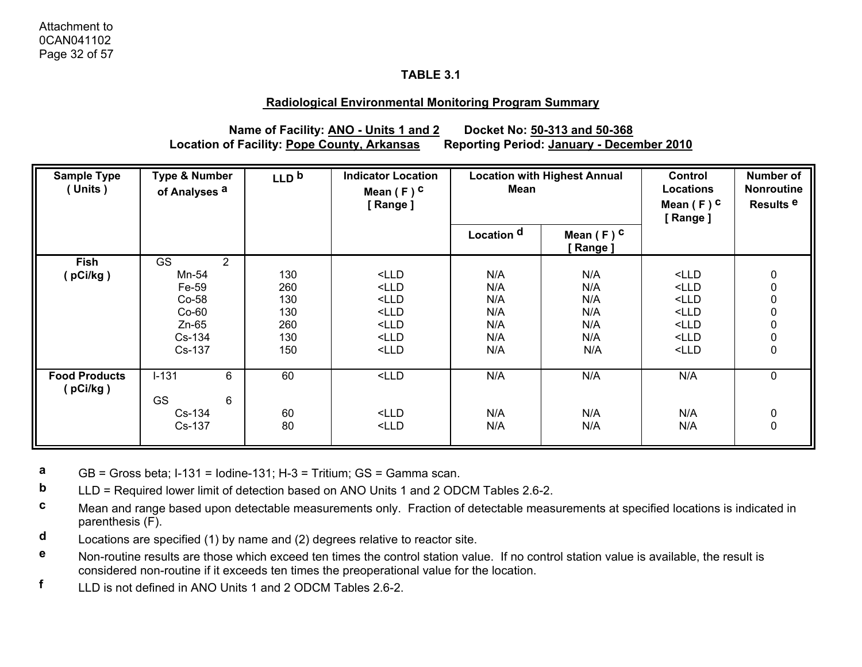#### **Radiological Environmental Monitoring Program Summary**

**Name of Facility: ANO - Units 1 and 2 Docket No: 50-313 and 50-368 Location of Facility: Pope County, Arkansas Reporting Period: January - December 2010**

| <b>Sample Type</b><br>(Units)    | <b>Type &amp; Number</b><br>of Analyses <sup>a</sup> |                | LLD <sub>b</sub> | <b>Indicator Location</b><br>Mean $(F)$ C<br>[Range]                                   | <b>Location with Highest Annual</b><br>Mean |                         | <b>Control</b><br><b>Locations</b><br>Mean $(F)$ C<br>[Range] | <b>Number of</b><br>Nonroutine<br>Results <sup>e</sup> |
|----------------------------------|------------------------------------------------------|----------------|------------------|----------------------------------------------------------------------------------------|---------------------------------------------|-------------------------|---------------------------------------------------------------|--------------------------------------------------------|
|                                  |                                                      |                |                  |                                                                                        | Location <sup>d</sup>                       | Mean $(F)$ C<br>[Range] |                                                               |                                                        |
| <b>Fish</b>                      | GS                                                   | $\overline{2}$ |                  |                                                                                        |                                             |                         |                                                               |                                                        |
| (pCi/kg)                         | Mn-54                                                |                | 130              | $<$ LLD                                                                                | N/A                                         | N/A                     | $<$ LLD                                                       | 0                                                      |
|                                  | Fe-59                                                |                | 260              | $<$ LLD                                                                                | N/A                                         | N/A                     | $<$ LLD                                                       | $\mathbf 0$                                            |
|                                  | Co-58                                                |                | 130              | $<$ LLD                                                                                | N/A                                         | N/A                     | <lld< td=""><td><math>\mathbf 0</math></td></lld<>            | $\mathbf 0$                                            |
|                                  | $Co-60$                                              |                | 130              | $<$ LLD                                                                                | N/A                                         | N/A                     | $<$ LLD                                                       | 0                                                      |
|                                  | $Zn-65$                                              |                | 260              | $<$ LLD                                                                                | N/A                                         | N/A                     | $<$ LLD                                                       | $\mathbf 0$                                            |
|                                  | Cs-134                                               |                | 130              | $<$ LLD                                                                                | N/A                                         | N/A                     | $<$ LLD                                                       | $\pmb{0}$                                              |
|                                  | Cs-137                                               |                | 150              | $<$ LLD                                                                                | N/A                                         | N/A                     | $<$ LLD                                                       | $\mathbf 0$                                            |
| <b>Food Products</b><br>(pCi/kg) | $I-131$                                              | 6              | 60               | $<$ LLD                                                                                | N/A                                         | N/A                     | N/A                                                           | $\mathbf 0$                                            |
|                                  | <b>GS</b>                                            | 6              |                  |                                                                                        |                                             |                         |                                                               |                                                        |
|                                  | $Cs-134$                                             |                | 60               | $<$ LLD                                                                                | N/A                                         | N/A                     | N/A                                                           | 0                                                      |
|                                  | Cs-137                                               |                | 80               | <lld< td=""><td>N/A</td><td>N/A</td><td>N/A</td><td><math>\mathbf 0</math></td></lld<> | N/A                                         | N/A                     | N/A                                                           | $\mathbf 0$                                            |

**a**GB = Gross beta; I-131 = Iodine-131; H-3 = Tritium; GS = Gamma scan.

- **b**LLD = Required lower limit of detection based on ANO Units 1 and 2 ODCM Tables 2.6-2.
- **c** Mean and range based upon detectable measurements only. Fraction of detectable measurements at specified locations is indicated in parenthesis (F).
- **d**Locations are specified (1) by name and (2) degrees relative to reactor site.
- **e** Non-routine results are those which exceed ten times the control station value. If no control station value is available, the result is considered non-routine if it exceeds ten times the preoperational value for the location.
- **f**LLD is not defined in ANO Units 1 and 2 ODCM Tables 2.6-2.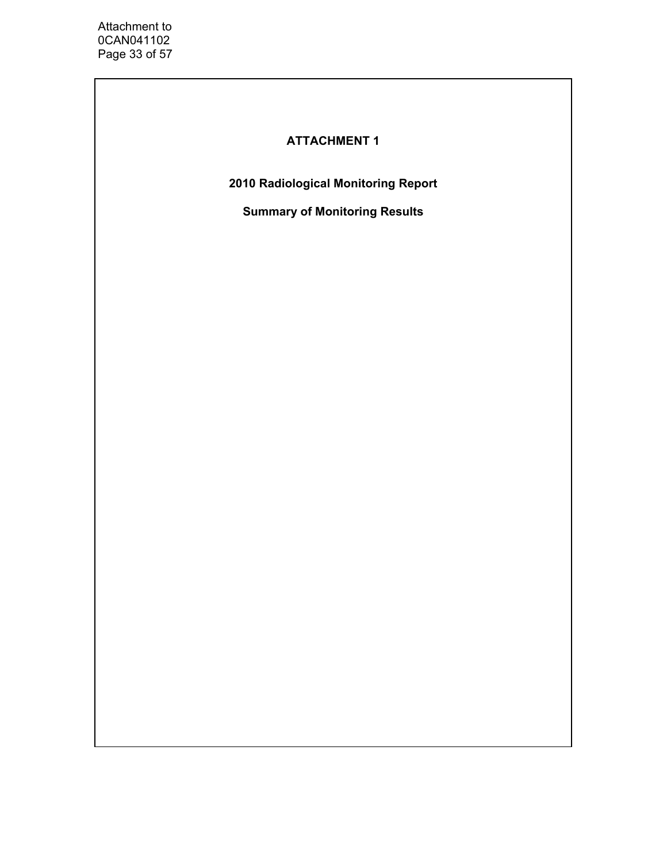# **ATTACHMENT 1**

**2010 Radiological Monitoring Report** 

**Summary of Monitoring Results**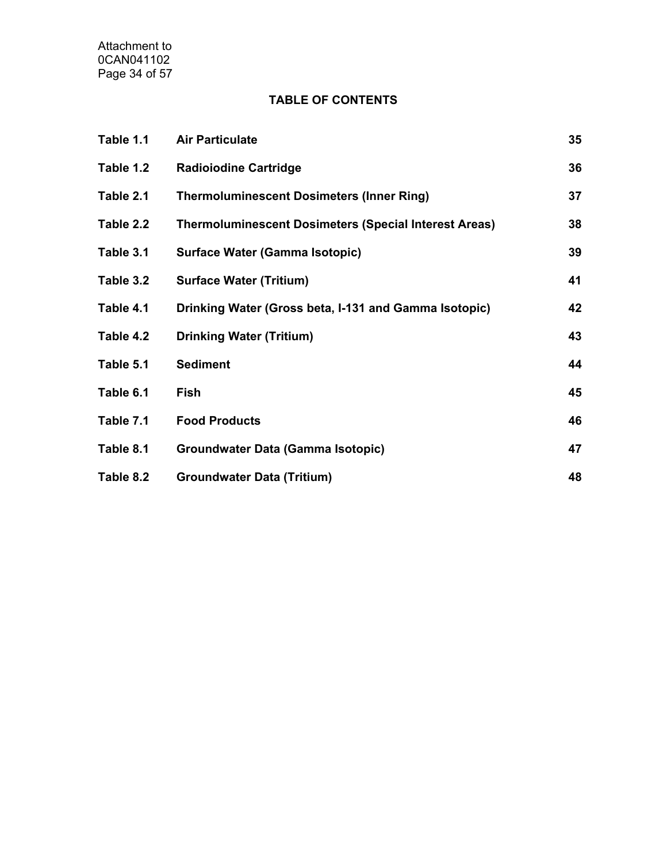Attachment to 0CAN041102 Page 34 of 57

# **TABLE OF CONTENTS**

| Table 1.1 | <b>Air Particulate</b>                                       | 35 |
|-----------|--------------------------------------------------------------|----|
| Table 1.2 | <b>Radioiodine Cartridge</b>                                 | 36 |
| Table 2.1 | <b>Thermoluminescent Dosimeters (Inner Ring)</b>             | 37 |
| Table 2.2 | <b>Thermoluminescent Dosimeters (Special Interest Areas)</b> | 38 |
| Table 3.1 | Surface Water (Gamma Isotopic)                               | 39 |
| Table 3.2 | <b>Surface Water (Tritium)</b>                               | 41 |
| Table 4.1 | Drinking Water (Gross beta, I-131 and Gamma Isotopic)        | 42 |
| Table 4.2 | <b>Drinking Water (Tritium)</b>                              | 43 |
| Table 5.1 | <b>Sediment</b>                                              | 44 |
| Table 6.1 | Fish                                                         | 45 |
| Table 7.1 | <b>Food Products</b>                                         | 46 |
| Table 8.1 | Groundwater Data (Gamma Isotopic)                            | 47 |
| Table 8.2 | <b>Groundwater Data (Tritium)</b>                            | 48 |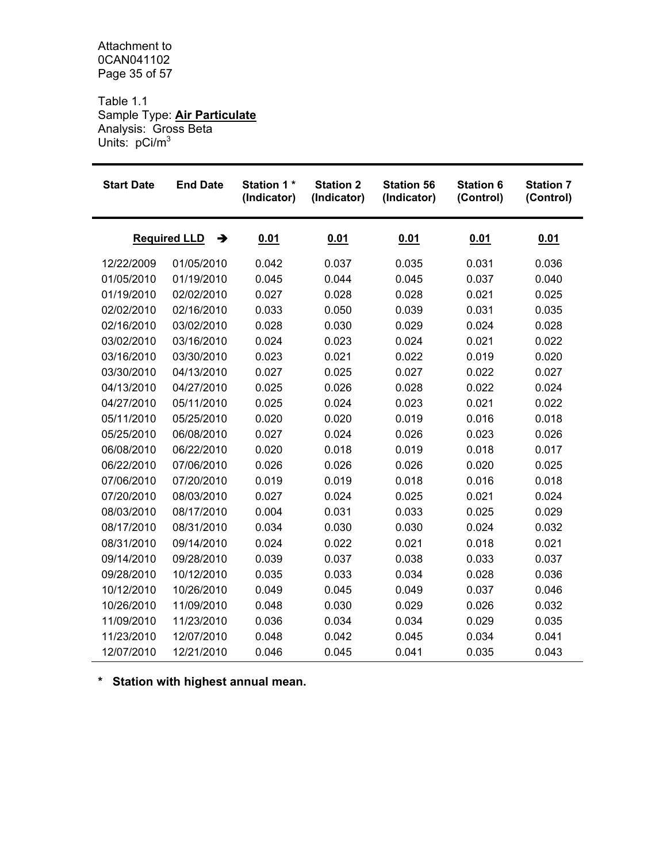Attachment to 0CAN041102 Page 35 of 57

Table 1.1 Sample Type: **Air Particulate** Analysis: Gross Beta Units: pCi/m<sup>3</sup>

| <b>Start Date</b> | <b>End Date</b>          | <b>Station 1*</b><br>(Indicator) | <b>Station 2</b><br>(Indicator) | <b>Station 56</b><br>(Indicator) | <b>Station 6</b><br>(Control) | <b>Station 7</b><br>(Control) |
|-------------------|--------------------------|----------------------------------|---------------------------------|----------------------------------|-------------------------------|-------------------------------|
|                   | <b>Required LLD</b><br>→ | 0.01                             | 0.01                            | 0.01                             | 0.01                          | 0.01                          |
| 12/22/2009        | 01/05/2010               | 0.042                            | 0.037                           | 0.035                            | 0.031                         | 0.036                         |
| 01/05/2010        | 01/19/2010               | 0.045                            | 0.044                           | 0.045                            | 0.037                         | 0.040                         |
| 01/19/2010        | 02/02/2010               | 0.027                            | 0.028                           | 0.028                            | 0.021                         | 0.025                         |
| 02/02/2010        | 02/16/2010               | 0.033                            | 0.050                           | 0.039                            | 0.031                         | 0.035                         |
| 02/16/2010        | 03/02/2010               | 0.028                            | 0.030                           | 0.029                            | 0.024                         | 0.028                         |
| 03/02/2010        | 03/16/2010               | 0.024                            | 0.023                           | 0.024                            | 0.021                         | 0.022                         |
| 03/16/2010        | 03/30/2010               | 0.023                            | 0.021                           | 0.022                            | 0.019                         | 0.020                         |
| 03/30/2010        | 04/13/2010               | 0.027                            | 0.025                           | 0.027                            | 0.022                         | 0.027                         |
| 04/13/2010        | 04/27/2010               | 0.025                            | 0.026                           | 0.028                            | 0.022                         | 0.024                         |
| 04/27/2010        | 05/11/2010               | 0.025                            | 0.024                           | 0.023                            | 0.021                         | 0.022                         |
| 05/11/2010        | 05/25/2010               | 0.020                            | 0.020                           | 0.019                            | 0.016                         | 0.018                         |
| 05/25/2010        | 06/08/2010               | 0.027                            | 0.024                           | 0.026                            | 0.023                         | 0.026                         |
| 06/08/2010        | 06/22/2010               | 0.020                            | 0.018                           | 0.019                            | 0.018                         | 0.017                         |
| 06/22/2010        | 07/06/2010               | 0.026                            | 0.026                           | 0.026                            | 0.020                         | 0.025                         |
| 07/06/2010        | 07/20/2010               | 0.019                            | 0.019                           | 0.018                            | 0.016                         | 0.018                         |
| 07/20/2010        | 08/03/2010               | 0.027                            | 0.024                           | 0.025                            | 0.021                         | 0.024                         |
| 08/03/2010        | 08/17/2010               | 0.004                            | 0.031                           | 0.033                            | 0.025                         | 0.029                         |
| 08/17/2010        | 08/31/2010               | 0.034                            | 0.030                           | 0.030                            | 0.024                         | 0.032                         |
| 08/31/2010        | 09/14/2010               | 0.024                            | 0.022                           | 0.021                            | 0.018                         | 0.021                         |
| 09/14/2010        | 09/28/2010               | 0.039                            | 0.037                           | 0.038                            | 0.033                         | 0.037                         |
| 09/28/2010        | 10/12/2010               | 0.035                            | 0.033                           | 0.034                            | 0.028                         | 0.036                         |
| 10/12/2010        | 10/26/2010               | 0.049                            | 0.045                           | 0.049                            | 0.037                         | 0.046                         |
| 10/26/2010        | 11/09/2010               | 0.048                            | 0.030                           | 0.029                            | 0.026                         | 0.032                         |
| 11/09/2010        | 11/23/2010               | 0.036                            | 0.034                           | 0.034                            | 0.029                         | 0.035                         |
| 11/23/2010        | 12/07/2010               | 0.048                            | 0.042                           | 0.045                            | 0.034                         | 0.041                         |
| 12/07/2010        | 12/21/2010               | 0.046                            | 0.045                           | 0.041                            | 0.035                         | 0.043                         |

**\* Station with highest annual mean.**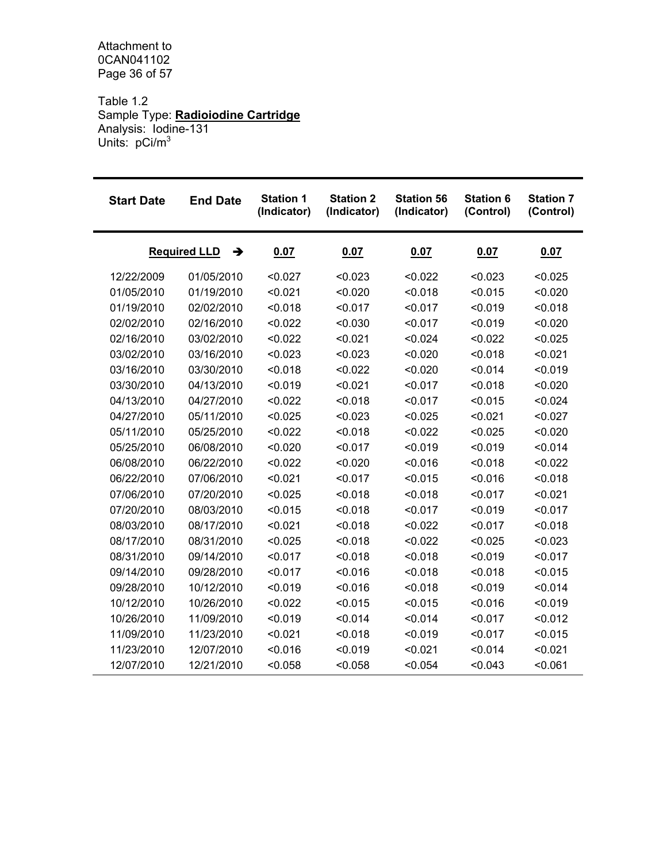Attachment to 0CAN041102 Page 36 of 57

Table 1.2 Sample Type: **Radioiodine Cartridge** Analysis: Iodine-131 Units: pCi/m<sup>3</sup>

| <b>Start Date</b> | <b>End Date</b>          | <b>Station 1</b><br>(Indicator) | <b>Station 2</b><br>(Indicator) | <b>Station 56</b><br>(Indicator) | <b>Station 6</b><br>(Control) | <b>Station 7</b><br>(Control) |
|-------------------|--------------------------|---------------------------------|---------------------------------|----------------------------------|-------------------------------|-------------------------------|
|                   | <b>Required LLD</b><br>→ | 0.07                            | 0.07                            | 0.07                             | 0.07                          | 0.07                          |
| 12/22/2009        | 01/05/2010               | < 0.027                         | < 0.023                         | < 0.022                          | < 0.023                       | < 0.025                       |
| 01/05/2010        | 01/19/2010               | < 0.021                         | < 0.020                         | < 0.018                          | < 0.015                       | < 0.020                       |
| 01/19/2010        | 02/02/2010               | < 0.018                         | < 0.017                         | < 0.017                          | < 0.019                       | < 0.018                       |
| 02/02/2010        | 02/16/2010               | < 0.022                         | < 0.030                         | < 0.017                          | < 0.019                       | < 0.020                       |
| 02/16/2010        | 03/02/2010               | < 0.022                         | < 0.021                         | < 0.024                          | < 0.022                       | < 0.025                       |
| 03/02/2010        | 03/16/2010               | < 0.023                         | < 0.023                         | < 0.020                          | < 0.018                       | < 0.021                       |
| 03/16/2010        | 03/30/2010               | < 0.018                         | < 0.022                         | < 0.020                          | < 0.014                       | < 0.019                       |
| 03/30/2010        | 04/13/2010               | < 0.019                         | < 0.021                         | < 0.017                          | < 0.018                       | < 0.020                       |
| 04/13/2010        | 04/27/2010               | < 0.022                         | < 0.018                         | < 0.017                          | < 0.015                       | < 0.024                       |
| 04/27/2010        | 05/11/2010               | < 0.025                         | < 0.023                         | < 0.025                          | < 0.021                       | < 0.027                       |
| 05/11/2010        | 05/25/2010               | < 0.022                         | < 0.018                         | < 0.022                          | < 0.025                       | < 0.020                       |
| 05/25/2010        | 06/08/2010               | < 0.020                         | < 0.017                         | < 0.019                          | < 0.019                       | < 0.014                       |
| 06/08/2010        | 06/22/2010               | < 0.022                         | < 0.020                         | < 0.016                          | < 0.018                       | < 0.022                       |
| 06/22/2010        | 07/06/2010               | < 0.021                         | < 0.017                         | < 0.015                          | < 0.016                       | < 0.018                       |
| 07/06/2010        | 07/20/2010               | < 0.025                         | < 0.018                         | < 0.018                          | < 0.017                       | < 0.021                       |
| 07/20/2010        | 08/03/2010               | < 0.015                         | < 0.018                         | < 0.017                          | < 0.019                       | < 0.017                       |
| 08/03/2010        | 08/17/2010               | < 0.021                         | < 0.018                         | < 0.022                          | < 0.017                       | < 0.018                       |
| 08/17/2010        | 08/31/2010               | < 0.025                         | < 0.018                         | < 0.022                          | < 0.025                       | < 0.023                       |
| 08/31/2010        | 09/14/2010               | < 0.017                         | < 0.018                         | < 0.018                          | < 0.019                       | < 0.017                       |
| 09/14/2010        | 09/28/2010               | < 0.017                         | < 0.016                         | < 0.018                          | < 0.018                       | < 0.015                       |
| 09/28/2010        | 10/12/2010               | < 0.019                         | < 0.016                         | < 0.018                          | < 0.019                       | < 0.014                       |
| 10/12/2010        | 10/26/2010               | < 0.022                         | < 0.015                         | < 0.015                          | < 0.016                       | < 0.019                       |
| 10/26/2010        | 11/09/2010               | < 0.019                         | < 0.014                         | < 0.014                          | < 0.017                       | < 0.012                       |
| 11/09/2010        | 11/23/2010               | < 0.021                         | < 0.018                         | < 0.019                          | < 0.017                       | < 0.015                       |
| 11/23/2010        | 12/07/2010               | < 0.016                         | < 0.019                         | < 0.021                          | < 0.014                       | < 0.021                       |
| 12/07/2010        | 12/21/2010               | < 0.058                         | < 0.058                         | < 0.054                          | < 0.043                       | < 0.061                       |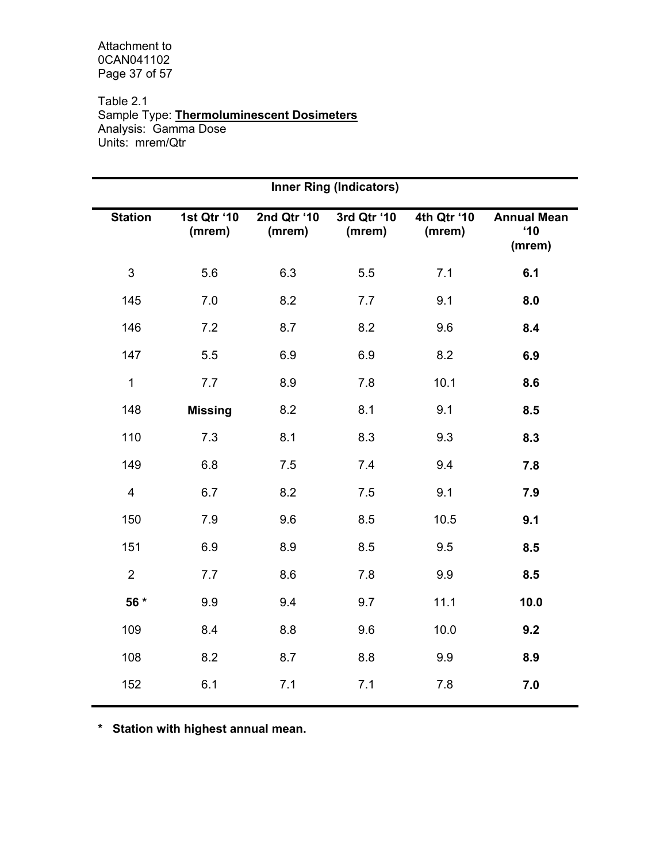Attachment to 0CAN041102 Page 37 of 57

Table 2.1 Sample Type: **Thermoluminescent Dosimeters** Analysis: Gamma Dose Units: mrem/Qtr

|                           |                       |                       | <b>Inner Ring (Indicators)</b> |                       |                                              |
|---------------------------|-----------------------|-----------------------|--------------------------------|-----------------------|----------------------------------------------|
| <b>Station</b>            | 1st Qtr '10<br>(mrem) | 2nd Qtr '10<br>(mrem) | 3rd Qtr '10<br>(mrem)          | 4th Qtr '10<br>(mrem) | <b>Annual Mean</b><br>$^{\circ}10$<br>(mrem) |
| $\ensuremath{\mathsf{3}}$ | 5.6                   | 6.3                   | 5.5                            | 7.1                   | 6.1                                          |
| 145                       | 7.0                   | 8.2                   | 7.7                            | 9.1                   | 8.0                                          |
| 146                       | 7.2                   | 8.7                   | 8.2                            | 9.6                   | 8.4                                          |
| 147                       | 5.5                   | 6.9                   | 6.9                            | 8.2                   | 6.9                                          |
| $\mathbf 1$               | 7.7                   | 8.9                   | 7.8                            | 10.1                  | 8.6                                          |
| 148                       | <b>Missing</b>        | 8.2                   | 8.1                            | 9.1                   | 8.5                                          |
| 110                       | 7.3                   | 8.1                   | 8.3                            | 9.3                   | 8.3                                          |
| 149                       | 6.8                   | 7.5                   | 7.4                            | 9.4                   | 7.8                                          |
| $\overline{\mathbf{4}}$   | 6.7                   | 8.2                   | 7.5                            | 9.1                   | 7.9                                          |
| 150                       | 7.9                   | 9.6                   | 8.5                            | 10.5                  | 9.1                                          |
| 151                       | 6.9                   | 8.9                   | 8.5                            | 9.5                   | 8.5                                          |
| $\overline{2}$            | 7.7                   | 8.6                   | 7.8                            | 9.9                   | 8.5                                          |
| 56 *                      | 9.9                   | 9.4                   | 9.7                            | 11.1                  | 10.0                                         |
| 109                       | 8.4                   | 8.8                   | 9.6                            | 10.0                  | 9.2                                          |
| 108                       | 8.2                   | 8.7                   | 8.8                            | 9.9                   | 8.9                                          |
| 152                       | 6.1                   | 7.1                   | 7.1                            | 7.8                   | 7.0                                          |

**\* Station with highest annual mean.**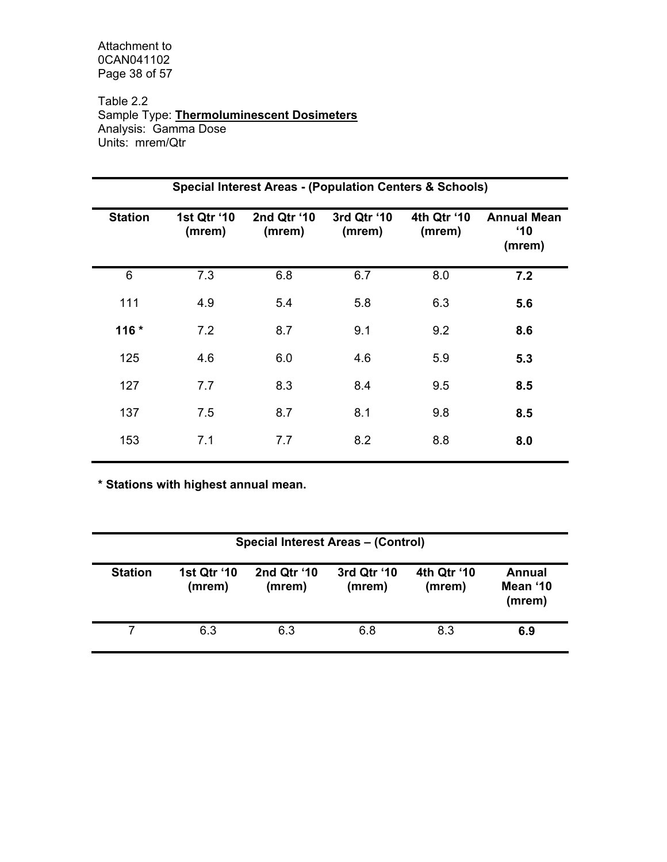Attachment to 0CAN041102 Page 38 of 57

Table 2.2 Sample Type: **Thermoluminescent Dosimeters** Analysis: Gamma Dose Units: mrem/Qtr

|                |                       | <b>Special Interest Areas - (Population Centers &amp; Schools)</b> |                       |                       |                                              |
|----------------|-----------------------|--------------------------------------------------------------------|-----------------------|-----------------------|----------------------------------------------|
| <b>Station</b> | 1st Qtr '10<br>(mrem) | 2nd Qtr '10<br>(mrem)                                              | 3rd Qtr '10<br>(mrem) | 4th Qtr '10<br>(mrem) | <b>Annual Mean</b><br>$^{\circ}10$<br>(mrem) |
| 6              | 7.3                   | 6.8                                                                | 6.7                   | 8.0                   | 7.2                                          |
| 111            | 4.9                   | 5.4                                                                | 5.8                   | 6.3                   | 5.6                                          |
| $116*$         | 7.2                   | 8.7                                                                | 9.1                   | 9.2                   | 8.6                                          |
| 125            | 4.6                   | 6.0                                                                | 4.6                   | 5.9                   | 5.3                                          |
| 127            | 7.7                   | 8.3                                                                | 8.4                   | 9.5                   | 8.5                                          |
| 137            | 7.5                   | 8.7                                                                | 8.1                   | 9.8                   | 8.5                                          |
| 153            | 7.1                   | 7.7                                                                | 8.2                   | 8.8                   | 8.0                                          |
|                |                       |                                                                    |                       |                       |                                              |

**\* Stations with highest annual mean.** 

|                | <b>Special Interest Areas - (Control)</b> |                       |                       |                       |                              |  |  |  |  |  |  |  |
|----------------|-------------------------------------------|-----------------------|-----------------------|-----------------------|------------------------------|--|--|--|--|--|--|--|
| <b>Station</b> | 1st Qtr '10<br>(mrem)                     | 2nd Qtr '10<br>(mrem) | 3rd Qtr '10<br>(mrem) | 4th Qtr '10<br>(mrem) | Annual<br>Mean '10<br>(mrem) |  |  |  |  |  |  |  |
|                | 6.3                                       | 6.3                   | 6.8                   | 8.3                   | 6.9                          |  |  |  |  |  |  |  |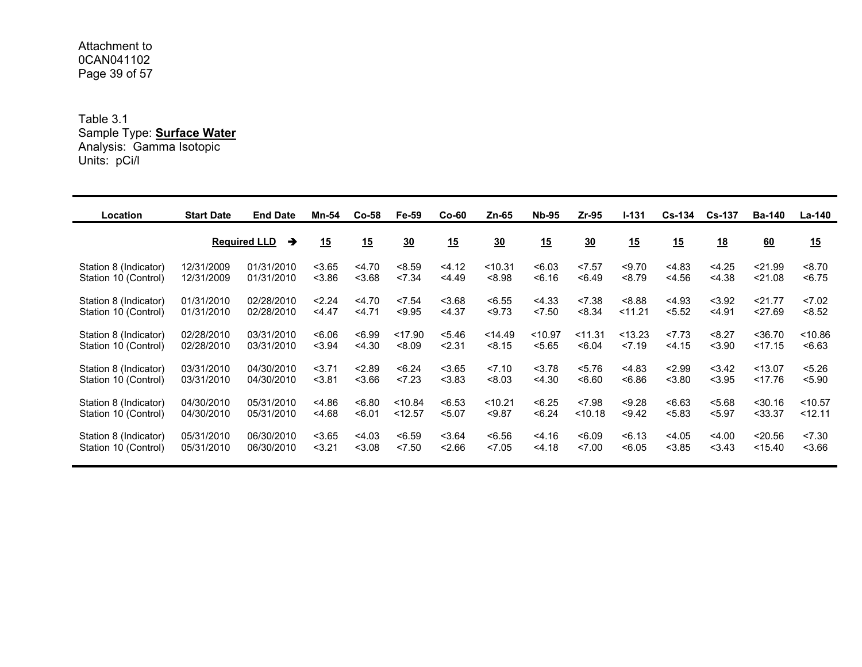Attachment to 0CAN041102Page 39 of 57

Table 3.1 Sample Type: **Surface Water** Analysis: Gamma Isotopic Units: pCi/l

| Location              | <b>Start Date</b> | <b>End Date</b>          | Mn-54  | $Co-58$ | Fe-59   | $Co-60$ | $Zn-65$        | <b>Nb-95</b> | $Zr-95$        | $1 - 131$ | <b>Cs-134</b> | <b>Cs-137</b> | <b>Ba-140</b> | La-140  |
|-----------------------|-------------------|--------------------------|--------|---------|---------|---------|----------------|--------------|----------------|-----------|---------------|---------------|---------------|---------|
|                       |                   | <b>Required LLD</b><br>→ | 15     | 15      | 30      | 15      | $\frac{30}{2}$ | 15           | $\frac{30}{2}$ | 15        | 15            | 18            | 60            | 15      |
| Station 8 (Indicator) | 12/31/2009        | 01/31/2010               | < 3.65 | 4.70    | < 8.59  | < 4.12  | < 10.31        | < 6.03       | < 7.57         | < 9.70    | < 4.83        | < 4.25        | < 21.99       | < 8.70  |
| Station 10 (Control)  | 12/31/2009        | 01/31/2010               | < 3.86 | 3.68    | < 7.34  | < 4.49  | < 8.98         | 56.16        | < 6.49         | < 8.79    | < 4.56        | < 4.38        | < 21.08       | < 6.75  |
| Station 8 (Indicator) | 01/31/2010        | 02/28/2010               | 2.24   | < 4.70  | < 7.54  | < 3.68  | < 6.55         | < 4.33       | < 7.38         | 8.88      | < 4.93        | < 3.92        | < 21.77       | < 7.02  |
| Station 10 (Control)  | 01/31/2010        | 02/28/2010               | 4.47   | 4.71    | < 9.95  | < 4.37  | < 9.73         | < 7.50       | < 8.34         | 11.21     | < 5.52        | < 4.91        | < 27.69       | < 8.52  |
| Station 8 (Indicator) | 02/28/2010        | 03/31/2010               | 80.06  | < 6.99  | < 17.90 | < 5.46  | < 14.49        | < 10.97      | < 11.31        | < 13.23   | 27.73         | < 8.27        | $<$ 36.70     | < 10.86 |
| Station 10 (Control)  | 02/28/2010        | 03/31/2010               | < 3.94 | < 4.30  | < 8.09  | < 2.31  | < 8.15         | < 5.65       | < 6.04         | 27.19     | < 4.15        | < 3.90        | < 17.15       | < 6.63  |
| Station 8 (Indicator) | 03/31/2010        | 04/30/2010               | 3.71   | 2.89    | < 6.24  | < 3.65  | < 7.10         | < 3.78       | < 5.76         | < 4.83    | < 2.99        | < 3.42        | < 13.07       | < 5.26  |
| Station 10 (Control)  | 03/31/2010        | 04/30/2010               | < 3.81 | 3.66    | 23      | < 3.83  | < 8.03         | < 4.30       | 56.60          | < 6.86    | < 3.80        | < 3.95        | < 17.76       | < 5.90  |
| Station 8 (Indicator) | 04/30/2010        | 05/31/2010               | < 4.86 | 56.80   | < 10.84 | < 6.53  | < 10.21        | < 6.25       | < 7.98         | < 9.28    | < 6.63        | < 5.68        | < 30.16       | < 10.57 |
| Station 10 (Control)  | 04/30/2010        | 05/31/2010               | 4.68   | < 6.01  | < 12.57 | < 5.07  | < 9.87         | < 6.24       | < 10.18        | < 9.42    | < 5.83        | < 5.97        | $<$ 33.37     | < 12.11 |
| Station 8 (Indicator) | 05/31/2010        | 06/30/2010               | < 3.65 | < 4.03  | < 6.59  | < 3.64  | < 6.56         | < 4.16       | < 6.09         | < 6.13    | < 4.05        | < 4.00        | < 20.56       | < 7.30  |
| Station 10 (Control)  | 05/31/2010        | 06/30/2010               | $3.21$ | < 3.08  | < 7.50  | < 2.66  | < 7.05         | < 4.18       | 27.00          | < 6.05    | < 3.85        | < 3.43        | < 15.40       | < 3.66  |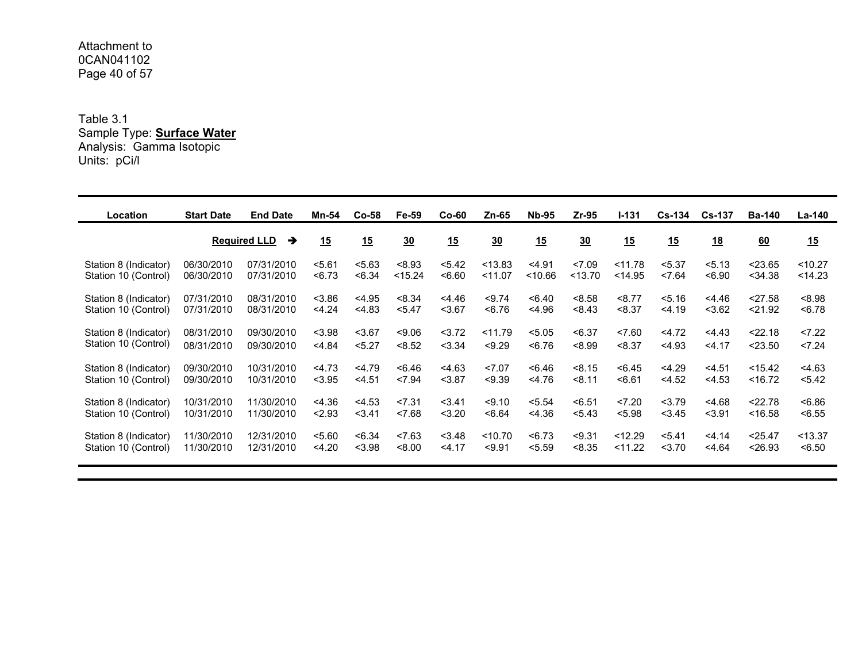Attachment to 0CAN041102Page 40 of 57

Table 3.1 Sample Type: **Surface Water** Analysis: Gamma Isotopic Units: pCi/l

| Location              | <b>Start Date</b> | <b>End Date</b>                      | Mn-54  | Co-58  | Fe-59   | $Co-60$ | Zn-65   | <b>Nb-95</b> | $Zr-95$          | $1 - 131$ | $Cs-134$ | <b>Cs-137</b> | <b>Ba-140</b> | La-140  |
|-----------------------|-------------------|--------------------------------------|--------|--------|---------|---------|---------|--------------|------------------|-----------|----------|---------------|---------------|---------|
|                       |                   | <b>Required LLD</b><br>$\rightarrow$ | 15     | 15     | 30      | 15      | 30      | 15           | $\underline{30}$ | 15        | 15       | <u>18</u>     | 60            | 15      |
| Station 8 (Indicator) | 06/30/2010        | 07/31/2010                           | 5.61   | < 5.63 | < 8.93  | < 5.42  | < 13.83 | < 4.91       | < 7.09           | < 11.78   | < 5.37   | < 5.13        | < 23.65       | < 10.27 |
| Station 10 (Control)  | 06/30/2010        | 07/31/2010                           | < 6.73 | < 6.34 | < 15.24 | 56.60   | < 11.07 | < 10.66      | < 13.70          | < 14.95   | < 7.64   | < 6.90        | $<$ 34.38     | < 14.23 |
| Station 8 (Indicator) | 07/31/2010        | 08/31/2010                           | < 3.86 | < 4.95 | < 8.34  | 4.46    | < 9.74  | < 6.40       | < 8.58           | < 8.77    | < 5.16   | < 4.46        | < 27.58       | < 8.98  |
| Station 10 (Control)  | 07/31/2010        | 08/31/2010                           | < 4.24 | < 4.83 | < 5.47  | < 3.67  | < 6.76  | < 4.96       | < 8.43           | < 8.37    | < 4.19   | < 3.62        | < 21.92       | < 6.78  |
| Station 8 (Indicator) | 08/31/2010        | 09/30/2010                           | < 3.98 | < 3.67 | < 9.06  | 3.72    | < 11.79 | < 5.05       | < 6.37           | < 7.60    | 4.72     | 4.43          | < 22.18       | 27.22   |
| Station 10 (Control)  | 08/31/2010        | 09/30/2010                           | < 4.84 | < 5.27 | < 8.52  | < 3.34  | < 9.29  | < 6.76       | < 8.99           | < 8.37    | < 4.93   | $<$ 4.17      | < 23.50       | 27.24   |
| Station 8 (Indicator) | 09/30/2010        | 10/31/2010                           | 4.73   | < 4.79 | < 6.46  | < 4.63  | < 7.07  | < 6.46       | < 8.15           | < 6.45    | < 4.29   | < 4.51        | < 15.42       | < 4.63  |
| Station 10 (Control)  | 09/30/2010        | 10/31/2010                           | < 3.95 | < 4.51 | < 7.94  | < 3.87  | < 9.39  | < 4.76       | < 8.11           | < 6.61    | < 4.52   | < 4.53        | < 16.72       | 5.42    |
| Station 8 (Indicator) | 10/31/2010        | 11/30/2010                           | < 4.36 | < 4.53 | < 7.31  | < 3.41  | < 9.10  | < 5.54       | < 6.51           | < 7.20    | < 3.79   | 4.68          | < 22.78       | < 6.86  |
| Station 10 (Control)  | 10/31/2010        | 11/30/2010                           | < 2.93 | 3.41   | < 7.68  | < 3.20  | < 6.64  | < 4.36       | < 5.43           | < 5.98    | < 3.45   | $3.91$        | < 16.58       | < 6.55  |
| Station 8 (Indicator) | 11/30/2010        | 12/31/2010                           | < 5.60 | < 6.34 | < 7.63  | < 3.48  | < 10.70 | < 6.73       | < 9.31           | < 12.29   | < 5.41   | < 4.14        | < 25.47       | < 13.37 |
| Station 10 (Control)  | 11/30/2010        | 12/31/2010                           | < 4.20 | < 3.98 | < 8.00  | < 4.17  | < 9.91  | < 5.59       | < 8.35           | < 11.22   | 3.70     | < 4.64        | < 26.93       | < 6.50  |
|                       |                   |                                      |        |        |         |         |         |              |                  |           |          |               |               |         |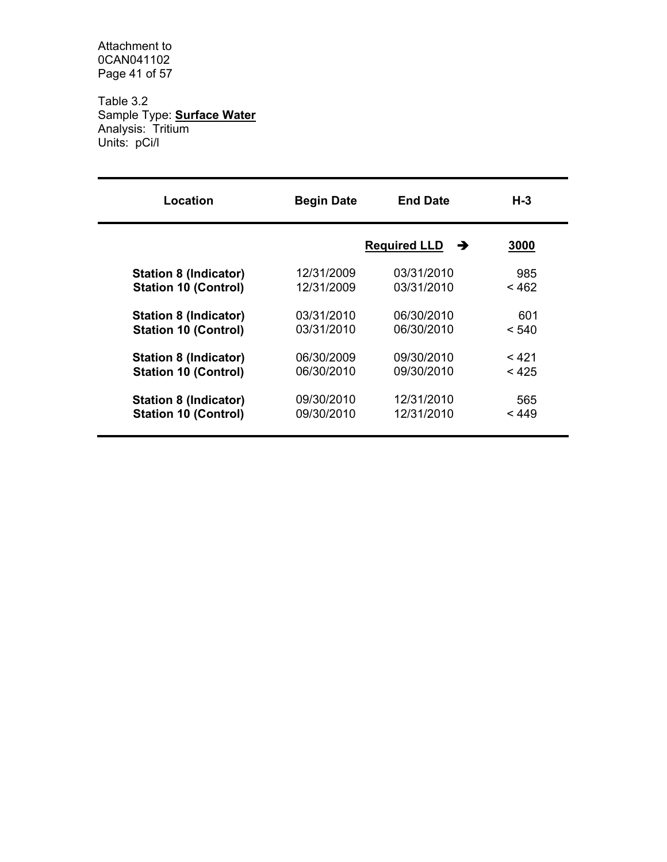Attachment to 0CAN041102 Page 41 of 57

Table 3.2 Sample Type: **Surface Water** Analysis: Tritium Units: pCi/l

| Location                     | <b>Begin Date</b> | <b>End Date</b>          | $H - 3$ |
|------------------------------|-------------------|--------------------------|---------|
|                              |                   | <b>Required LLD</b><br>→ | 3000    |
| <b>Station 8 (Indicator)</b> | 12/31/2009        | 03/31/2010               | 985     |
| <b>Station 10 (Control)</b>  | 12/31/2009        | 03/31/2010               | < 462   |
| <b>Station 8 (Indicator)</b> | 03/31/2010        | 06/30/2010               | 601     |
| <b>Station 10 (Control)</b>  | 03/31/2010        | 06/30/2010               | < 540   |
| <b>Station 8 (Indicator)</b> | 06/30/2009        | 09/30/2010               | < 421   |
| <b>Station 10 (Control)</b>  | 06/30/2010        | 09/30/2010               | < 425   |
| <b>Station 8 (Indicator)</b> | 09/30/2010        | 12/31/2010               | 565     |
| <b>Station 10 (Control)</b>  | 09/30/2010        | 12/31/2010               | < 449   |
|                              |                   |                          |         |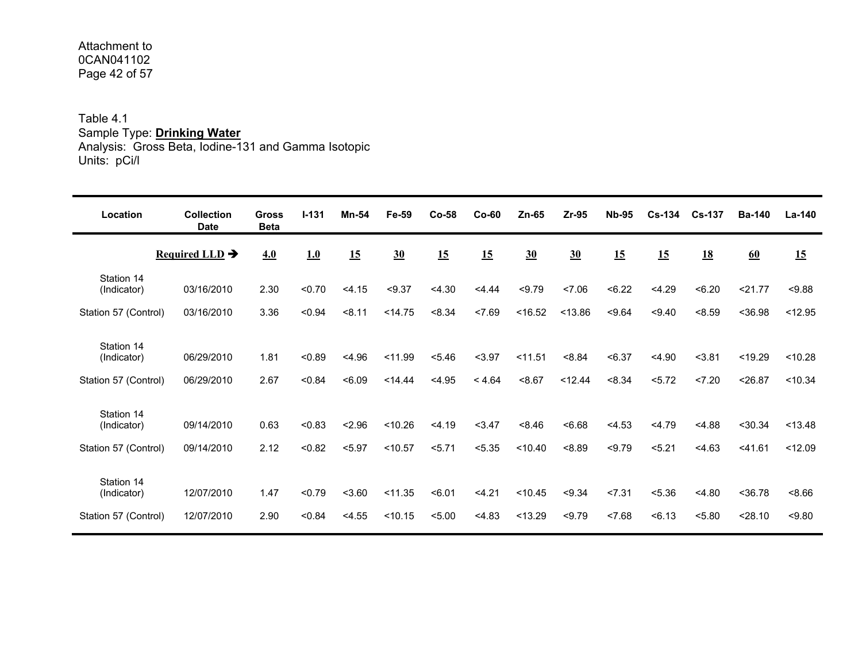#### Attachment to 0CAN041102Page 42 of 57

Table 4.1 Sample Type: **Drinking Water** Analysis: Gross Beta, Iodine-131 and Gamma Isotopic Units: pCi/l

| Location                                          | <b>Collection</b><br><b>Date</b> | <b>Gross</b><br><b>Beta</b> | $1 - 131$        | <b>Mn-54</b>     | Fe-59              | $Co-58$          | $Co-60$          | $Zn-65$            | $Zr-95$           | <b>Nb-95</b>     | $Cs - 134$       | <b>Cs-137</b>    | <b>Ba-140</b>        | $La-140$           |
|---------------------------------------------------|----------------------------------|-----------------------------|------------------|------------------|--------------------|------------------|------------------|--------------------|-------------------|------------------|------------------|------------------|----------------------|--------------------|
|                                                   | Required LLD $\rightarrow$       | 4.0                         | 1.0              | 15               | 30                 | 15               | 15               | 30                 | 30                | 15               | 15               | 18               | 60                   | <u>15</u>          |
| Station 14<br>(Indicator)                         | 03/16/2010                       | 2.30                        | < 0.70           | < 4.15           | < 9.37             | < 4.30           | < 4.44           | < 9.79             | 27.06             | < 6.22           | < 4.29           | < 6.20           | 21.77                | < 9.88             |
| Station 57 (Control)                              | 03/16/2010                       | 3.36                        | < 0.94           | < 8.11           | < 14.75            | < 8.34           | < 7.69           | < 16.52            | < 13.86           | 59.64            | < 9.40           | < 8.59           | $<$ 36.98            | < 12.95            |
| Station 14<br>(Indicator)<br>Station 57 (Control) | 06/29/2010<br>06/29/2010         | 1.81<br>2.67                | < 0.89<br>< 0.84 | < 4.96<br>< 6.09 | < 11.99<br>< 14.44 | < 5.46<br>< 4.95 | $3.97$<br>< 4.64 | < 11.51<br>< 8.67  | < 8.84<br>< 12.44 | < 6.37<br>< 8.34 | < 4.90<br>< 5.72 | < 3.81<br>27.20  | < 19.29<br>< 26.87   | < 10.28<br>< 10.34 |
| Station 14<br>(Indicator)                         | 09/14/2010                       | 0.63                        | < 0.83           | < 2.96           | < 10.26            | < 4.19           | < 3.47           | 8.46               | 56.68             | < 4.53           | 4.79             | < 4.88           | < 30.34              | < 13.48            |
| Station 57 (Control)                              | 09/14/2010                       | 2.12                        | < 0.82           | < 5.97           | < 10.57            | 5.71             | < 5.35           | < 10.40            | 8.89              | < 9.79           | 5.21             | < 4.63           | $<$ 41.61            | < 12.09            |
| Station 14<br>(Indicator)<br>Station 57 (Control) | 12/07/2010<br>12/07/2010         | 1.47<br>2.90                | < 0.79<br>< 0.84 | < 3.60<br>< 4.55 | < 11.35<br>< 10.15 | < 6.01<br>< 5.00 | < 4.21<br>< 4.83 | < 10.45<br>< 13.29 | < 9.34<br>< 9.79  | 27.31<br>< 7.68  | < 5.36<br>< 6.13 | < 4.80<br>< 5.80 | $<$ 36.78<br>< 28.10 | 8.66<br>< 9.80     |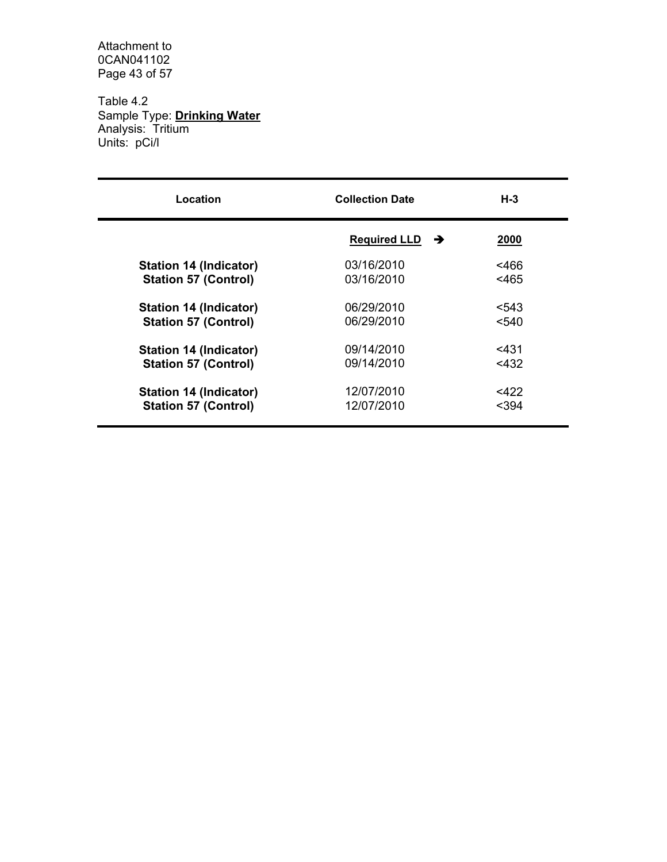Attachment to 0CAN041102 Page 43 of 57

Table 4.2 Sample Type: **Drinking Water** Analysis: Tritium Units: pCi/l

| Location                      | <b>Collection Date</b>               | $H-3$   |
|-------------------------------|--------------------------------------|---------|
|                               | <b>Required LLD</b><br>$\rightarrow$ | 2000    |
| Station 14 (Indicator)        | 03/16/2010                           | <466    |
| <b>Station 57 (Control)</b>   | 03/16/2010                           | $<$ 465 |
| <b>Station 14 (Indicator)</b> | 06/29/2010                           | < 543   |
| <b>Station 57 (Control)</b>   | 06/29/2010                           | < 540   |
| Station 14 (Indicator)        | 09/14/2010                           | < 431   |
| <b>Station 57 (Control)</b>   | 09/14/2010                           | $<$ 432 |
| Station 14 (Indicator)        | 12/07/2010                           | $<$ 422 |
| <b>Station 57 (Control)</b>   | 12/07/2010                           | $<$ 394 |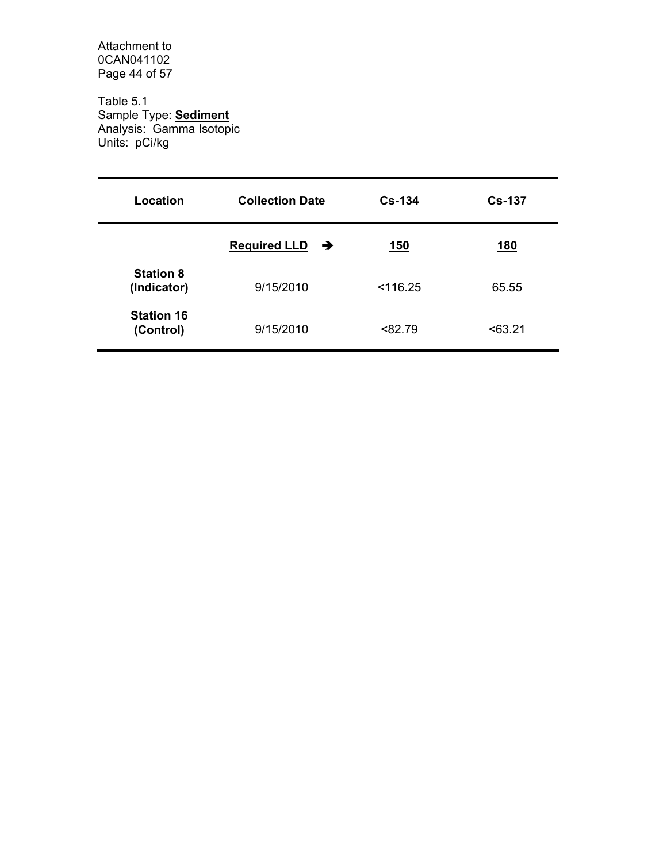Attachment to 0CAN041102 Page 44 of 57

Table 5.1 Sample Type: **Sediment** Analysis: Gamma Isotopic Units: pCi/kg

| Location                        | <b>Collection Date</b>               | $Cs-134$   | $Cs-137$   |
|---------------------------------|--------------------------------------|------------|------------|
|                                 | <b>Required LLD</b><br>$\rightarrow$ | <u>150</u> | <u>180</u> |
| <b>Station 8</b><br>(Indicator) | 9/15/2010                            | < 116.25   | 65.55      |
| <b>Station 16</b><br>(Control)  | 9/15/2010                            | < 82.79    | < 63.21    |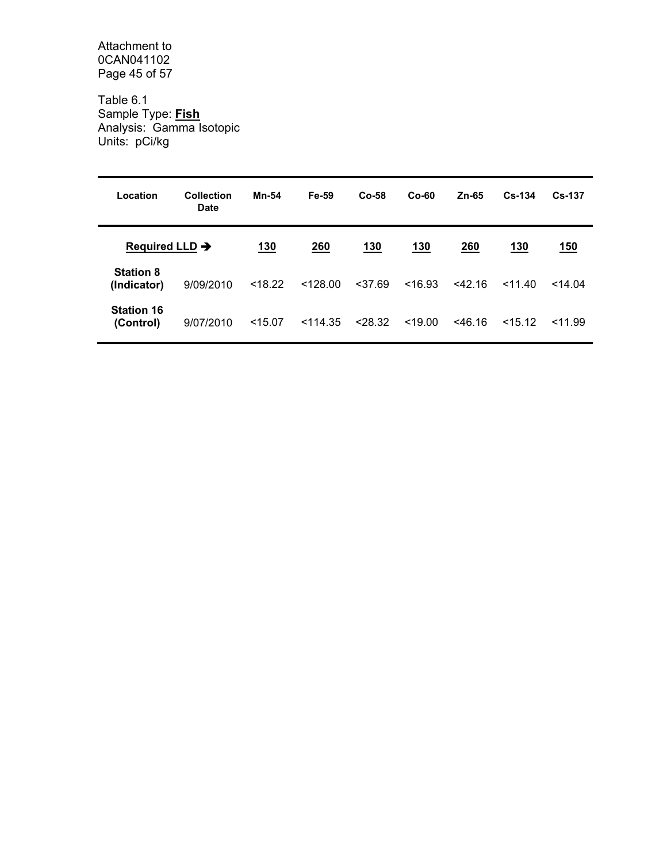Attachment to 0CAN041102 Page 45 of 57

Table 6.1 Sample Type: **Fish** Analysis: Gamma Isotopic Units: pCi/kg

| Location                        | Collection<br>Date | <b>Mn-54</b> | Fe-59      | $Co-58$    | $Co-60$    | $Zn-65$   | $Cs - 134$ | $Cs - 137$ |
|---------------------------------|--------------------|--------------|------------|------------|------------|-----------|------------|------------|
| Required LLD $\rightarrow$      |                    | <u>130</u>   | <b>260</b> | <u>130</u> | <u>130</u> | 260       | <u>130</u> | <u>150</u> |
| <b>Station 8</b><br>(Indicator) | 9/09/2010          | < 18.22      | < 128.00   | < 37.69    | < 16.93    | $<$ 42.16 | 11.40      | $<$ 14.04  |
| <b>Station 16</b><br>(Control)  | 9/07/2010          | $<$ 15.07    | $<$ 114.35 | < 28.32    | < 19.00    | $<$ 46.16 | $<$ 15.12  | 11.99      |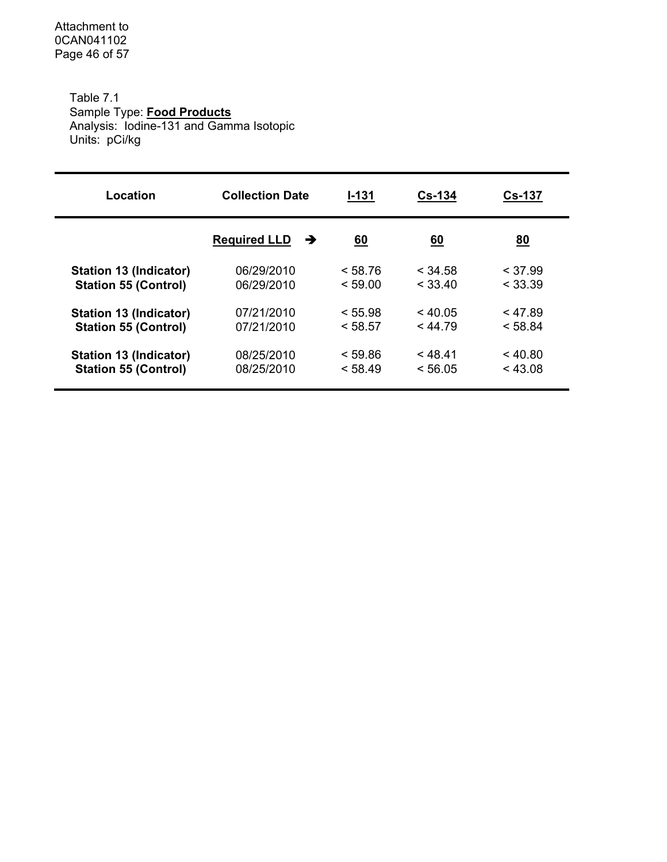Attachment to 0CAN041102 Page 46 of 57

> Table 7.1 Sample Type: **Food Products** Analysis: Iodine-131 and Gamma Isotopic Units: pCi/kg

| Location                      | <b>Collection Date</b>   | I-131   | $Cs-134$  | <b>Cs-137</b> |
|-------------------------------|--------------------------|---------|-----------|---------------|
|                               | <b>Required LLD</b><br>→ | 60      | <u>60</u> | <u>80</u>     |
| <b>Station 13 (Indicator)</b> | 06/29/2010               | < 58.76 | $<$ 34.58 | $<$ 37.99     |
| <b>Station 55 (Control)</b>   | 06/29/2010               | < 59.00 | < 33.40   | < 33.39       |
| <b>Station 13 (Indicator)</b> | 07/21/2010               | < 55.98 | $<$ 40.05 | < 47.89       |
| <b>Station 55 (Control)</b>   | 07/21/2010               | < 58.57 | < 44.79   | < 58.84       |
| <b>Station 13 (Indicator)</b> | 08/25/2010               | < 59.86 | < 48.41   | $<$ 40.80     |
| <b>Station 55 (Control)</b>   | 08/25/2010               | < 58.49 | < 56.05   | < 43.08       |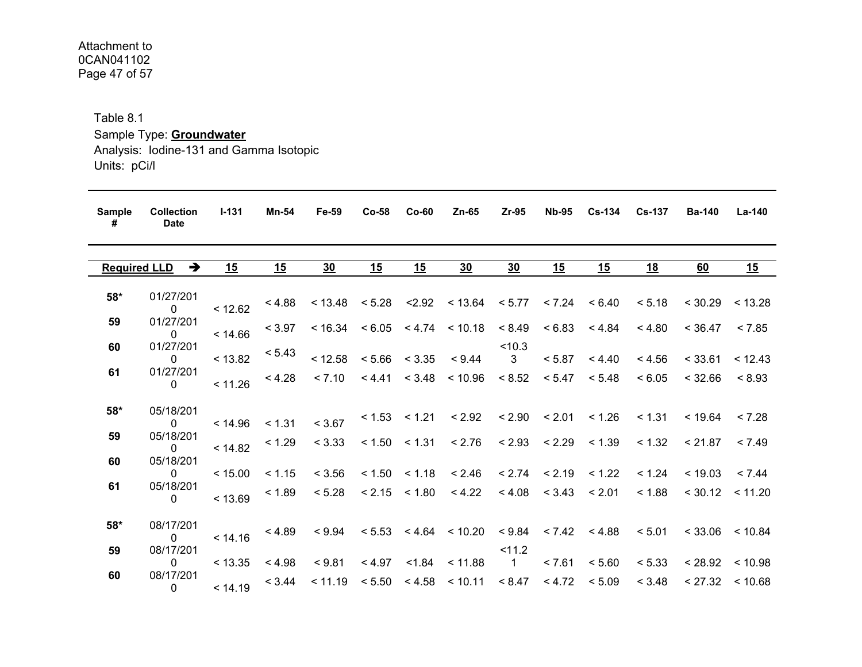#### Attachment to 0CAN041102 Page 47 of 57

Table 8.1

Sample Type: **Groundwater**

Analysis: Iodine-131 and Gamma Isotopic Units: pCi/l

| <b>Sample</b><br># | <b>Collection</b><br><b>Date</b>     | $I - 131$ | Mn-54     | Fe-59           | $Co-58$                    | $Co-60$           | Zn-65                                                            | $Zr-95$                           | <b>Nb-95</b>               | <b>Cs-134</b>              | <b>Cs-137</b> | <b>Ba-140</b>       | <b>La-140</b>       |
|--------------------|--------------------------------------|-----------|-----------|-----------------|----------------------------|-------------------|------------------------------------------------------------------|-----------------------------------|----------------------------|----------------------------|---------------|---------------------|---------------------|
|                    | <b>Required LLD</b><br>$\rightarrow$ | <u>15</u> | <u>15</u> | 30 <sub>2</sub> | <u>15</u>                  | <u>15</u>         | 30                                                               | 30                                | <u>15</u>                  | <u>15</u>                  | <u> 18</u>    | 60                  | <u> 15</u>          |
| 58*                | 01/27/201<br>$\Omega$                | < 12.62   | <4.88     |                 |                            |                   | $< 13.48$ $< 5.28$ $< 2.92$ $< 13.64$ $< 5.77$ $< 7.24$ $< 6.40$ |                                   |                            |                            | < 5.18        | $< 30.29$ $< 13.28$ |                     |
| 59                 | 01/27/201<br>$\Omega$                | < 14.66   | < 3.97    |                 |                            |                   | $< 16.34$ $< 6.05$ $< 4.74$ $< 10.18$ $< 8.49$ $< 6.83$ $< 4.84$ |                                   |                            |                            | < 4.80        | < 36.47             | < 7.85              |
| 60                 | 01/27/201<br>$\mathbf{0}$            | < 13.82   | < 5.43    | < 12.58         |                            | $< 5.66$ $< 3.35$ | < 9.44                                                           | < 10.3<br>$\overline{\mathbf{3}}$ | < 5.87                     | < 4.40                     | < 4.56        | < 33.61             | < 12.43             |
| 61                 | 01/27/201<br>$\Omega$                | < 11.26   | < 4.28    |                 |                            |                   | $< 7.10$ $< 4.41$ $< 3.48$ $< 10.96$ $< 8.52$                    |                                   | < 5.47                     | < 5.48                     | < 6.05        | < 32.66             | < 8.93              |
| $58*$              | 05/18/201<br>$\Omega$                | < 14.96   | < 1.31    | < 3.67          |                            |                   | $< 1.53$ $< 1.21$ $< 2.92$                                       |                                   | $< 2.90$ $< 2.01$ $< 1.26$ |                            | < 1.31        | < 19.64             | < 7.28              |
| 59                 | 05/18/201<br>$\Omega$                | < 14.82   | < 1.29    |                 | $< 3.33$ $< 1.50$ $< 1.31$ |                   | < 2.76                                                           |                                   |                            | $< 2.93$ $< 2.29$ $< 1.39$ | < 1.32        | < 21.87             | < 7.49              |
| 60                 | 05/18/201<br>$\overline{0}$          | < 15.00   | < 1.15    | < 3.56          |                            |                   | $< 1.50$ $< 1.18$ $< 2.46$                                       |                                   | $< 2.74$ $< 2.19$ $< 1.22$ |                            | < 1.24        | $< 19.03$ $< 7.44$  |                     |
| 61                 | 05/18/201<br>$\Omega$                | < 13.69   | < 1.89    |                 | $< 5.28$ $< 2.15$ $< 1.80$ |                   | < 4.22                                                           |                                   | $< 4.08$ $< 3.43$ $< 2.01$ |                            | < 1.88        | $< 30.12$ $< 11.20$ |                     |
| $58*$              | 08/17/201<br>$\overline{0}$          | < 14.16   | < 4.89    |                 |                            |                   | $<9.94$ $<5.53$ $<4.64$ $<10.20$ $<9.84$ $<7.42$ $<4.88$         |                                   |                            |                            | < 5.01        |                     | $<$ 33.06 $<$ 10.84 |
| 59                 | 08/17/201<br>$\mathbf{0}$            | < 13.35   | < 4.98    | < 9.81          |                            |                   | $< 4.97$ $< 1.84$ $< 11.88$                                      | < 11.2<br>$\overline{1}$          | < 7.61                     | < 5.60                     | < 5.33        | $< 28.92$ $< 10.98$ |                     |
| 60                 | 08/17/201<br>$\mathbf{0}$            | < 14.19   | < 3.44    |                 |                            |                   | $< 11.19$ $< 5.50$ $< 4.58$ $< 10.11$ $< 8.47$                   |                                   | < 4.72                     | < 5.09                     | < 3.48        | $< 27.32 \le 10.68$ |                     |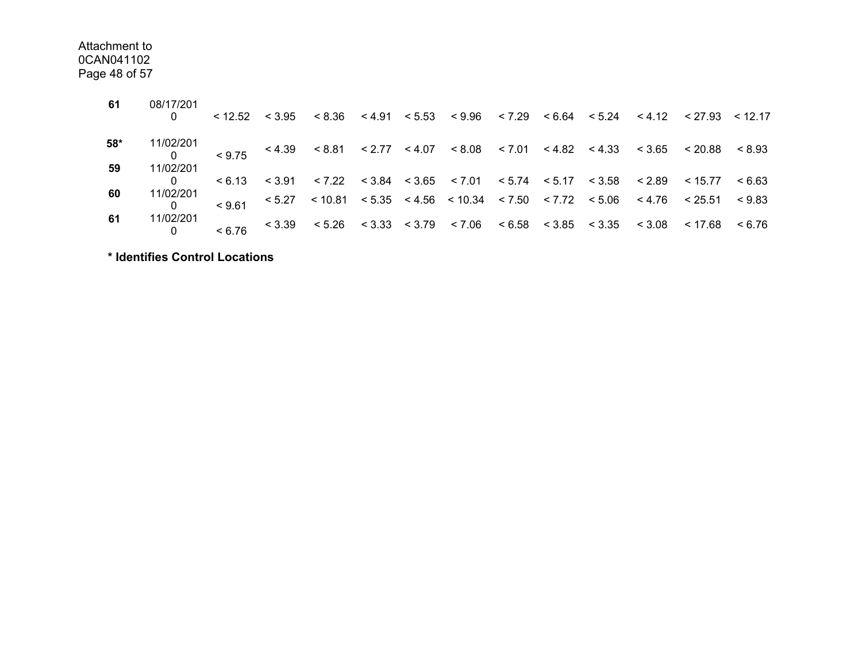Attachment to 0CAN041102Page 48 of 57

| 61       | 08/17/201              |  |  |  |  |  | $< 12.52$ $< 3.95$ $< 8.36$ $< 4.91$ $< 5.53$ $< 9.96$ $< 7.29$ $< 6.64$ $< 5.24$ $< 4.12$ $< 27.93$ $< 12.17$                                                                                           |  |
|----------|------------------------|--|--|--|--|--|----------------------------------------------------------------------------------------------------------------------------------------------------------------------------------------------------------|--|
| 58*      | 11/02/201              |  |  |  |  |  | $\frac{0.27201}{0}$ < 9.75 < 4.39 < 8.81 < 2.77 < 4.07 < 8.08 < 7.01 < 4.82 < 4.33 < 3.65 < 20.88 < 8.93                                                                                                 |  |
| 59<br>60 | 11/02/201<br>11/02/201 |  |  |  |  |  | $< 6.13$ $< 3.91$ $< 7.22$ $< 3.84$ $< 3.65$ $< 7.01$ $< 5.74$ $< 5.17$ $< 3.58$ $< 2.89$ $< 15.77$ $< 6.63$<br>$< 9.61$ < 5.27 < 10.81 < 5.35 < 4.56 < 10.34 < 7.50 < 7.72 < 5.06 < 4.76 < 25.51 < 9.83 |  |
| 61       | 11/02/201              |  |  |  |  |  | $< 6.76$ < 3.39 < 5.26 < 3.33 < 3.79 < 7.06 < 6.58 < 3.85 < 3.35 < 3.08 < 17.68 < 6.76                                                                                                                   |  |

**\* Identifies Control Locations**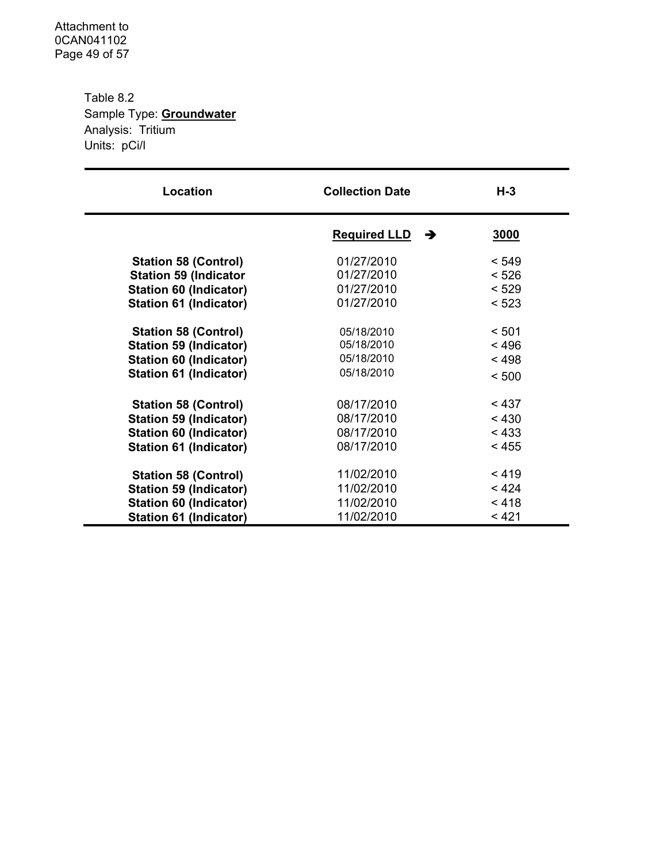Attachment to 0CAN041102 Page 49 of 57

> Table 8.2 Sample Type: **Groundwater** Analysis: Tritium Units: pCi/l

| Location                                                | <b>Collection Date</b>   | $H-3$          |
|---------------------------------------------------------|--------------------------|----------------|
|                                                         | <b>Required LLD</b><br>→ | 3000           |
| <b>Station 58 (Control)</b>                             | 01/27/2010               | < 549          |
| <b>Station 59 (Indicator</b>                            | 01/27/2010               | < 526          |
| Station 60 (Indicator)                                  | 01/27/2010               | < 529          |
| <b>Station 61 (Indicator)</b>                           | 01/27/2010               | < 523          |
|                                                         |                          |                |
| <b>Station 58 (Control)</b>                             | 05/18/2010<br>05/18/2010 | < 501<br>< 496 |
| <b>Station 59 (Indicator)</b>                           | 05/18/2010               | < 498          |
| Station 60 (Indicator)<br><b>Station 61 (Indicator)</b> | 05/18/2010               | < 500          |
|                                                         |                          |                |
| <b>Station 58 (Control)</b>                             | 08/17/2010               | < 437          |
| <b>Station 59 (Indicator)</b>                           | 08/17/2010               | < 430          |
| Station 60 (Indicator)                                  | 08/17/2010               | < 433          |
| <b>Station 61 (Indicator)</b>                           | 08/17/2010               | < 455          |
| <b>Station 58 (Control)</b>                             | 11/02/2010               | < 419          |
| <b>Station 59 (Indicator)</b>                           | 11/02/2010               | < 424          |
| <b>Station 60 (Indicator)</b>                           | 11/02/2010               | < 418          |
| Station 61 (Indicator)                                  | 11/02/2010               | < 421          |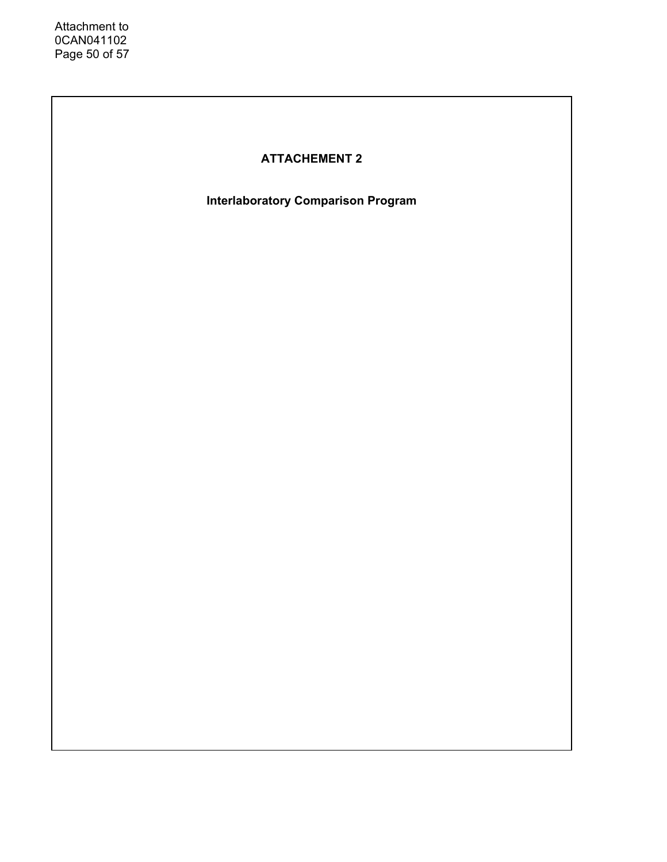# **ATTACHEMENT 2**

**Interlaboratory Comparison Program**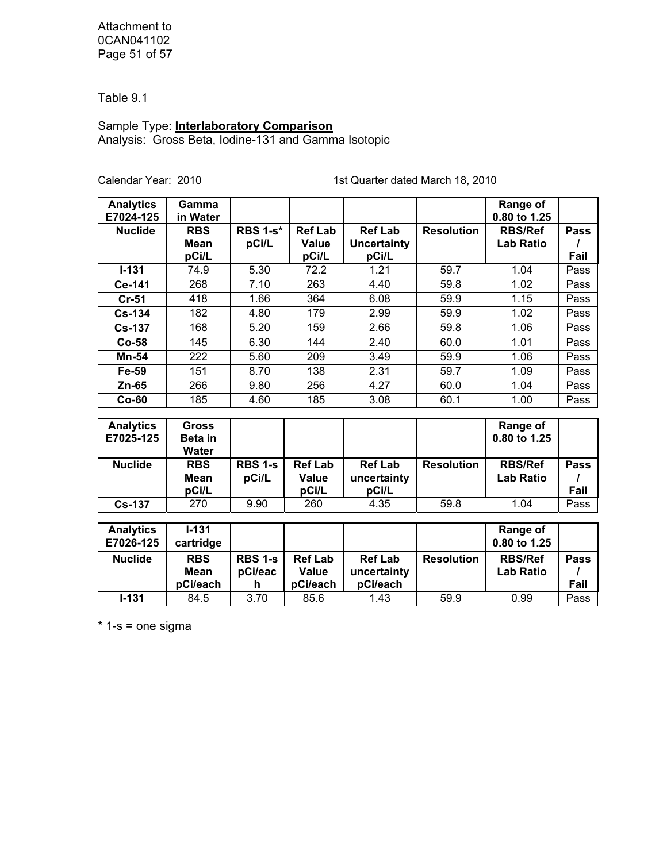Attachment to 0CAN041102 Page 51 of 57

Table 9.1

Sample Type: **Interlaboratory Comparison** Analysis: Gross Beta, Iodine-131 and Gamma Isotopic

Calendar Year: 2010 1st Quarter dated March 18, 2010

| <b>Analytics</b><br>E7024-125 | Gamma<br>in Water         |                          |                                |                                      |                   | Range of<br>0.80 to 1.25           |      |
|-------------------------------|---------------------------|--------------------------|--------------------------------|--------------------------------------|-------------------|------------------------------------|------|
| <b>Nuclide</b>                | <b>RBS</b><br><b>Mean</b> | <b>RBS 1-s*</b><br>pCi/L | <b>Ref Lab</b><br><b>Value</b> | <b>Ref Lab</b><br><b>Uncertainty</b> | <b>Resolution</b> | <b>RBS/Ref</b><br><b>Lab Ratio</b> | Pass |
|                               | pCi/L                     |                          | pCi/L                          | pCi/L                                |                   |                                    | Fail |
| $I-131$                       | 74.9                      | 5.30                     | 72.2                           | 1.21                                 | 59.7              | 1.04                               | Pass |
| Ce-141                        | 268                       | 7.10                     | 263                            | 4.40                                 | 59.8              | 1.02                               | Pass |
| $Cr-51$                       | 418                       | 1.66                     | 364                            | 6.08                                 | 59.9              | 1.15                               | Pass |
| <b>Cs-134</b>                 | 182                       | 4.80                     | 179                            | 2.99                                 | 59.9              | 1.02                               | Pass |
| <b>Cs-137</b>                 | 168                       | 5.20                     | 159                            | 2.66                                 | 59.8              | 1.06                               | Pass |
| Co-58                         | 145                       | 6.30                     | 144                            | 2.40                                 | 60.0              | 1.01                               | Pass |
| Mn-54                         | 222                       | 5.60                     | 209                            | 3.49                                 | 59.9              | 1.06                               | Pass |
| Fe-59                         | 151                       | 8.70                     | 138                            | 2.31                                 | 59.7              | 1.09                               | Pass |
| Zn-65                         | 266                       | 9.80                     | 256                            | 4.27                                 | 60.0              | 1.04                               | Pass |
| $Co-60$                       | 185                       | 4.60                     | 185                            | 3.08                                 | 60.1              | 1.00                               | Pass |
|                               |                           |                          |                                |                                      |                   |                                    |      |
| <b>Analytics</b>              | <b>Gross</b>              |                          |                                |                                      |                   | Range of                           |      |
| E7025-125                     | Beta in<br>Water          |                          |                                |                                      |                   | 0.80 to 1.25                       |      |
| <b>Nuclide</b>                | <b>RBS</b>                | RBS 1-s                  | <b>Ref Lab</b>                 | <b>Ref Lab</b>                       | <b>Resolution</b> | <b>RBS/Ref</b>                     | Pass |
|                               | <b>Mean</b>               | pCi/L                    | Value                          | uncertainty                          |                   | <b>Lab Ratio</b>                   |      |
|                               | pCi/L                     |                          | pCi/L                          | pCi/L                                |                   |                                    | Fail |
| <b>Cs-137</b>                 | 270                       | 9.90                     | 260                            | 4.35                                 | 59.8              | 1.04                               | Pass |
|                               |                           |                          |                                |                                      |                   |                                    |      |
| <b>Analytics</b>              | $I - 131$                 |                          |                                |                                      |                   | Range of                           |      |
| E7026-125                     | cartridge                 |                          |                                |                                      |                   | 0.80 to 1.25                       |      |
| <b>Nuclide</b>                | <b>RBS</b>                | <b>RBS 1-s</b>           | <b>Ref Lab</b>                 | <b>Ref Lab</b>                       | <b>Resolution</b> | <b>RBS/Ref</b>                     | Pass |
|                               | <b>Mean</b>               | pCi/eac                  | <b>Value</b>                   | uncertainty                          |                   | <b>Lab Ratio</b>                   |      |
|                               | pCi/each                  | h                        | pCi/each                       | pCi/each                             |                   |                                    | Fail |
| $I-131$                       | 84.5                      | 3.70                     | 85.6                           | 1.43                                 | 59.9              | 0.99                               | Pass |

 $*$  1-s = one sigma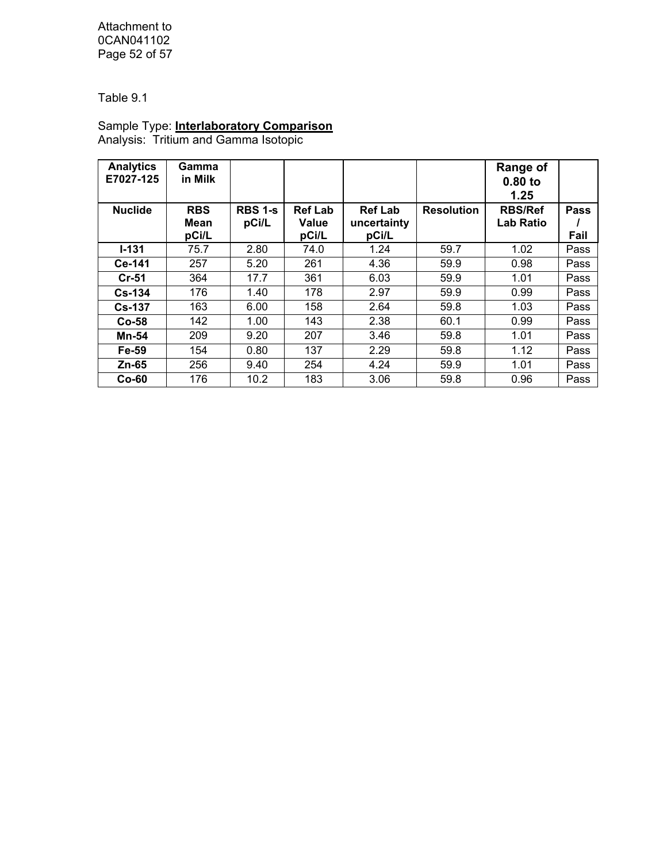Attachment to 0CAN041102 Page 52 of 57

Table 9.1

# Sample Type: **Interlaboratory Comparison**

Analysis: Tritium and Gamma Isotopic

| <b>Analytics</b><br>E7027-125 | Gamma<br>in Milk |                |                |                |                   | <b>Range of</b><br>$0.80$ to |             |
|-------------------------------|------------------|----------------|----------------|----------------|-------------------|------------------------------|-------------|
|                               |                  |                |                |                |                   | 1.25                         |             |
| <b>Nuclide</b>                | <b>RBS</b>       | <b>RBS 1-s</b> | <b>Ref Lab</b> | <b>Ref Lab</b> | <b>Resolution</b> | <b>RBS/Ref</b>               | <b>Pass</b> |
|                               | Mean             | pCi/L          | Value          | uncertainty    |                   | <b>Lab Ratio</b>             |             |
|                               | pCi/L            |                | pCi/L          | pCi/L          |                   |                              | Fail        |
| $I - 131$                     | 75.7             | 2.80           | 74.0           | 1.24           | 59.7              | 1.02                         | Pass        |
| Ce-141                        | 257              | 5.20           | 261            | 4.36           | 59.9              | 0.98                         | Pass        |
| $Cr-51$                       | 364              | 17.7           | 361            | 6.03           | 59.9              | 1.01                         | Pass        |
| $Cs - 134$                    | 176              | 1.40           | 178            | 2.97           | 59.9              | 0.99                         | Pass        |
| $Cs - 137$                    | 163              | 6.00           | 158            | 2.64           | 59.8              | 1.03                         | Pass        |
| $Co-58$                       | 142              | 1.00           | 143            | 2.38           | 60.1              | 0.99                         | Pass        |
| <b>Mn-54</b>                  | 209              | 9.20           | 207            | 3.46           | 59.8              | 1.01                         | Pass        |
| Fe-59                         | 154              | 0.80           | 137            | 2.29           | 59.8              | 1.12                         | Pass        |
| Zn-65                         | 256              | 9.40           | 254            | 4.24           | 59.9              | 1.01                         | Pass        |
| $Co-60$                       | 176              | 10.2           | 183            | 3.06           | 59.8              | 0.96                         | Pass        |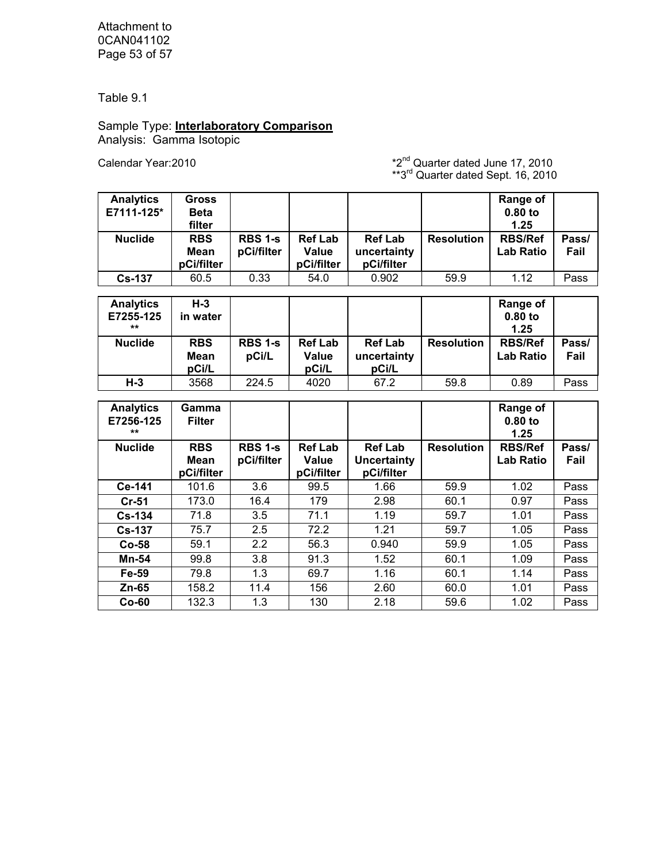Attachment to 0CAN041102 Page 53 of 57

Table 9.1

#### Sample Type: **Interlaboratory Comparison** Analysis: Gamma Isotopic

Calendar Year:  $2010$   $*2^{nd}$  Quarter dated June 17, 2010  $**3^{rd}$  Quarter dated Sept. 16, 2010

| <b>Analytics</b><br>E7111-125* | Gross<br><b>Beta</b><br>filter          |                              |                                              |                                             |                   | Range of<br>$0.80$ to<br>1.25      |               |
|--------------------------------|-----------------------------------------|------------------------------|----------------------------------------------|---------------------------------------------|-------------------|------------------------------------|---------------|
| <b>Nuclide</b>                 | <b>RBS</b><br><b>Mean</b><br>pCi/filter | <b>RBS 1-s</b><br>pCi/filter | <b>Ref Lab</b><br><b>Value</b><br>pCi/filter | <b>Ref Lab</b><br>uncertainty<br>pCi/filter | <b>Resolution</b> | <b>RBS/Ref</b><br><b>Lab Ratio</b> | Pass/<br>Fail |
| <b>Cs-137</b>                  | 60.5                                    | 0.33                         | 54.0                                         | 0.902                                       | 59.9              | 1.12                               | Pass          |

| <b>Analytics</b><br>E7255-125<br>** | H-3<br>in water             |                         |                                  |                                        |                   | Range of<br>$0.80$ to<br>1.25      |               |
|-------------------------------------|-----------------------------|-------------------------|----------------------------------|----------------------------------------|-------------------|------------------------------------|---------------|
| <b>Nuclide</b>                      | <b>RBS</b><br>Mean<br>pCi/L | <b>RBS 1-s</b><br>pCi/L | <b>Ref Lab</b><br>Value<br>pCi/L | <b>Ref Lab</b><br>uncertainty<br>pCi/L | <b>Resolution</b> | <b>RBS/Ref</b><br><b>Lab Ratio</b> | Pass/<br>Fail |
| $H-3$                               | 3568                        | 224.5                   | 4020                             | 67.2                                   | 59.8              | 0.89                               | Pass          |

| <b>Analytics</b><br>E7256-125<br>$***$ | Gamma<br><b>Filter</b>           |                              |                                       |                                                    |                   | Range of<br>$0.80$ to<br>1.25      |               |
|----------------------------------------|----------------------------------|------------------------------|---------------------------------------|----------------------------------------------------|-------------------|------------------------------------|---------------|
| <b>Nuclide</b>                         | <b>RBS</b><br>Mean<br>pCi/filter | <b>RBS 1-s</b><br>pCi/filter | <b>Ref Lab</b><br>Value<br>pCi/filter | <b>Ref Lab</b><br><b>Uncertainty</b><br>pCi/filter | <b>Resolution</b> | <b>RBS/Ref</b><br><b>Lab Ratio</b> | Pass/<br>Fail |
| Ce-141                                 | 101.6                            | 3.6                          | 99.5                                  | 1.66                                               | 59.9              | 1.02                               | Pass          |
| $Cr-51$                                | 173.0                            | 16.4                         | 179                                   | 2.98                                               | 60.1              | 0.97                               | Pass          |
| $Cs - 134$                             | 71.8                             | 3.5                          | 71.1                                  | 1.19                                               | 59.7              | 1.01                               | Pass          |
| <b>Cs-137</b>                          | 75.7                             | 2.5                          | 72.2                                  | 1.21                                               | 59.7              | 1.05                               | Pass          |
| $Co-58$                                | 59.1                             | 2.2                          | 56.3                                  | 0.940                                              | 59.9              | 1.05                               | Pass          |
| Mn-54                                  | 99.8                             | 3.8                          | 91.3                                  | 1.52                                               | 60.1              | 1.09                               | Pass          |
| Fe-59                                  | 79.8                             | 1.3                          | 69.7                                  | 1.16                                               | 60.1              | 1.14                               | Pass          |
| $Zn-65$                                | 158.2                            | 11.4                         | 156                                   | 2.60                                               | 60.0              | 1.01                               | Pass          |
| $Co-60$                                | 132.3                            | 1.3                          | 130                                   | 2.18                                               | 59.6              | 1.02                               | Pass          |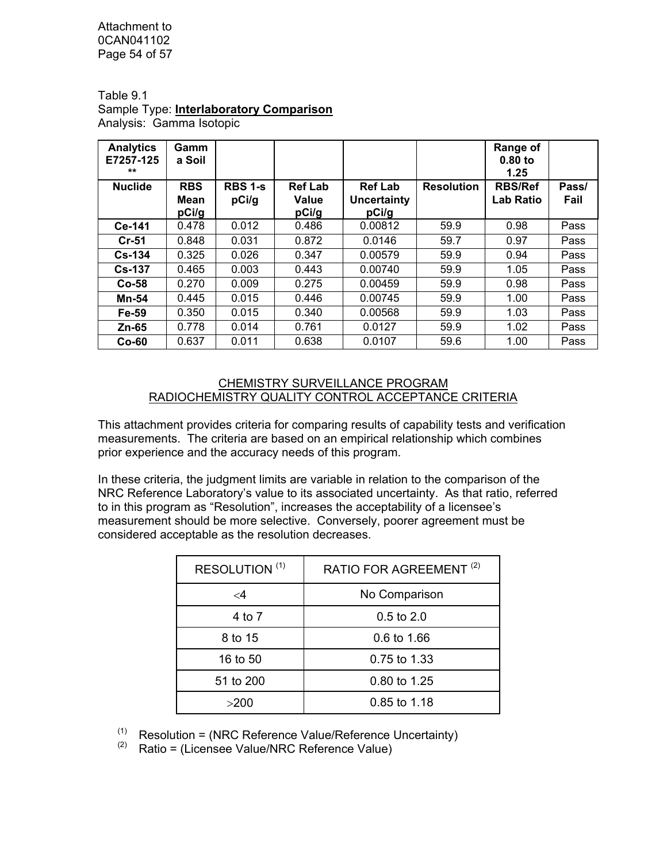Attachment to 0CAN041102 Page 54 of 57

Table 9.1 Sample Type: **Interlaboratory Comparison** Analysis: Gamma Isotopic

| <b>Analytics</b><br>E7257-125<br>$***$ | <b>Gamm</b><br>a Soil       |                         |                                  |                                        |                   | Range of<br>$0.80$ to<br>1.25      |               |
|----------------------------------------|-----------------------------|-------------------------|----------------------------------|----------------------------------------|-------------------|------------------------------------|---------------|
| <b>Nuclide</b>                         | <b>RBS</b><br>Mean<br>pCi/g | <b>RBS 1-s</b><br>pCi/g | <b>Ref Lab</b><br>Value<br>pCi/g | <b>Ref Lab</b><br>Uncertainty<br>pCi/g | <b>Resolution</b> | <b>RBS/Ref</b><br><b>Lab Ratio</b> | Pass/<br>Fail |
| Ce-141                                 | 0.478                       | 0.012                   | 0.486                            | 0.00812                                | 59.9              | 0.98                               | Pass          |
| $Cr-51$                                | 0.848                       | 0.031                   | 0.872                            | 0.0146                                 | 59.7              | 0.97                               | Pass          |
| $Cs - 134$                             | 0.325                       | 0.026                   | 0.347                            | 0.00579                                | 59.9              | 0.94                               | Pass          |
| $Cs-137$                               | 0.465                       | 0.003                   | 0.443                            | 0.00740                                | 59.9              | 1.05                               | Pass          |
| $Co-58$                                | 0.270                       | 0.009                   | 0.275                            | 0.00459                                | 59.9              | 0.98                               | Pass          |
| <b>Mn-54</b>                           | 0.445                       | 0.015                   | 0.446                            | 0.00745                                | 59.9              | 1.00                               | Pass          |
| Fe-59                                  | 0.350                       | 0.015                   | 0.340                            | 0.00568                                | 59.9              | 1.03                               | Pass          |
| $Zn-65$                                | 0.778                       | 0.014                   | 0.761                            | 0.0127                                 | 59.9              | 1.02                               | Pass          |
| $Co-60$                                | 0.637                       | 0.011                   | 0.638                            | 0.0107                                 | 59.6              | 1.00                               | Pass          |

#### CHEMISTRY SURVEILLANCE PROGRAM RADIOCHEMISTRY QUALITY CONTROL ACCEPTANCE CRITERIA

This attachment provides criteria for comparing results of capability tests and verification measurements. The criteria are based on an empirical relationship which combines prior experience and the accuracy needs of this program.

In these criteria, the judgment limits are variable in relation to the comparison of the NRC Reference Laboratory's value to its associated uncertainty. As that ratio, referred to in this program as "Resolution", increases the acceptability of a licensee's measurement should be more selective. Conversely, poorer agreement must be considered acceptable as the resolution decreases.

| RESOLUTION <sup>(1)</sup> | RATIO FOR AGREEMENT <sup>(2)</sup> |
|---------------------------|------------------------------------|
| $\lt$ 4                   | No Comparison                      |
| 4 to 7                    | $0.5$ to $2.0$                     |
| 8 to 15                   | 0.6 to 1.66                        |
| 16 to 50                  | 0.75 to 1.33                       |
| 51 to 200                 | 0.80 to 1.25                       |
| >200                      | 0.85 to 1.18                       |

 $(1)$  Resolution = (NRC Reference Value/Reference Uncertainty)

 $(2)$  Ratio = (Licensee Value/NRC Reference Value)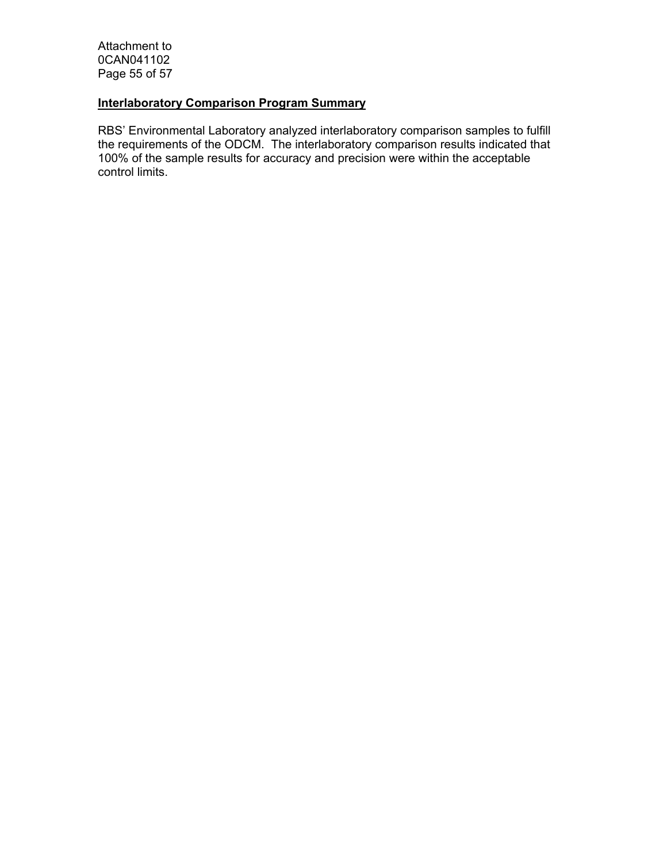Attachment to 0CAN041102 Page 55 of 57

### **Interlaboratory Comparison Program Summary**

RBS' Environmental Laboratory analyzed interlaboratory comparison samples to fulfill the requirements of the ODCM. The interlaboratory comparison results indicated that 100% of the sample results for accuracy and precision were within the acceptable control limits.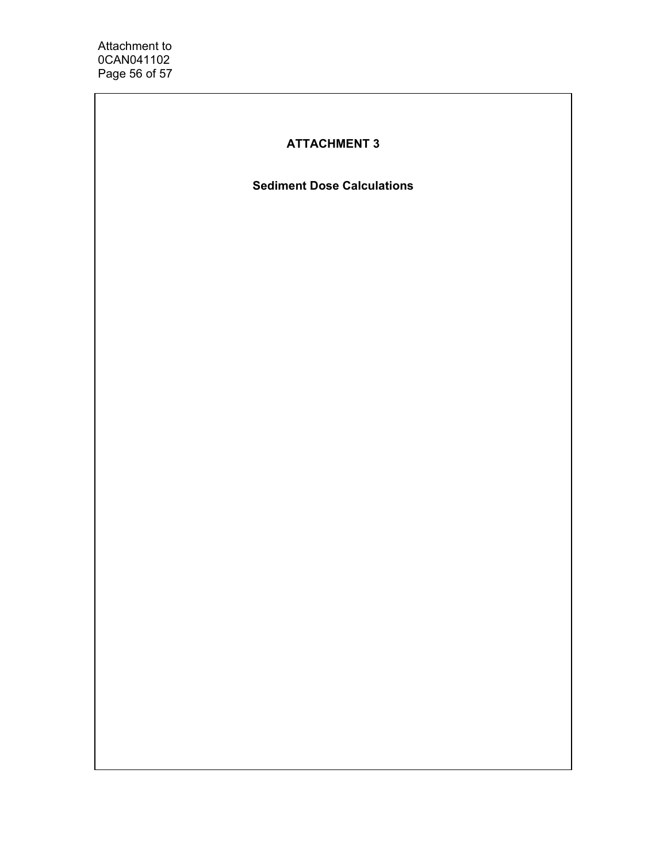# **ATTACHMENT 3**

**Sediment Dose Calculations**